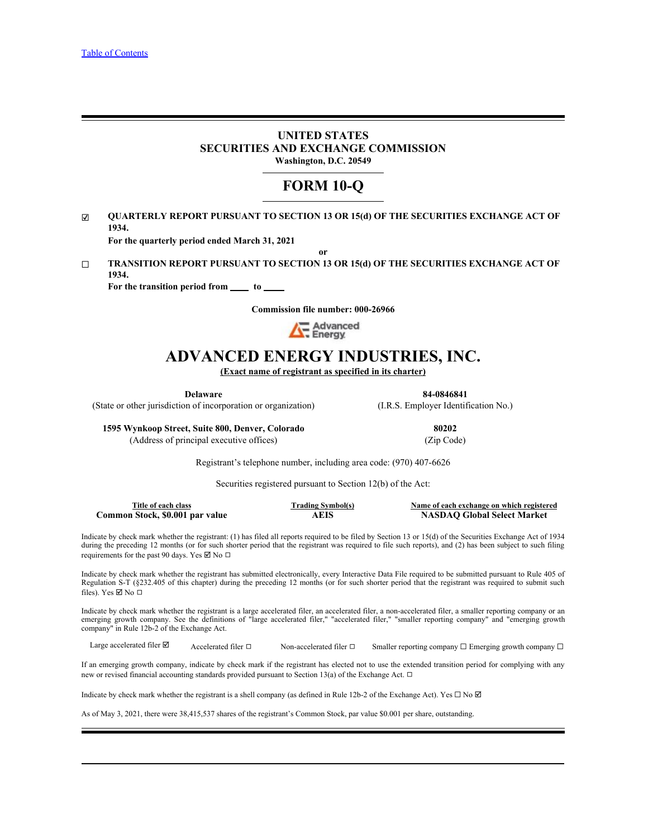# **UNITED STATES SECURITIES AND EXCHANGE COMMISSION Washington, D.C. 20549**

# **FORM 10-Q**

☑ **QUARTERLY REPORT PURSUANT TO SECTION 13 OR 15(d) OF THE SECURITIES EXCHANGE ACT OF 1934.**

**For the quarterly period ended March 31, 2021**

☐ **TRANSITION REPORT PURSUANT TO SECTION 13 OR 15(d) OF THE SECURITIES EXCHANGE ACT OF 1934.**

**For the transition period from \_\_\_\_\_\_ to \_\_\_\_\_\_**<br>Commission file number: 000-26966



# **ADVANCED ENERGY INDUSTRIES, INC.**

**(Exact name of registrant as specified in its charter)**

**Delaware 84-0846841** (State or other jurisdiction of incorporation or organization) (I.R.S. Employer Identification No.)

**or**

**1595 Wynkoop Street, Suite 800, Denver, Colorado 80202** (Address of principal executive offices) (Zip Code)

Registrant's telephone number, including area code: (970) 407-6626

Securities registered pursuant to Section 12(b) of the Act:

| mm e<br>`itl | ach class<br>ot e             | Symbol(s)<br>. adınc | '' registered<br>™change on which<br>Name of each exc |
|--------------|-------------------------------|----------------------|-------------------------------------------------------|
| -<br>ommon_  | 60.OO1<br>par value<br>Stock. | EIG<br>11 L L        | <b>Select Market</b><br>∀ilobal                       |

Indicate by check mark whether the registrant: (1) has filed all reports required to be filed by Section 13 or 15(d) of the Securities Exchange Act of 1934 during the preceding 12 months (or for such shorter period that the registrant was required to file such reports), and (2) has been subject to such filing requirements for the past 90 days. Yes  $\boxtimes$  No  $\Box$ 

Indicate by check mark whether the registrant has submitted electronically, every Interactive Data File required to be submitted pursuant to Rule 405 of Regulation S-T (§232.405 of this chapter) during the preceding 12 months (or for such shorter period that the registrant was required to submit such files). Yes  $\boxtimes$  No  $\square$ **Example 1998**<br> **Example growth company. Example accelerate accelerate accelerate accelerate accelerate accelerate accelerate accelerate accelerate accelerate accelerate accelerate accelerate accelerate accelerate accel** 

Indicate by check mark whether the registrant is a large accelerated filer, an accelerated filer, a non-accelerated filer," a smaller reporting company or an emerging growth company. See the definitions of "large accelerat company" in Rule 12b-2 of the Exchange Act.

Large accelerated filer  $\Box$  Accelerated filer  $\Box$  Non-accelerated filer  $\Box$  Smaller reporting company  $\Box$  Emerging growth company  $\Box$ 

If an emerging growth company, indicate by check mark if the registrant has elected not to use the extended transition period for complying with any new or revised financial accounting standards provided pursuant to Section 13(a) of the Exchange Act. □

Indicate by check mark whether the registrant is a shell company (as defined in Rule 12b-2 of the Exchange Act). Yes  $\Box$  No  $\Box$ 

As of May 3, 2021, there were 38,415,537 shares of the registrant's Common Stock, par value \$0.001 per share, outstanding.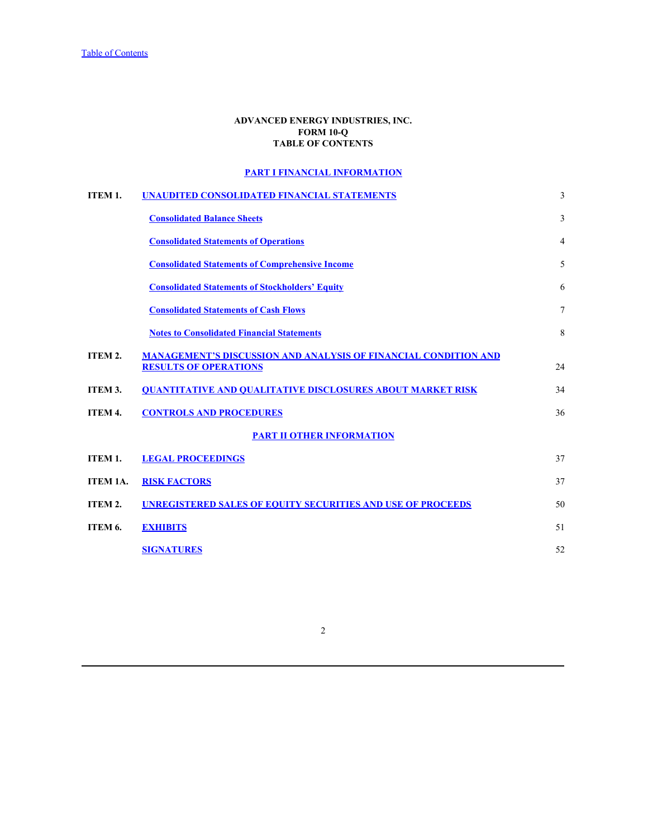# **ADVANCED ENERGY INDUSTRIES, INC. FORM 10-Q TABLE OF CONTENTS**

# **[PART I FINANCIAL INFORMATION](#page-2-0)**

<span id="page-1-0"></span>

| ITEM 1.  | <b>UNAUDITED CONSOLIDATED FINANCIAL STATEMENTS</b>                                                     | 3  |  |
|----------|--------------------------------------------------------------------------------------------------------|----|--|
|          | <b>Consolidated Balance Sheets</b>                                                                     | 3  |  |
|          | <b>Consolidated Statements of Operations</b>                                                           | 4  |  |
|          | <b>Consolidated Statements of Comprehensive Income</b>                                                 | 5  |  |
|          | <b>Consolidated Statements of Stockholders' Equity</b>                                                 | 6  |  |
|          | <b>Consolidated Statements of Cash Flows</b>                                                           | 7  |  |
|          | <b>Notes to Consolidated Financial Statements</b>                                                      | 8  |  |
| ITEM 2.  | <b>MANAGEMENT'S DISCUSSION AND ANALYSIS OF FINANCIAL CONDITION AND</b><br><b>RESULTS OF OPERATIONS</b> | 24 |  |
| ITEM 3.  | <b>OUANTITATIVE AND OUALITATIVE DISCLOSURES ABOUT MARKET RISK</b>                                      | 34 |  |
| ITEM 4.  | <b>CONTROLS AND PROCEDURES</b>                                                                         | 36 |  |
|          | <b>PART II OTHER INFORMATION</b>                                                                       |    |  |
| ITEM 1.  | <b>LEGAL PROCEEDINGS</b>                                                                               | 37 |  |
| ITEM 1A. | <b>RISK FACTORS</b>                                                                                    | 37 |  |
| ITEM 2.  | <b>UNREGISTERED SALES OF EQUITY SECURITIES AND USE OF PROCEEDS</b>                                     | 50 |  |
| ITEM 6.  | <b>EXHIBITS</b>                                                                                        | 51 |  |
|          | <b>SIGNATURES</b>                                                                                      | 52 |  |

2 a set of  $\sim$  2 a set of  $\sim$  2 a set of  $\sim$  2 a set of  $\sim$  3 a set of  $\sim$  3 a set of  $\sim$  3 a set of  $\sim$  3 a set of  $\sim$  3 a set of  $\sim$  3 a set of  $\sim$  3 a set of  $\sim$  3 a set of  $\sim$  3 a set of  $\sim$  3 a set of  $\sim$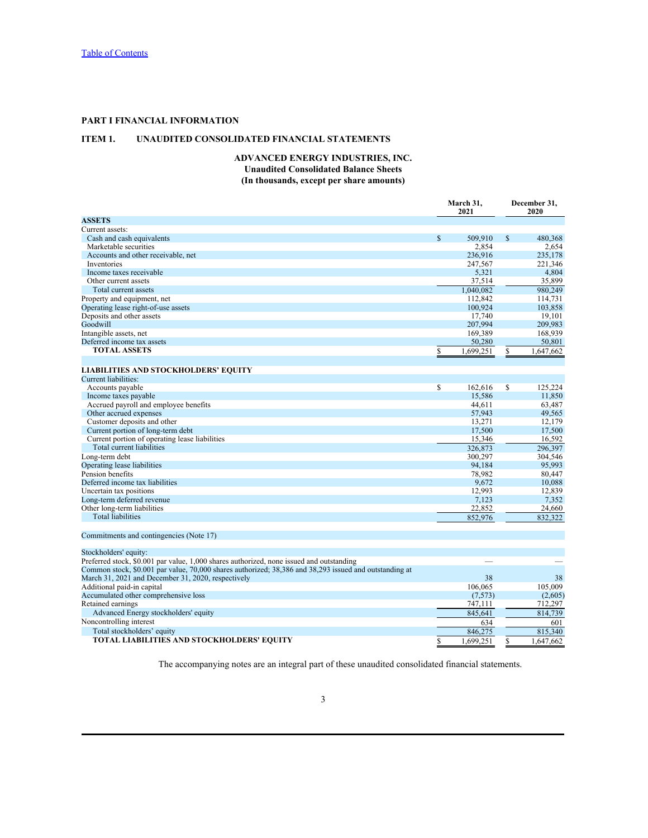# <span id="page-2-0"></span>**PART I FINANCIAL INFORMATION**

# <span id="page-2-2"></span><span id="page-2-1"></span>**ITEM 1. UNAUDITED CONSOLIDATED FINANCIAL STATEMENTS**

# **ADVANCED ENERGY INDUSTRIES, INC. Unaudited Consolidated Balance Sheets (In thousands, except per share amounts)**

|                                                                                                        | March 31,<br>2021 |              | December 31,<br>2020 |           |
|--------------------------------------------------------------------------------------------------------|-------------------|--------------|----------------------|-----------|
| <b>ASSETS</b>                                                                                          |                   |              |                      |           |
| Current assets:                                                                                        |                   |              |                      |           |
| Cash and cash equivalents                                                                              | <sup>\$</sup>     | 509,910      | $^{\circ}$           | 480,368   |
| Marketable securities                                                                                  |                   | 2,854        |                      | 2,654     |
| Accounts and other receivable, net                                                                     |                   | 236,916      |                      | 235,178   |
| Inventories                                                                                            |                   | 247,567      |                      | 221,346   |
| Income taxes receivable                                                                                |                   | 5,321        |                      | 4,804     |
| Other current assets                                                                                   |                   | 37,514       |                      | 35,899    |
| Total current assets                                                                                   |                   | 1,040,082    |                      | 980,249   |
| Property and equipment, net                                                                            |                   | 112,842      |                      | 114,731   |
|                                                                                                        |                   | 100,924      |                      |           |
| Operating lease right-of-use assets                                                                    |                   |              |                      | 103,858   |
| Deposits and other assets                                                                              |                   | 17,740       |                      | 19,101    |
| Goodwill                                                                                               |                   | 207,994      |                      | 209,983   |
| Intangible assets, net                                                                                 |                   | 169,389      |                      | 168,939   |
| Deferred income tax assets                                                                             |                   | 50,280       |                      | 50,801    |
| <b>TOTAL ASSETS</b>                                                                                    |                   | 1,699,251    |                      | 1,647,662 |
|                                                                                                        |                   |              |                      |           |
| <b>LIABILITIES AND STOCKHOLDERS' EQUITY</b>                                                            |                   |              |                      |           |
| Current liabilities:                                                                                   |                   |              |                      |           |
| Accounts payable                                                                                       | <sup>\$</sup>     | $162,616$ \$ |                      | 125,224   |
| Income taxes payable                                                                                   |                   | 15,586       |                      | 11,850    |
| Accrued payroll and employee benefits                                                                  |                   | 44,611       |                      | 63,487    |
| Other accrued expenses                                                                                 |                   | 57,943       |                      | 49,565    |
| Customer deposits and other                                                                            |                   | 13,271       |                      | 12,179    |
|                                                                                                        |                   | 17,500       |                      | 17,500    |
| Current portion of long-term debt<br>Current portion of operating lease liabilities                    |                   | 15,346       |                      | 16,592    |
|                                                                                                        |                   |              |                      |           |
| Total current liabilities                                                                              |                   | 326,873      |                      | 296,397   |
| Long-term debt                                                                                         |                   | 300,297      |                      | 304,546   |
| Operating lease liabilities                                                                            |                   | 94,184       |                      | 95,993    |
| Pension benefits                                                                                       |                   | 78,982       |                      | 80,447    |
| Deferred income tax liabilities                                                                        |                   | 9,672        |                      | 10,088    |
| Uncertain tax positions                                                                                |                   | 12,993       |                      | 12,839    |
| Long-term deferred revenue                                                                             |                   | 7,123        |                      | 7,352     |
| Other long-term liabilities                                                                            |                   | 22,852       |                      | 24,660    |
| Total liabilities                                                                                      |                   | 852,976      |                      | 832,322   |
|                                                                                                        |                   |              |                      |           |
| Commitments and contingencies (Note 17)                                                                |                   |              |                      |           |
| Stockholders' equity:                                                                                  |                   |              |                      |           |
| Preferred stock, \$0.001 par value, 1,000 shares authorized, none issued and outstanding               |                   |              |                      |           |
| Common stock, \$0.001 par value, 70,000 shares authorized; 38,386 and 38,293 issued and outstanding at |                   |              |                      |           |
| March 31, 2021 and December 31, 2020, respectively                                                     |                   | 38           |                      | 38        |
| Additional paid-in capital                                                                             |                   | 106,065      |                      | 105,009   |
| Accumulated other comprehensive loss                                                                   |                   | (7,573)      |                      | (2,605)   |
| Retained earnings                                                                                      |                   | 747,111      |                      | 712,297   |
| Advanced Energy stockholders' equity                                                                   |                   | 845,641      |                      | 814,739   |
|                                                                                                        |                   |              |                      |           |
| Noncontrolling interest                                                                                |                   | 634          |                      | 601       |
| Total stockholders' equity                                                                             |                   | 846,275      |                      | 815,340   |
| TOTAL LIABILITIES AND STOCKHOLDERS' EQUITY                                                             |                   | 1,699,251    | \$.                  | 1,647,662 |

The accompanying notes are an integral part of these unaudited consolidated financial statements.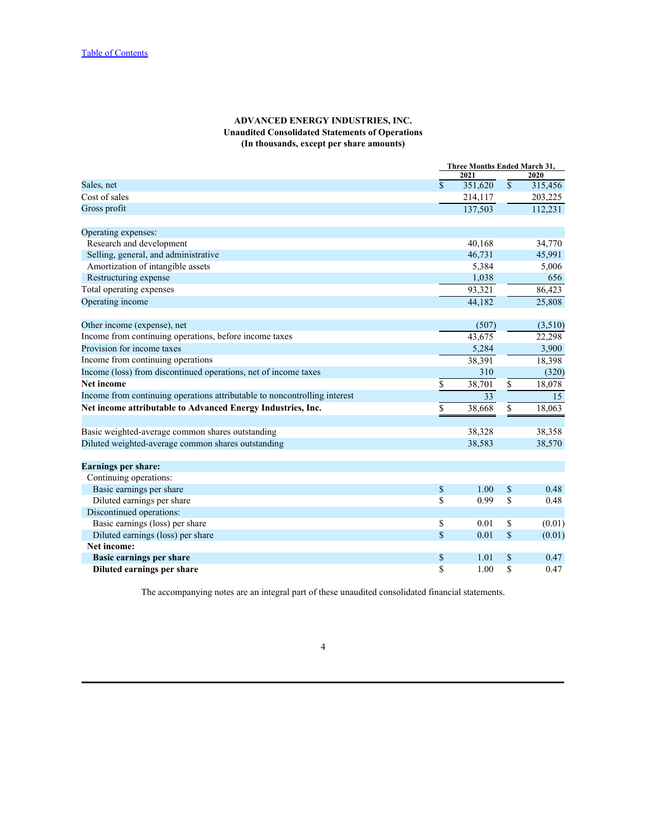# **ADVANCED ENERGY INDUSTRIES, INC. Unaudited Consolidated Statements of Operations (In thousands, except per share amounts)**

<span id="page-3-0"></span>

|                                                                           |                           | Three Months Ended March 31, |                           |         |  |  |  |
|---------------------------------------------------------------------------|---------------------------|------------------------------|---------------------------|---------|--|--|--|
|                                                                           |                           | 2021                         |                           | 2020    |  |  |  |
| Sales, net                                                                | $\mathbb{S}$              | 351,620                      | $\mathbb{S}$              | 315,456 |  |  |  |
| Cost of sales                                                             |                           | 214,117                      |                           | 203,225 |  |  |  |
| Gross profit                                                              |                           | 137,503                      |                           | 112,231 |  |  |  |
| Operating expenses:                                                       |                           |                              |                           |         |  |  |  |
| Research and development                                                  |                           | 40,168                       |                           | 34,770  |  |  |  |
| Selling, general, and administrative                                      |                           | 46,731                       |                           | 45,991  |  |  |  |
| Amortization of intangible assets                                         |                           | 5,384                        |                           | 5,006   |  |  |  |
| Restructuring expense                                                     |                           | 1,038                        |                           | 656     |  |  |  |
| Total operating expenses                                                  |                           | 93,321                       |                           | 86,423  |  |  |  |
| Operating income                                                          |                           | 44,182                       |                           | 25,808  |  |  |  |
| Other income (expense), net                                               |                           | (507)                        |                           | (3,510) |  |  |  |
| Income from continuing operations, before income taxes                    |                           | 43,675                       |                           | 22,298  |  |  |  |
| Provision for income taxes                                                |                           | 5,284                        |                           | 3,900   |  |  |  |
| Income from continuing operations                                         |                           | 38,391                       |                           | 18,398  |  |  |  |
| Income (loss) from discontinued operations, net of income taxes           |                           | 310                          |                           | (320)   |  |  |  |
| <b>Net income</b>                                                         | S.                        | 38,701                       | \$                        | 18,078  |  |  |  |
| Income from continuing operations attributable to noncontrolling interest |                           | 33                           |                           | 15      |  |  |  |
| Net income attributable to Advanced Energy Industries, Inc.               | S                         | 38,668                       | \$                        | 18,063  |  |  |  |
|                                                                           |                           |                              |                           |         |  |  |  |
| Basic weighted-average common shares outstanding                          |                           | 38,328                       |                           | 38,358  |  |  |  |
| Diluted weighted-average common shares outstanding                        |                           | 38,583                       |                           | 38,570  |  |  |  |
| <b>Earnings per share:</b>                                                |                           |                              |                           |         |  |  |  |
| Continuing operations:                                                    |                           |                              |                           |         |  |  |  |
| Basic earnings per share                                                  | $\mathbb{S}$              | 1.00                         | $\boldsymbol{\mathsf{S}}$ | 0.48    |  |  |  |
| Diluted earnings per share                                                | \$                        | 0.99                         | \$                        | 0.48    |  |  |  |
| Discontinued operations:                                                  |                           |                              |                           |         |  |  |  |
| Basic earnings (loss) per share                                           | \$                        | 0.01                         | \$                        | (0.01)  |  |  |  |
| Diluted earnings (loss) per share                                         | $\mathbf S$               | 0.01                         | $\mathbb S$               | (0.01)  |  |  |  |
| Net income:                                                               |                           |                              |                           |         |  |  |  |
| <b>Basic earnings per share</b>                                           | $\boldsymbol{\mathsf{S}}$ | 1.01                         | \$                        | 0.47    |  |  |  |
| Diluted earnings per share                                                | <sup>\$</sup>             | 1.00                         | $\mathbf S$               | 0.47    |  |  |  |

The accompanying notes are an integral part of these unaudited consolidated financial statements.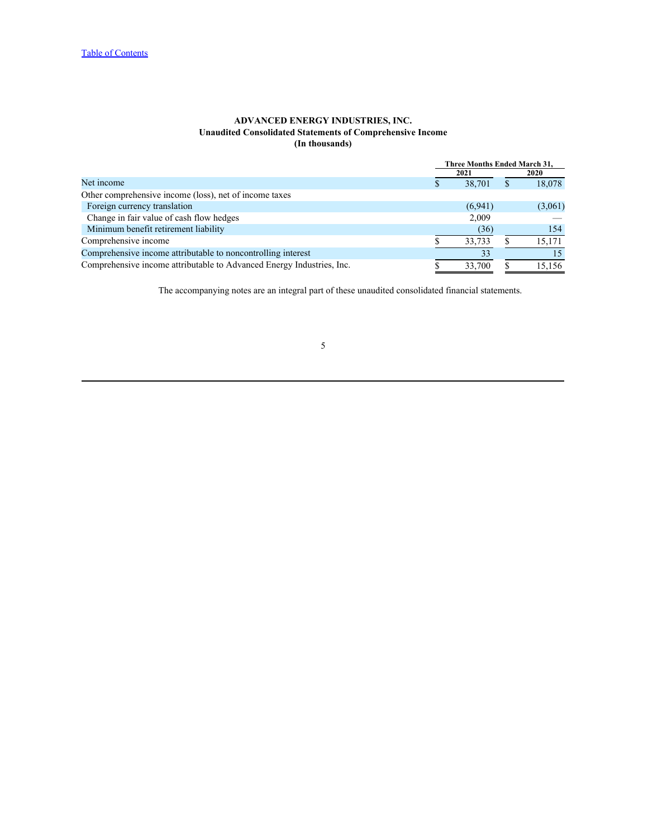# **ADVANCED ENERGY INDUSTRIES, INC. Unaudited Consolidated Statements of Comprehensive Income (In thousands)**

<span id="page-4-0"></span>

|                                                                       |         | Three Months Ended March 31. |             |  |  |
|-----------------------------------------------------------------------|---------|------------------------------|-------------|--|--|
|                                                                       | 2021    |                              | <b>2020</b> |  |  |
| Net income                                                            | 38,701  |                              | 18,078      |  |  |
| Other comprehensive income (loss), net of income taxes                |         |                              |             |  |  |
| Foreign currency translation                                          | (6,941) |                              | (3,061)     |  |  |
| Change in fair value of cash flow hedges                              | 2,009   |                              |             |  |  |
| Minimum benefit retirement liability                                  | (36)    |                              | 154         |  |  |
| Comprehensive income                                                  | 33,733  |                              | 15,171      |  |  |
| Comprehensive income attributable to noncontrolling interest          |         |                              |             |  |  |
| Comprehensive income attributable to Advanced Energy Industries, Inc. | 33.700  |                              | 15,156      |  |  |

The accompanying notes are an integral part of these unaudited consolidated financial statements.

### $5<sub>5</sub>$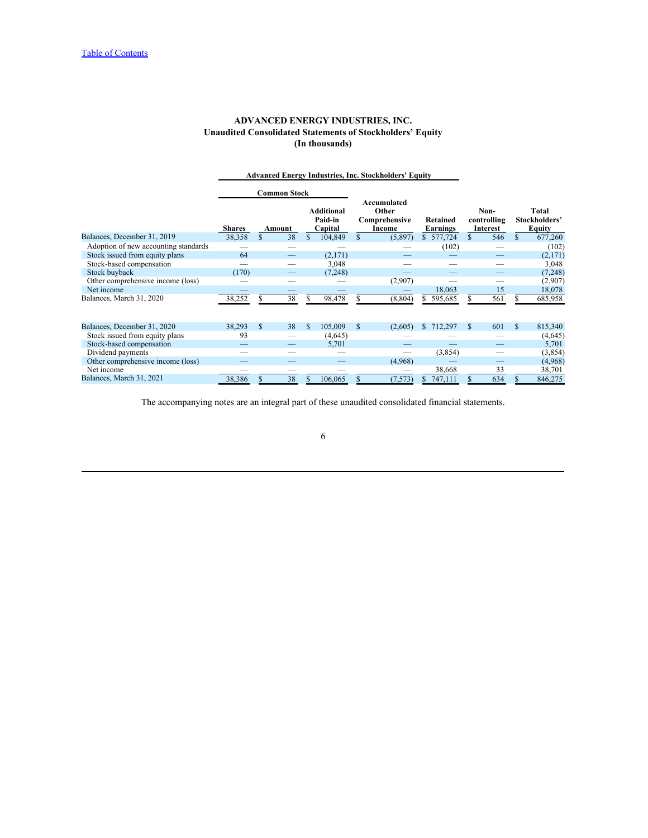# **ADVANCED ENERGY INDUSTRIES, INC. Unaudited Consolidated Statements of Stockholders' Equity (In thousands)**

<span id="page-5-0"></span>

|                                      |                          | <b>Advanced Energy Industries, Inc. Stockholders' Equity</b> |                                         |                                                 |                               |                                 |    |                                  |
|--------------------------------------|--------------------------|--------------------------------------------------------------|-----------------------------------------|-------------------------------------------------|-------------------------------|---------------------------------|----|----------------------------------|
|                                      |                          | <b>Common Stock</b>                                          |                                         |                                                 |                               |                                 |    |                                  |
|                                      | <b>Shares</b>            | Amount                                                       | <b>Additional</b><br>Paid-in<br>Capital | Accumulated<br>Other<br>Comprehensive<br>Income | Retained<br>Earnings          | Non-<br>controlling<br>Interest |    | Total<br>Stockholders'<br>Equity |
| Balances, December 31, 2019          | 38,358                   | 38                                                           | 104,849                                 | (5,897)                                         | 577,724                       | 546                             |    | 677,260                          |
| Adoption of new accounting standards |                          | $\overbrace{\phantom{aaaaa}}$                                | $\overline{\phantom{a}}$                |                                                 | (102)                         |                                 |    | (102)                            |
| Stock issued from equity plans       | 64                       |                                                              | (2,171)                                 |                                                 |                               |                                 |    | (2,171)                          |
| Stock-based compensation             |                          | $\hspace{0.05cm}$                                            | 3,048                                   |                                                 |                               |                                 |    | 3,048                            |
| Stock buyback                        | (170)                    | $\overbrace{\phantom{13333}}$                                | (7, 248)                                | $\overbrace{\hspace{25mm}}^{}$                  |                               |                                 |    | (7, 248)                         |
| Other comprehensive income (loss)    |                          |                                                              | $\overline{\phantom{a}}$                | (2,907)                                         | $\overbrace{\phantom{12332}}$ |                                 |    | (2,907)                          |
| Net income                           |                          |                                                              |                                         |                                                 | 18,063                        | 15                              |    | 18,078                           |
| Balances, March 31, 2020             | 38,252                   | 38                                                           | 98,478                                  | (8, 804)                                        | 595,685                       | 561                             |    | 685,958                          |
| Balances, December 31, 2020          | 38,293                   | 38<br>-S                                                     | 105,009                                 | <sup>S</sup><br>(2,605)                         | 712,297                       | 601                             | -S | 815,340                          |
| Stock issued from equity plans       | 93                       | $\hspace{0.05cm}$                                            | (4,645)                                 |                                                 |                               |                                 |    | (4,645)                          |
| Stock-based compensation             |                          |                                                              | 5,701                                   |                                                 |                               |                                 |    | 5,701                            |
| Dividend payments                    |                          |                                                              |                                         | $\overbrace{\phantom{12333}}$                   | (3,854)                       |                                 |    | (3, 854)                         |
| Other comprehensive income (loss)    |                          |                                                              | $\hspace{0.1mm}-\hspace{0.1mm}$         | (4,968)                                         |                               |                                 |    | (4,968)                          |
| Net income                           | $\overline{\phantom{a}}$ | $\hspace{0.05cm}$                                            | $\overline{\phantom{a}}$                | $\overbrace{\phantom{12332}}$                   | 38,668                        | 33                              |    | 38,701                           |
| Balances, March 31, 2021             | 38,386                   | 38                                                           | 106,065                                 | (7, 573)                                        | 747,111                       | 634                             |    | 846,275                          |

The accompanying notes are an integral part of these unaudited consolidated financial statements.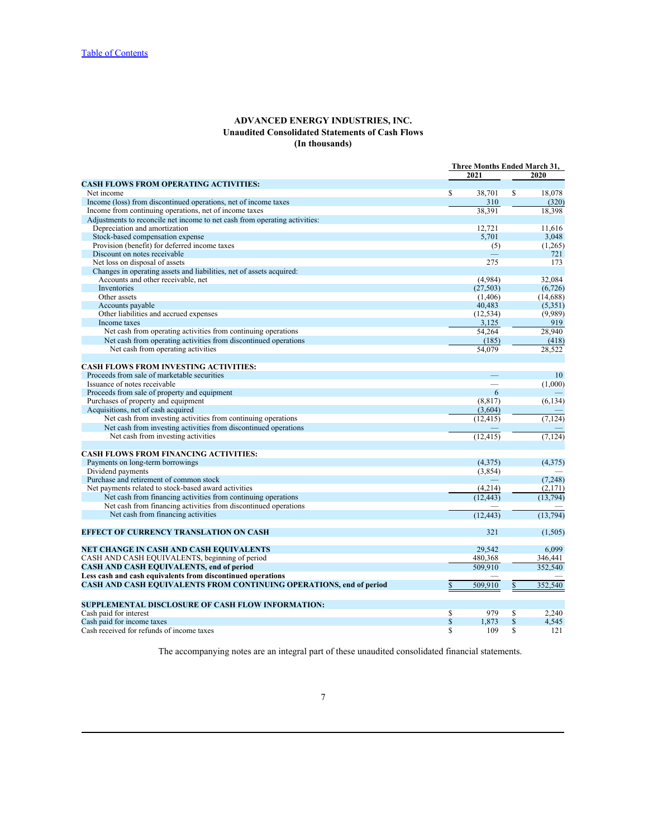# **ADVANCED ENERGY INDUSTRIES, INC. Unaudited Consolidated Statements of Cash Flows (In thousands)**

<span id="page-6-0"></span>

| 2021<br>2020<br>$\mathbf S$<br>38,701<br><sup>S</sup><br>18.078<br>Income (loss) from discontinued operations, net of income taxes<br>310<br>(320)<br>Income from continuing operations, net of income taxes<br>38,391<br>18,398<br>Depreciation and amortization<br>12,721<br>11,616<br>Stock-based compensation expense<br>5,701<br>3,048<br>Provision (benefit) for deferred income taxes<br>(5)<br>(1,265)<br>Discount on notes receivable<br>721<br>$\overline{\phantom{m}}$<br>Net loss on disposal of assets<br>275<br>173<br>Changes in operating assets and liabilities, net of assets acquired:<br>Accounts and other receivable, net<br>(4,984)<br>32.084<br>(27, 503)<br>(6, 726)<br>Inventories<br>(1,406)<br>(14,688)<br>Other assets<br>40,483<br>(5,351)<br>Accounts payable<br>Other liabilities and accrued expenses<br>(12, 534)<br>(9,989)<br>3,125<br>Income taxes<br>919<br>Net cash from operating activities from continuing operations<br>28,940<br>54,264<br>Net cash from operating activities from discontinued operations<br>(185)<br>(418)<br>Net cash from operating activities<br>54.079<br>28,522<br><b>CASH FLOWS FROM INVESTING ACTIVITIES:</b><br>10<br>(1,000)<br>6<br>(8, 817)<br>(6, 134)<br>Acquisitions, net of cash acquired<br>(3,604)<br>Net cash from investing activities from continuing operations<br>(7, 124)<br>(12, 415)<br>Net cash from investing activities from discontinued operations<br>Net cash from investing activities<br>(7, 124)<br>(12, 415)<br><b>CASH FLOWS FROM FINANCING ACTIVITIES:</b><br>Payments on long-term borrowings<br>(4,375)<br>(4,375)<br>Dividend payments<br>(3,854)<br>Purchase and retirement of common stock<br>(7, 248)<br>$\sim$<br>Net payments related to stock-based award activities<br>(4,214)<br>(2,171)<br>Net cash from financing activities from continuing operations<br>(12, 443)<br>(13, 794)<br>Net cash from financing activities from discontinued operations<br>Net cash from financing activities<br>(12, 443)<br>(13,794)<br>321<br>(1,505)<br>29,542<br>6,099<br>CASH AND CASH EQUIVALENTS, beginning of period<br>480,368<br>346.441<br>CASH AND CASH EQUIVALENTS, end of period<br>509,910<br>352,540<br>Less cash and cash equivalents from discontinued operations<br>CASH AND CASH EQUIVALENTS FROM CONTINUING OPERATIONS, end of period<br>509,910<br>352,540<br>979<br><sup>S</sup><br>2,240<br>-S<br><sup>S</sup><br>1,873<br>$\mathbb{S}$<br>4,545<br>109<br><sup>\$</sup><br>-S<br>121 |                                                                            | Three Months Ended March 31, |  |  |
|-------------------------------------------------------------------------------------------------------------------------------------------------------------------------------------------------------------------------------------------------------------------------------------------------------------------------------------------------------------------------------------------------------------------------------------------------------------------------------------------------------------------------------------------------------------------------------------------------------------------------------------------------------------------------------------------------------------------------------------------------------------------------------------------------------------------------------------------------------------------------------------------------------------------------------------------------------------------------------------------------------------------------------------------------------------------------------------------------------------------------------------------------------------------------------------------------------------------------------------------------------------------------------------------------------------------------------------------------------------------------------------------------------------------------------------------------------------------------------------------------------------------------------------------------------------------------------------------------------------------------------------------------------------------------------------------------------------------------------------------------------------------------------------------------------------------------------------------------------------------------------------------------------------------------------------------------------------------------------------------------------------------------------------------------------------------------------------------------------------------------------------------------------------------------------------------------------------------------------------------------------------------------------------------------------------------------------------------------------------------------------------------------------------------------------------------------------------------------------------------------------------|----------------------------------------------------------------------------|------------------------------|--|--|
|                                                                                                                                                                                                                                                                                                                                                                                                                                                                                                                                                                                                                                                                                                                                                                                                                                                                                                                                                                                                                                                                                                                                                                                                                                                                                                                                                                                                                                                                                                                                                                                                                                                                                                                                                                                                                                                                                                                                                                                                                                                                                                                                                                                                                                                                                                                                                                                                                                                                                                             |                                                                            |                              |  |  |
|                                                                                                                                                                                                                                                                                                                                                                                                                                                                                                                                                                                                                                                                                                                                                                                                                                                                                                                                                                                                                                                                                                                                                                                                                                                                                                                                                                                                                                                                                                                                                                                                                                                                                                                                                                                                                                                                                                                                                                                                                                                                                                                                                                                                                                                                                                                                                                                                                                                                                                             | <b>CASH FLOWS FROM OPERATING ACTIVITIES:</b>                               |                              |  |  |
|                                                                                                                                                                                                                                                                                                                                                                                                                                                                                                                                                                                                                                                                                                                                                                                                                                                                                                                                                                                                                                                                                                                                                                                                                                                                                                                                                                                                                                                                                                                                                                                                                                                                                                                                                                                                                                                                                                                                                                                                                                                                                                                                                                                                                                                                                                                                                                                                                                                                                                             | Net income                                                                 |                              |  |  |
|                                                                                                                                                                                                                                                                                                                                                                                                                                                                                                                                                                                                                                                                                                                                                                                                                                                                                                                                                                                                                                                                                                                                                                                                                                                                                                                                                                                                                                                                                                                                                                                                                                                                                                                                                                                                                                                                                                                                                                                                                                                                                                                                                                                                                                                                                                                                                                                                                                                                                                             |                                                                            |                              |  |  |
|                                                                                                                                                                                                                                                                                                                                                                                                                                                                                                                                                                                                                                                                                                                                                                                                                                                                                                                                                                                                                                                                                                                                                                                                                                                                                                                                                                                                                                                                                                                                                                                                                                                                                                                                                                                                                                                                                                                                                                                                                                                                                                                                                                                                                                                                                                                                                                                                                                                                                                             |                                                                            |                              |  |  |
|                                                                                                                                                                                                                                                                                                                                                                                                                                                                                                                                                                                                                                                                                                                                                                                                                                                                                                                                                                                                                                                                                                                                                                                                                                                                                                                                                                                                                                                                                                                                                                                                                                                                                                                                                                                                                                                                                                                                                                                                                                                                                                                                                                                                                                                                                                                                                                                                                                                                                                             | Adjustments to reconcile net income to net cash from operating activities: |                              |  |  |
|                                                                                                                                                                                                                                                                                                                                                                                                                                                                                                                                                                                                                                                                                                                                                                                                                                                                                                                                                                                                                                                                                                                                                                                                                                                                                                                                                                                                                                                                                                                                                                                                                                                                                                                                                                                                                                                                                                                                                                                                                                                                                                                                                                                                                                                                                                                                                                                                                                                                                                             |                                                                            |                              |  |  |
|                                                                                                                                                                                                                                                                                                                                                                                                                                                                                                                                                                                                                                                                                                                                                                                                                                                                                                                                                                                                                                                                                                                                                                                                                                                                                                                                                                                                                                                                                                                                                                                                                                                                                                                                                                                                                                                                                                                                                                                                                                                                                                                                                                                                                                                                                                                                                                                                                                                                                                             |                                                                            |                              |  |  |
|                                                                                                                                                                                                                                                                                                                                                                                                                                                                                                                                                                                                                                                                                                                                                                                                                                                                                                                                                                                                                                                                                                                                                                                                                                                                                                                                                                                                                                                                                                                                                                                                                                                                                                                                                                                                                                                                                                                                                                                                                                                                                                                                                                                                                                                                                                                                                                                                                                                                                                             |                                                                            |                              |  |  |
|                                                                                                                                                                                                                                                                                                                                                                                                                                                                                                                                                                                                                                                                                                                                                                                                                                                                                                                                                                                                                                                                                                                                                                                                                                                                                                                                                                                                                                                                                                                                                                                                                                                                                                                                                                                                                                                                                                                                                                                                                                                                                                                                                                                                                                                                                                                                                                                                                                                                                                             |                                                                            |                              |  |  |
|                                                                                                                                                                                                                                                                                                                                                                                                                                                                                                                                                                                                                                                                                                                                                                                                                                                                                                                                                                                                                                                                                                                                                                                                                                                                                                                                                                                                                                                                                                                                                                                                                                                                                                                                                                                                                                                                                                                                                                                                                                                                                                                                                                                                                                                                                                                                                                                                                                                                                                             |                                                                            |                              |  |  |
|                                                                                                                                                                                                                                                                                                                                                                                                                                                                                                                                                                                                                                                                                                                                                                                                                                                                                                                                                                                                                                                                                                                                                                                                                                                                                                                                                                                                                                                                                                                                                                                                                                                                                                                                                                                                                                                                                                                                                                                                                                                                                                                                                                                                                                                                                                                                                                                                                                                                                                             |                                                                            |                              |  |  |
|                                                                                                                                                                                                                                                                                                                                                                                                                                                                                                                                                                                                                                                                                                                                                                                                                                                                                                                                                                                                                                                                                                                                                                                                                                                                                                                                                                                                                                                                                                                                                                                                                                                                                                                                                                                                                                                                                                                                                                                                                                                                                                                                                                                                                                                                                                                                                                                                                                                                                                             |                                                                            |                              |  |  |
|                                                                                                                                                                                                                                                                                                                                                                                                                                                                                                                                                                                                                                                                                                                                                                                                                                                                                                                                                                                                                                                                                                                                                                                                                                                                                                                                                                                                                                                                                                                                                                                                                                                                                                                                                                                                                                                                                                                                                                                                                                                                                                                                                                                                                                                                                                                                                                                                                                                                                                             |                                                                            |                              |  |  |
|                                                                                                                                                                                                                                                                                                                                                                                                                                                                                                                                                                                                                                                                                                                                                                                                                                                                                                                                                                                                                                                                                                                                                                                                                                                                                                                                                                                                                                                                                                                                                                                                                                                                                                                                                                                                                                                                                                                                                                                                                                                                                                                                                                                                                                                                                                                                                                                                                                                                                                             |                                                                            |                              |  |  |
|                                                                                                                                                                                                                                                                                                                                                                                                                                                                                                                                                                                                                                                                                                                                                                                                                                                                                                                                                                                                                                                                                                                                                                                                                                                                                                                                                                                                                                                                                                                                                                                                                                                                                                                                                                                                                                                                                                                                                                                                                                                                                                                                                                                                                                                                                                                                                                                                                                                                                                             |                                                                            |                              |  |  |
|                                                                                                                                                                                                                                                                                                                                                                                                                                                                                                                                                                                                                                                                                                                                                                                                                                                                                                                                                                                                                                                                                                                                                                                                                                                                                                                                                                                                                                                                                                                                                                                                                                                                                                                                                                                                                                                                                                                                                                                                                                                                                                                                                                                                                                                                                                                                                                                                                                                                                                             |                                                                            |                              |  |  |
|                                                                                                                                                                                                                                                                                                                                                                                                                                                                                                                                                                                                                                                                                                                                                                                                                                                                                                                                                                                                                                                                                                                                                                                                                                                                                                                                                                                                                                                                                                                                                                                                                                                                                                                                                                                                                                                                                                                                                                                                                                                                                                                                                                                                                                                                                                                                                                                                                                                                                                             |                                                                            |                              |  |  |
|                                                                                                                                                                                                                                                                                                                                                                                                                                                                                                                                                                                                                                                                                                                                                                                                                                                                                                                                                                                                                                                                                                                                                                                                                                                                                                                                                                                                                                                                                                                                                                                                                                                                                                                                                                                                                                                                                                                                                                                                                                                                                                                                                                                                                                                                                                                                                                                                                                                                                                             |                                                                            |                              |  |  |
|                                                                                                                                                                                                                                                                                                                                                                                                                                                                                                                                                                                                                                                                                                                                                                                                                                                                                                                                                                                                                                                                                                                                                                                                                                                                                                                                                                                                                                                                                                                                                                                                                                                                                                                                                                                                                                                                                                                                                                                                                                                                                                                                                                                                                                                                                                                                                                                                                                                                                                             |                                                                            |                              |  |  |
|                                                                                                                                                                                                                                                                                                                                                                                                                                                                                                                                                                                                                                                                                                                                                                                                                                                                                                                                                                                                                                                                                                                                                                                                                                                                                                                                                                                                                                                                                                                                                                                                                                                                                                                                                                                                                                                                                                                                                                                                                                                                                                                                                                                                                                                                                                                                                                                                                                                                                                             |                                                                            |                              |  |  |
|                                                                                                                                                                                                                                                                                                                                                                                                                                                                                                                                                                                                                                                                                                                                                                                                                                                                                                                                                                                                                                                                                                                                                                                                                                                                                                                                                                                                                                                                                                                                                                                                                                                                                                                                                                                                                                                                                                                                                                                                                                                                                                                                                                                                                                                                                                                                                                                                                                                                                                             |                                                                            |                              |  |  |
|                                                                                                                                                                                                                                                                                                                                                                                                                                                                                                                                                                                                                                                                                                                                                                                                                                                                                                                                                                                                                                                                                                                                                                                                                                                                                                                                                                                                                                                                                                                                                                                                                                                                                                                                                                                                                                                                                                                                                                                                                                                                                                                                                                                                                                                                                                                                                                                                                                                                                                             |                                                                            |                              |  |  |
|                                                                                                                                                                                                                                                                                                                                                                                                                                                                                                                                                                                                                                                                                                                                                                                                                                                                                                                                                                                                                                                                                                                                                                                                                                                                                                                                                                                                                                                                                                                                                                                                                                                                                                                                                                                                                                                                                                                                                                                                                                                                                                                                                                                                                                                                                                                                                                                                                                                                                                             |                                                                            |                              |  |  |
|                                                                                                                                                                                                                                                                                                                                                                                                                                                                                                                                                                                                                                                                                                                                                                                                                                                                                                                                                                                                                                                                                                                                                                                                                                                                                                                                                                                                                                                                                                                                                                                                                                                                                                                                                                                                                                                                                                                                                                                                                                                                                                                                                                                                                                                                                                                                                                                                                                                                                                             | Proceeds from sale of marketable securities                                |                              |  |  |
|                                                                                                                                                                                                                                                                                                                                                                                                                                                                                                                                                                                                                                                                                                                                                                                                                                                                                                                                                                                                                                                                                                                                                                                                                                                                                                                                                                                                                                                                                                                                                                                                                                                                                                                                                                                                                                                                                                                                                                                                                                                                                                                                                                                                                                                                                                                                                                                                                                                                                                             | Issuance of notes receivable                                               |                              |  |  |
|                                                                                                                                                                                                                                                                                                                                                                                                                                                                                                                                                                                                                                                                                                                                                                                                                                                                                                                                                                                                                                                                                                                                                                                                                                                                                                                                                                                                                                                                                                                                                                                                                                                                                                                                                                                                                                                                                                                                                                                                                                                                                                                                                                                                                                                                                                                                                                                                                                                                                                             | Proceeds from sale of property and equipment                               |                              |  |  |
|                                                                                                                                                                                                                                                                                                                                                                                                                                                                                                                                                                                                                                                                                                                                                                                                                                                                                                                                                                                                                                                                                                                                                                                                                                                                                                                                                                                                                                                                                                                                                                                                                                                                                                                                                                                                                                                                                                                                                                                                                                                                                                                                                                                                                                                                                                                                                                                                                                                                                                             | Purchases of property and equipment                                        |                              |  |  |
|                                                                                                                                                                                                                                                                                                                                                                                                                                                                                                                                                                                                                                                                                                                                                                                                                                                                                                                                                                                                                                                                                                                                                                                                                                                                                                                                                                                                                                                                                                                                                                                                                                                                                                                                                                                                                                                                                                                                                                                                                                                                                                                                                                                                                                                                                                                                                                                                                                                                                                             |                                                                            |                              |  |  |
|                                                                                                                                                                                                                                                                                                                                                                                                                                                                                                                                                                                                                                                                                                                                                                                                                                                                                                                                                                                                                                                                                                                                                                                                                                                                                                                                                                                                                                                                                                                                                                                                                                                                                                                                                                                                                                                                                                                                                                                                                                                                                                                                                                                                                                                                                                                                                                                                                                                                                                             |                                                                            |                              |  |  |
|                                                                                                                                                                                                                                                                                                                                                                                                                                                                                                                                                                                                                                                                                                                                                                                                                                                                                                                                                                                                                                                                                                                                                                                                                                                                                                                                                                                                                                                                                                                                                                                                                                                                                                                                                                                                                                                                                                                                                                                                                                                                                                                                                                                                                                                                                                                                                                                                                                                                                                             |                                                                            |                              |  |  |
|                                                                                                                                                                                                                                                                                                                                                                                                                                                                                                                                                                                                                                                                                                                                                                                                                                                                                                                                                                                                                                                                                                                                                                                                                                                                                                                                                                                                                                                                                                                                                                                                                                                                                                                                                                                                                                                                                                                                                                                                                                                                                                                                                                                                                                                                                                                                                                                                                                                                                                             |                                                                            |                              |  |  |
|                                                                                                                                                                                                                                                                                                                                                                                                                                                                                                                                                                                                                                                                                                                                                                                                                                                                                                                                                                                                                                                                                                                                                                                                                                                                                                                                                                                                                                                                                                                                                                                                                                                                                                                                                                                                                                                                                                                                                                                                                                                                                                                                                                                                                                                                                                                                                                                                                                                                                                             |                                                                            |                              |  |  |
|                                                                                                                                                                                                                                                                                                                                                                                                                                                                                                                                                                                                                                                                                                                                                                                                                                                                                                                                                                                                                                                                                                                                                                                                                                                                                                                                                                                                                                                                                                                                                                                                                                                                                                                                                                                                                                                                                                                                                                                                                                                                                                                                                                                                                                                                                                                                                                                                                                                                                                             |                                                                            |                              |  |  |
|                                                                                                                                                                                                                                                                                                                                                                                                                                                                                                                                                                                                                                                                                                                                                                                                                                                                                                                                                                                                                                                                                                                                                                                                                                                                                                                                                                                                                                                                                                                                                                                                                                                                                                                                                                                                                                                                                                                                                                                                                                                                                                                                                                                                                                                                                                                                                                                                                                                                                                             |                                                                            |                              |  |  |
|                                                                                                                                                                                                                                                                                                                                                                                                                                                                                                                                                                                                                                                                                                                                                                                                                                                                                                                                                                                                                                                                                                                                                                                                                                                                                                                                                                                                                                                                                                                                                                                                                                                                                                                                                                                                                                                                                                                                                                                                                                                                                                                                                                                                                                                                                                                                                                                                                                                                                                             |                                                                            |                              |  |  |
|                                                                                                                                                                                                                                                                                                                                                                                                                                                                                                                                                                                                                                                                                                                                                                                                                                                                                                                                                                                                                                                                                                                                                                                                                                                                                                                                                                                                                                                                                                                                                                                                                                                                                                                                                                                                                                                                                                                                                                                                                                                                                                                                                                                                                                                                                                                                                                                                                                                                                                             |                                                                            |                              |  |  |
|                                                                                                                                                                                                                                                                                                                                                                                                                                                                                                                                                                                                                                                                                                                                                                                                                                                                                                                                                                                                                                                                                                                                                                                                                                                                                                                                                                                                                                                                                                                                                                                                                                                                                                                                                                                                                                                                                                                                                                                                                                                                                                                                                                                                                                                                                                                                                                                                                                                                                                             |                                                                            |                              |  |  |
|                                                                                                                                                                                                                                                                                                                                                                                                                                                                                                                                                                                                                                                                                                                                                                                                                                                                                                                                                                                                                                                                                                                                                                                                                                                                                                                                                                                                                                                                                                                                                                                                                                                                                                                                                                                                                                                                                                                                                                                                                                                                                                                                                                                                                                                                                                                                                                                                                                                                                                             |                                                                            |                              |  |  |
|                                                                                                                                                                                                                                                                                                                                                                                                                                                                                                                                                                                                                                                                                                                                                                                                                                                                                                                                                                                                                                                                                                                                                                                                                                                                                                                                                                                                                                                                                                                                                                                                                                                                                                                                                                                                                                                                                                                                                                                                                                                                                                                                                                                                                                                                                                                                                                                                                                                                                                             |                                                                            |                              |  |  |
|                                                                                                                                                                                                                                                                                                                                                                                                                                                                                                                                                                                                                                                                                                                                                                                                                                                                                                                                                                                                                                                                                                                                                                                                                                                                                                                                                                                                                                                                                                                                                                                                                                                                                                                                                                                                                                                                                                                                                                                                                                                                                                                                                                                                                                                                                                                                                                                                                                                                                                             |                                                                            |                              |  |  |
|                                                                                                                                                                                                                                                                                                                                                                                                                                                                                                                                                                                                                                                                                                                                                                                                                                                                                                                                                                                                                                                                                                                                                                                                                                                                                                                                                                                                                                                                                                                                                                                                                                                                                                                                                                                                                                                                                                                                                                                                                                                                                                                                                                                                                                                                                                                                                                                                                                                                                                             |                                                                            |                              |  |  |
|                                                                                                                                                                                                                                                                                                                                                                                                                                                                                                                                                                                                                                                                                                                                                                                                                                                                                                                                                                                                                                                                                                                                                                                                                                                                                                                                                                                                                                                                                                                                                                                                                                                                                                                                                                                                                                                                                                                                                                                                                                                                                                                                                                                                                                                                                                                                                                                                                                                                                                             |                                                                            |                              |  |  |
|                                                                                                                                                                                                                                                                                                                                                                                                                                                                                                                                                                                                                                                                                                                                                                                                                                                                                                                                                                                                                                                                                                                                                                                                                                                                                                                                                                                                                                                                                                                                                                                                                                                                                                                                                                                                                                                                                                                                                                                                                                                                                                                                                                                                                                                                                                                                                                                                                                                                                                             | <b>EFFECT OF CURRENCY TRANSLATION ON CASH</b>                              |                              |  |  |
|                                                                                                                                                                                                                                                                                                                                                                                                                                                                                                                                                                                                                                                                                                                                                                                                                                                                                                                                                                                                                                                                                                                                                                                                                                                                                                                                                                                                                                                                                                                                                                                                                                                                                                                                                                                                                                                                                                                                                                                                                                                                                                                                                                                                                                                                                                                                                                                                                                                                                                             |                                                                            |                              |  |  |
|                                                                                                                                                                                                                                                                                                                                                                                                                                                                                                                                                                                                                                                                                                                                                                                                                                                                                                                                                                                                                                                                                                                                                                                                                                                                                                                                                                                                                                                                                                                                                                                                                                                                                                                                                                                                                                                                                                                                                                                                                                                                                                                                                                                                                                                                                                                                                                                                                                                                                                             | NET CHANGE IN CASH AND CASH EQUIVALENTS                                    |                              |  |  |
|                                                                                                                                                                                                                                                                                                                                                                                                                                                                                                                                                                                                                                                                                                                                                                                                                                                                                                                                                                                                                                                                                                                                                                                                                                                                                                                                                                                                                                                                                                                                                                                                                                                                                                                                                                                                                                                                                                                                                                                                                                                                                                                                                                                                                                                                                                                                                                                                                                                                                                             |                                                                            |                              |  |  |
|                                                                                                                                                                                                                                                                                                                                                                                                                                                                                                                                                                                                                                                                                                                                                                                                                                                                                                                                                                                                                                                                                                                                                                                                                                                                                                                                                                                                                                                                                                                                                                                                                                                                                                                                                                                                                                                                                                                                                                                                                                                                                                                                                                                                                                                                                                                                                                                                                                                                                                             |                                                                            |                              |  |  |
|                                                                                                                                                                                                                                                                                                                                                                                                                                                                                                                                                                                                                                                                                                                                                                                                                                                                                                                                                                                                                                                                                                                                                                                                                                                                                                                                                                                                                                                                                                                                                                                                                                                                                                                                                                                                                                                                                                                                                                                                                                                                                                                                                                                                                                                                                                                                                                                                                                                                                                             |                                                                            |                              |  |  |
|                                                                                                                                                                                                                                                                                                                                                                                                                                                                                                                                                                                                                                                                                                                                                                                                                                                                                                                                                                                                                                                                                                                                                                                                                                                                                                                                                                                                                                                                                                                                                                                                                                                                                                                                                                                                                                                                                                                                                                                                                                                                                                                                                                                                                                                                                                                                                                                                                                                                                                             |                                                                            |                              |  |  |
|                                                                                                                                                                                                                                                                                                                                                                                                                                                                                                                                                                                                                                                                                                                                                                                                                                                                                                                                                                                                                                                                                                                                                                                                                                                                                                                                                                                                                                                                                                                                                                                                                                                                                                                                                                                                                                                                                                                                                                                                                                                                                                                                                                                                                                                                                                                                                                                                                                                                                                             |                                                                            |                              |  |  |
|                                                                                                                                                                                                                                                                                                                                                                                                                                                                                                                                                                                                                                                                                                                                                                                                                                                                                                                                                                                                                                                                                                                                                                                                                                                                                                                                                                                                                                                                                                                                                                                                                                                                                                                                                                                                                                                                                                                                                                                                                                                                                                                                                                                                                                                                                                                                                                                                                                                                                                             |                                                                            |                              |  |  |
|                                                                                                                                                                                                                                                                                                                                                                                                                                                                                                                                                                                                                                                                                                                                                                                                                                                                                                                                                                                                                                                                                                                                                                                                                                                                                                                                                                                                                                                                                                                                                                                                                                                                                                                                                                                                                                                                                                                                                                                                                                                                                                                                                                                                                                                                                                                                                                                                                                                                                                             | <b>SUPPLEMENTAL DISCLOSURE OF CASH FLOW INFORMATION:</b>                   |                              |  |  |
|                                                                                                                                                                                                                                                                                                                                                                                                                                                                                                                                                                                                                                                                                                                                                                                                                                                                                                                                                                                                                                                                                                                                                                                                                                                                                                                                                                                                                                                                                                                                                                                                                                                                                                                                                                                                                                                                                                                                                                                                                                                                                                                                                                                                                                                                                                                                                                                                                                                                                                             | Cash paid for interest                                                     |                              |  |  |
|                                                                                                                                                                                                                                                                                                                                                                                                                                                                                                                                                                                                                                                                                                                                                                                                                                                                                                                                                                                                                                                                                                                                                                                                                                                                                                                                                                                                                                                                                                                                                                                                                                                                                                                                                                                                                                                                                                                                                                                                                                                                                                                                                                                                                                                                                                                                                                                                                                                                                                             | Cash paid for income taxes                                                 |                              |  |  |
|                                                                                                                                                                                                                                                                                                                                                                                                                                                                                                                                                                                                                                                                                                                                                                                                                                                                                                                                                                                                                                                                                                                                                                                                                                                                                                                                                                                                                                                                                                                                                                                                                                                                                                                                                                                                                                                                                                                                                                                                                                                                                                                                                                                                                                                                                                                                                                                                                                                                                                             | Cash received for refunds of income taxes                                  |                              |  |  |

The accompanying notes are an integral part of these unaudited consolidated financial statements.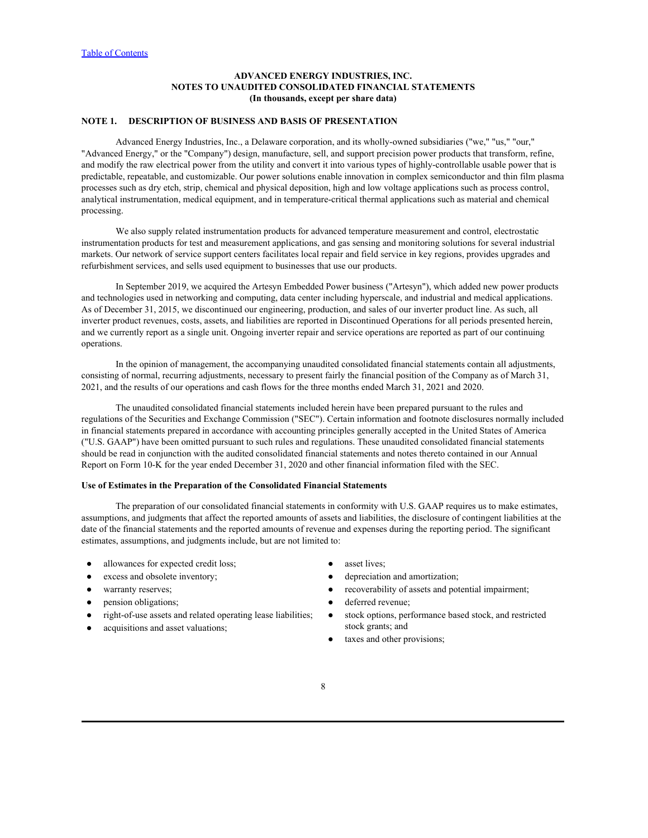# <span id="page-7-0"></span>**NOTE 1. DESCRIPTION OF BUSINESS AND BASIS OF PRESENTATION**

Advanced Energy Industries, Inc., a Delaware corporation, and its wholly-owned subsidiaries ("we," "us," "our," "Advanced Energy," or the "Company") design, manufacture, sell, and support precision power products that transform, refine, and modify the raw electrical power from the utility and convert it into various types of highly-controllable usable power that is predictable, repeatable, and customizable. Our power solutions enable innovation in complex semiconductor and thin film plasma processes such as dry etch, strip, chemical and physical deposition, high and low voltage applications such as process control, analytical instrumentation, medical equipment, and in temperature-critical thermal applications such as material and chemical processing.

We also supply related instrumentation products for advanced temperature measurement and control, electrostatic instrumentation products for test and measurement applications, and gas sensing and monitoring solutions for several industrial markets. Our network of service support centers facilitates local repair and field service in key regions, provides upgrades and refurbishment services, and sells used equipment to businesses that use our products.

In September 2019, we acquired the Artesyn Embedded Power business ("Artesyn"), which added new power products and technologies used in networking and computing, data center including hyperscale, and industrial and medical applications. As of December 31, 2015, we discontinued our engineering, production, and sales of our inverter product line. As such, all inverter product revenues, costs, assets, and liabilities are reported in Discontinued Operations for all periods presented herein, and we currently report as a single unit. Ongoing inverter repair and service operations are reported as part of our continuing operations.

In the opinion of management, the accompanying unaudited consolidated financial statements contain all adjustments, consisting of normal, recurring adjustments, necessary to present fairly the financial position of the Company as of March 31, 2021, and the results of our operations and cash flows for the three months ended March 31, 2021 and 2020.

The unaudited consolidated financial statements included herein have been prepared pursuant to the rules and regulations of the Securities and Exchange Commission ("SEC"). Certain information and footnote disclosures normally included in financial statements prepared in accordance with accounting principles generally accepted in the United States of America ("U.S. GAAP") have been omitted pursuant to such rules and regulations. These unaudited consolidated financial statements should be read in conjunction with the audited consolidated financial statements and notes thereto contained in our Annual Report on Form 10-K for the year ended December 31, 2020 and other financial information filed with the SEC.

#### **Use of Estimates in the Preparation of the Consolidated Financial Statements**

The preparation of our consolidated financial statements in conformity with U.S. GAAP requires us to make estimates, assumptions, and judgments that affect the reported amounts of assets and liabilities, the disclosure of contingent liabilities at the date of the financial statements and the reported amounts of revenue and expenses during the reporting period. The significant estimates, assumptions, and judgments include, but are not limited to:

- allowances for expected credit loss; expected credit loss;
- 
- 
- 
- 
- 
- 
- excess and obsolete inventory;  $\bullet$  depreciation and amortization;
- warranty reserves; exercisely a metallic exponent of a sets and potential impairment;
- pension obligations;  $\bullet$  deferred revenue;
- right-of-use assets and related operating lease liabilities;  $\bullet$  stock options, performance based stock, and restricted • allowances for expected credit loss;<br>
• excess and obsolete inventory;<br>
• warranty reserves;<br>
• recoverability of assets and potential impairment;<br>
• right-of-use assets and related operating lease liabilities;<br>
• s stock grants; and
	- taxes and other provisions;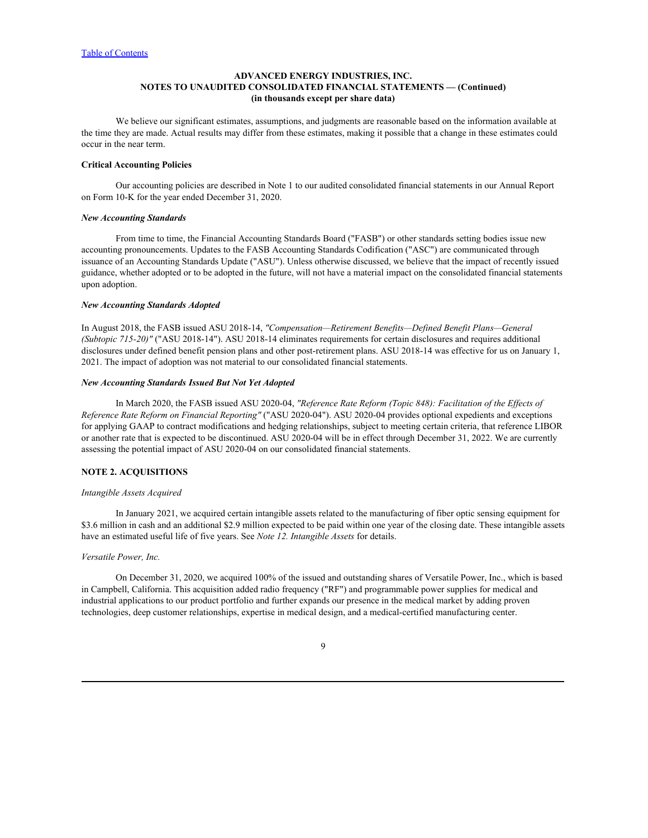We believe our significant estimates, assumptions, and judgments are reasonable based on the information available at the time they are made. Actual results may differ from these estimates, making it possible that a change in these estimates could occur in the near term.

#### **Critical Accounting Policies**

Our accounting policies are described in Note 1 to our audited consolidated financial statements in our Annual Report on Form 10-K for the year ended December 31, 2020.

#### *New Accounting Standards*

From time to time, the Financial Accounting Standards Board ("FASB") or other standards setting bodies issue new accounting pronouncements. Updates to the FASB Accounting Standards Codification ("ASC") are communicated through issuance of an Accounting Standards Update ("ASU"). Unless otherwise discussed, we believe that the impact of recently issued guidance, whether adopted or to be adopted in the future, will not have a material impact on the consolidated financial statements upon adoption.

#### *New Accounting Standards Adopted*

In August 2018, the FASB issued ASU 2018-14, *"Compensation—Retirement Benefits—Defined Benefit Plans—General (Subtopic 715-20)"* ("ASU 2018-14"). ASU 2018-14 eliminates requirements for certain disclosures and requires additional disclosures under defined benefit pension plans and other post-retirement plans. ASU 2018-14 was effective for us on January 1, 2021. The impact of adoption was not material to our consolidated financial statements.

### *New Accounting Standards Issued But Not Yet Adopted*

In March 2020, the FASB issued ASU 2020-04, *"Reference Rate Reform (Topic 848): Facilitation of the Effects of Reference Rate Reform on Financial Reporting"* ("ASU 2020-04"). ASU 2020-04 provides optional expedients and exceptions for applying GAAP to contract modifications and hedging relationships, subject to meeting certain criteria, that reference LIBOR or another rate that is expected to be discontinued. ASU 2020-04 will be in effect through December 31, 2022. We are currently assessing the potential impact of ASU 2020-04 on our consolidated financial statements.

### **NOTE 2. ACQUISITIONS**

### *Intangible Assets Acquired*

In January 2021, we acquired certain intangible assets related to the manufacturing of fiber optic sensing equipment for \$3.6 million in cash and an additional \$2.9 million expected to be paid within one year of the closing date. These intangible assets have an estimated useful life of five years. See *Note 12. Intangible Assets* for details.

### *Versatile Power, Inc.*

On December 31, 2020, we acquired 100% of the issued and outstanding shares of Versatile Power, Inc., which is based in Campbell, California. This acquisition added radio frequency ("RF") and programmable power supplies for medical and industrial applications to our product portfolio and further expands our presence in the medical market by adding proven technologies, deep customer relationships, expertise in medical design, and a medical-certified manufacturing center.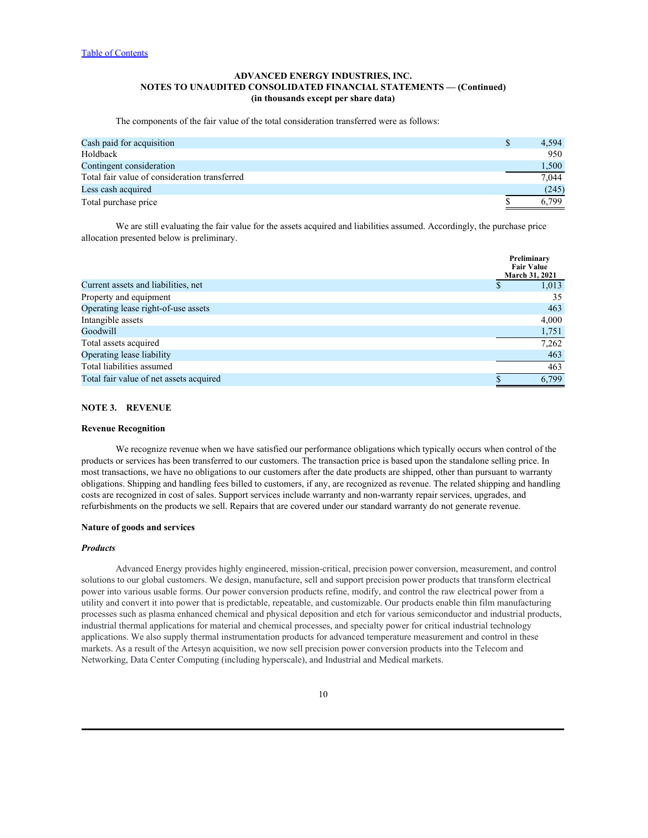The components of the fair value of the total consideration transferred were as follows:

| Cash paid for acquisition                     | 4,594 |
|-----------------------------------------------|-------|
| Holdback                                      | 950   |
| Contingent consideration                      | 1,500 |
| Total fair value of consideration transferred | 7,044 |
| Less cash acquired                            | (245) |
| Total purchase price                          | 6,799 |
|                                               |       |

We are still evaluating the fair value for the assets acquired and liabilities assumed. Accordingly, the purchase price allocation presented below is preliminary.

|                                         | Preliminary<br><b>Fair Value</b> |
|-----------------------------------------|----------------------------------|
|                                         | March 31, 2021                   |
| Current assets and liabilities, net     | 1,013                            |
| Property and equipment                  | 35                               |
| Operating lease right-of-use assets     | 463                              |
| Intangible assets                       | 4,000                            |
| Goodwill                                | 1,751                            |
| Total assets acquired                   | 7,262                            |
| Operating lease liability               | 463                              |
| Total liabilities assumed               | 463                              |
| Total fair value of net assets acquired | 6,799                            |
|                                         |                                  |

### **NOTE 3. REVENUE**

#### **Revenue Recognition**

We recognize revenue when we have satisfied our performance obligations which typically occurs when control of the products or services has been transferred to our customers. The transaction price is based upon the standalone selling price. In most transactions, we have no obligations to our customers after the date products are shipped, other than pursuant to warranty obligations. Shipping and handling fees billed to customers, if any, are recognized as revenue. The related shipping and handling costs are recognized in cost of sales. Support services include warranty and non-warranty repair services, upgrades, and refurbishments on the products we sell. Repairs that are covered under our standard warranty do not generate revenue.

#### **Nature of goods and services**

### *Products*

Advanced Energy provides highly engineered, mission-critical, precision power conversion, measurement, and control solutions to our global customers. We design, manufacture, sell and support precision power products that transform electrical power into various usable forms. Our power conversion products refine, modify, and control the raw electrical power from a utility and convert it into power that is predictable, repeatable, and customizable. Our products enable thin film manufacturing processes such as plasma enhanced chemical and physical deposition and etch for various semiconductor and industrial products, industrial thermal applications for material and chemical processes, and specialty power for critical industrial technology applications. We also supply thermal instrumentation products for advanced temperature measurement and control in these markets. As a result of the Artesyn acquisition, we now sell precision power conversion products into the Telecom and Networking, Data Center Computing (including hyperscale), and Industrial and Medical markets.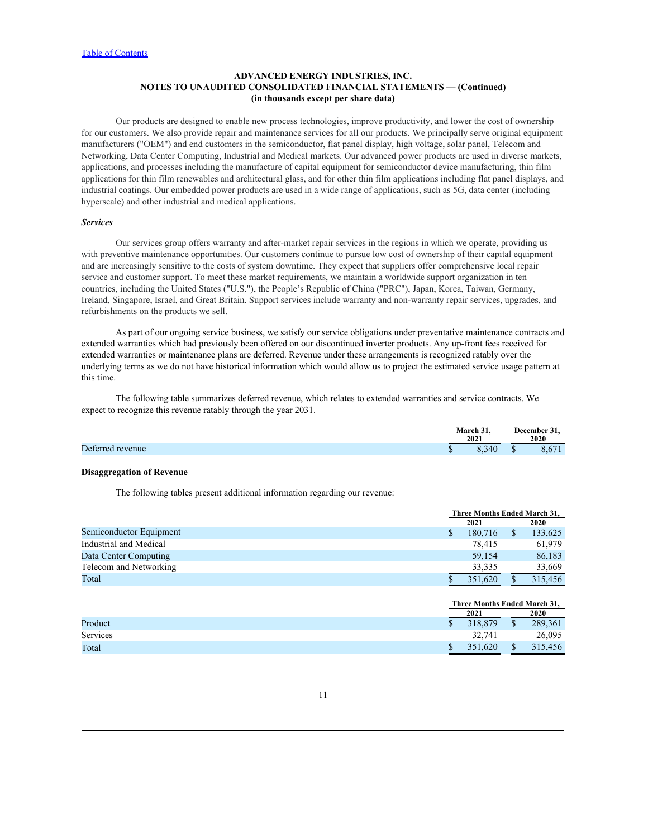Our products are designed to enable new process technologies, improve productivity, and lower the cost of ownership for our customers. We also provide repair and maintenance services for all our products. We principally serve original equipment manufacturers ("OEM") and end customers in the semiconductor, flat panel display, high voltage, solar panel, Telecom and Networking, Data Center Computing, Industrial and Medical markets. Our advanced power products are used in diverse markets, applications, and processes including the manufacture of capital equipment for semiconductor device manufacturing, thin film applications for thin film renewables and architectural glass, and for other thin film applications including flat panel displays, and industrial coatings. Our embedded power products are used in a wide range of applications, such as 5G, data center (including hyperscale) and other industrial and medical applications.

#### *Services*

Our services group offers warranty and after-market repair services in the regions in which we operate, providing us with preventive maintenance opportunities. Our customers continue to pursue low cost of ownership of their capital equipment and are increasingly sensitive to the costs of system downtime. They expect that suppliers offer comprehensive local repair service and customer support. To meet these market requirements, we maintain a worldwide support organization in ten countries, including the United States ("U.S."), the People's Republic of China ("PRC"), Japan, Korea, Taiwan, Germany, Ireland, Singapore, Israel, and Great Britain. Support services include warranty and non-warranty repair services, upgrades, and refurbishments on the products we sell.

As part of our ongoing service business, we satisfy our service obligations under preventative maintenance contracts and extended warranties which had previously been offered on our discontinued inverter products. Any up-front fees received for extended warranties or maintenance plans are deferred. Revenue under these arrangements is recognized ratably over the underlying terms as we do not have historical information which would allow us to project the estimated service usage pattern at this time.

The following table summarizes deferred revenue, which relates to extended warranties and service contracts. We expect to recognize this revenue ratably through the year 2031.

|                  | March 31,<br>$\sim$ $\sim$ $\sim$ $\sim$<br>2021 | December 31,<br>.<br>2020     |
|------------------|--------------------------------------------------|-------------------------------|
| Deferred revenue | 3,340                                            | $\mathcal{L}$ $(71)$<br>8,671 |

#### **Disaggregation of Revenue**

The following tables present additional information regarding our revenue:

|                         |                              | Three Months Ended March 31, |             |  |
|-------------------------|------------------------------|------------------------------|-------------|--|
|                         | 2021                         |                              | <b>2020</b> |  |
| Semiconductor Equipment | 180,716                      |                              | 133,625     |  |
| Industrial and Medical  | 78,415                       |                              | 61,979      |  |
| Data Center Computing   | 59,154                       |                              | 86,183      |  |
| Telecom and Networking  | 33,335                       |                              | 33,669      |  |
| Total                   | 351,620                      |                              | 315,456     |  |
|                         |                              |                              |             |  |
|                         | Three Months Ended March 31. |                              |             |  |

|          | 2021    | 2020    |
|----------|---------|---------|
| Product  | 318,879 | 289,361 |
| Services | 32,741  | 26,095  |
| Total    | 351,620 | 315,456 |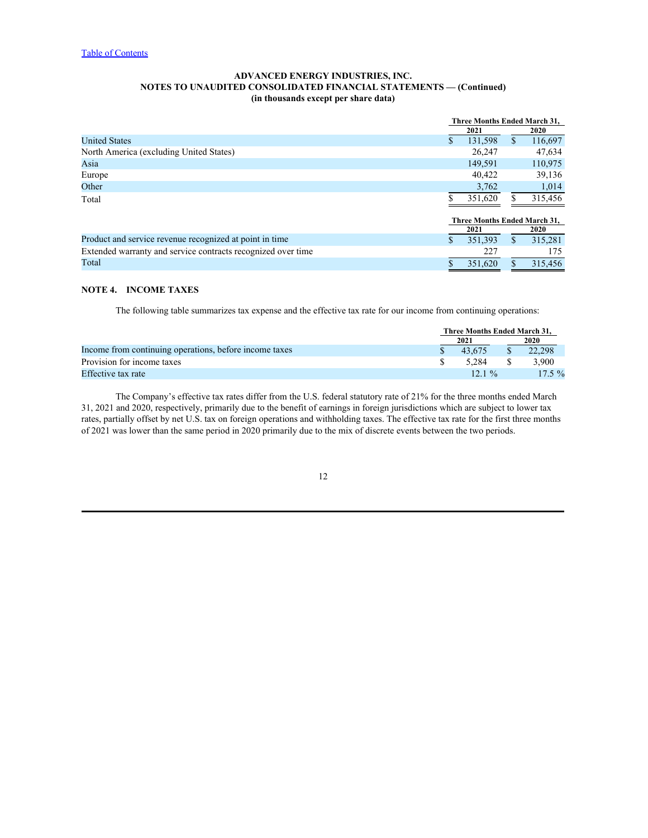|                                                              |                              | Three Months Ended March 31, |             |  |  |  |
|--------------------------------------------------------------|------------------------------|------------------------------|-------------|--|--|--|
|                                                              | 2021                         |                              | <b>2020</b> |  |  |  |
| <b>United States</b>                                         | 131,598                      |                              | 116,697     |  |  |  |
| North America (excluding United States)                      | 26,247                       |                              | 47,634      |  |  |  |
| Asia                                                         | 149,591                      |                              | 110,975     |  |  |  |
| Europe                                                       | 40,422                       |                              | 39,136      |  |  |  |
| Other                                                        | 3,762                        |                              | 1,014       |  |  |  |
| Total                                                        | 351,620                      |                              | 315,456     |  |  |  |
|                                                              | Three Months Ended March 31, |                              |             |  |  |  |
|                                                              | 2021                         |                              | <b>2020</b> |  |  |  |
| Product and service revenue recognized at point in time      | 351,393                      |                              | 315,281     |  |  |  |
| Extended warranty and service contracts recognized over time | 227                          |                              | 175         |  |  |  |
| Total                                                        | 351,620                      |                              | 315,456     |  |  |  |
|                                                              |                              |                              |             |  |  |  |

# **NOTE 4. INCOME TAXES**

The following table summarizes tax expense and the effective tax rate for our income from continuing operations:

|                                                        |      | Three Months Ended March 31, |      |          |  |  |  |
|--------------------------------------------------------|------|------------------------------|------|----------|--|--|--|
|                                                        | 2021 |                              | 2020 |          |  |  |  |
| Income from continuing operations, before income taxes |      | 43,675                       |      | 22,298   |  |  |  |
| Provision for income taxes                             |      | 5,284                        |      | ,900     |  |  |  |
| Effective tax rate                                     |      | $12.1 \%$                    |      | $17.5\%$ |  |  |  |

The Company's effective tax rates differ from the U.S. federal statutory rate of 21% for the three months ended March 31, 2021 and 2020, respectively, primarily due to the benefit of earnings in foreign jurisdictions which are subject to lower tax rates, partially offset by net U.S. tax on foreign operations and withholding taxes. The effective tax rate for the first three months of 2021 was lower than the same period in 2020 primarily due to the mix of discrete events between the two periods.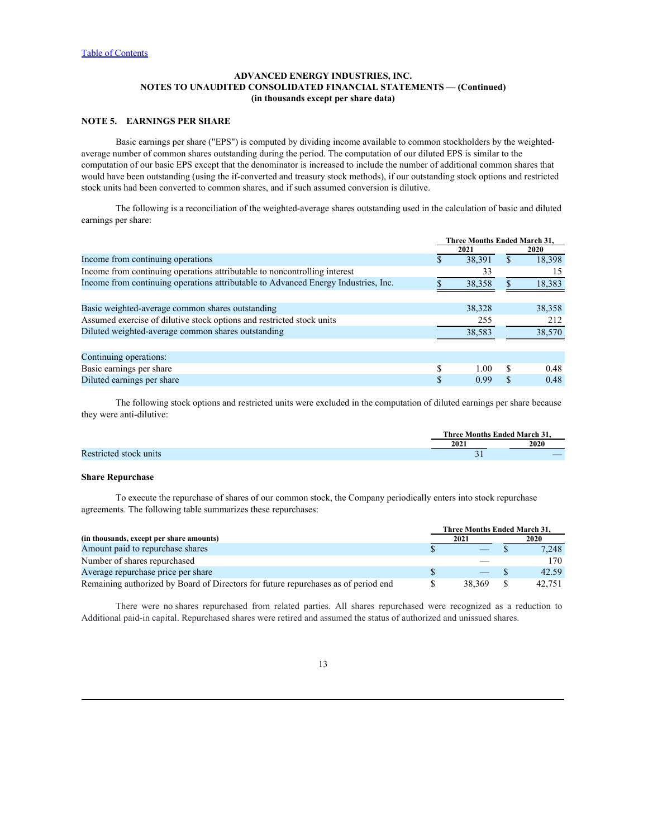# **NOTE 5. EARNINGS PER SHARE**

Basic earnings per share ("EPS") is computed by dividing income available to common stockholders by the weightedaverage number of common shares outstanding during the period. The computation of our diluted EPS is similar to the computation of our basic EPS except that the denominator is increased to include the number of additional common shares that would have been outstanding (using the if-converted and treasury stock methods), if our outstanding stock options and restricted stock units had been converted to common shares, and if such assumed conversion is dilutive.

The following is a reconciliation of the weighted-average shares outstanding used in the calculation of basic and diluted earnings per share:

|                                                                                                                                                                                                                                          |                               | Three Months Ended March 31, |               |               |
|------------------------------------------------------------------------------------------------------------------------------------------------------------------------------------------------------------------------------------------|-------------------------------|------------------------------|---------------|---------------|
|                                                                                                                                                                                                                                          |                               | 2021                         |               | 2020          |
| Income from continuing operations                                                                                                                                                                                                        |                               | 38,391                       | $\mathbb{S}$  | 18,398        |
| Income from continuing operations attributable to noncontrolling interest                                                                                                                                                                |                               | 33                           |               | 15            |
| Income from continuing operations attributable to Advanced Energy Industries, Inc.                                                                                                                                                       |                               | 38,358                       | $\mathbb{S}$  | 18,383        |
| Basic weighted-average common shares outstanding                                                                                                                                                                                         |                               | 38,328                       |               | 38,358        |
| Assumed exercise of dilutive stock options and restricted stock units                                                                                                                                                                    |                               | 255                          |               | 212           |
| Diluted weighted-average common shares outstanding                                                                                                                                                                                       |                               | 38,583                       |               | 38,570        |
| Continuing operations:                                                                                                                                                                                                                   |                               |                              |               |               |
| Basic earnings per share                                                                                                                                                                                                                 |                               | 1.00                         | <sup>\$</sup> | 0.48          |
| Diluted earnings per share                                                                                                                                                                                                               | $\mathcal{S}$                 | 0.99                         | $\mathbb{S}$  | 0.48          |
| Restricted stock units                                                                                                                                                                                                                   |                               | 2021<br>$\overline{31}$      |               | 2020          |
| <b>Share Repurchase</b>                                                                                                                                                                                                                  |                               |                              |               |               |
| To execute the repurchase of shares of our common stock, the Company periodically enters into stock repurchase<br>agreements. The following table summarizes these repurchases:                                                          |                               |                              |               |               |
|                                                                                                                                                                                                                                          |                               | Three Months Ended March 31, |               |               |
| (in thousands, except per share amounts)<br>Amount paid to repurchase shares                                                                                                                                                             |                               | 2021                         |               | 2020<br>7,248 |
| Number of shares repurchased                                                                                                                                                                                                             |                               |                              |               | 170           |
|                                                                                                                                                                                                                                          |                               |                              |               |               |
| Average repurchase price per share<br>Remaining authorized by Board of Directors for future repurchases as of period end                                                                                                                 | <sup>S</sup><br>$\mathcal{S}$ | 38,369                       | -S<br>-S      | 42.59         |
|                                                                                                                                                                                                                                          |                               |                              |               | 42,751        |
| There were no shares repurchased from related parties. All shares repurchased were recognized as a reduction to<br>Additional paid-in capital. Repurchased shares were retired and assumed the status of authorized and unissued shares. |                               |                              |               |               |
|                                                                                                                                                                                                                                          |                               |                              |               |               |
| 13                                                                                                                                                                                                                                       |                               |                              |               |               |
|                                                                                                                                                                                                                                          |                               |                              |               |               |
|                                                                                                                                                                                                                                          |                               |                              |               |               |
|                                                                                                                                                                                                                                          |                               |                              |               |               |

### **Share Repurchase**

|                                                                                    | <b>Three Months Ended March 31.</b> |                                |  |             |
|------------------------------------------------------------------------------------|-------------------------------------|--------------------------------|--|-------------|
| (in thousands, except per share amounts)                                           |                                     | 2021                           |  | <b>2020</b> |
| Amount paid to repurchase shares                                                   |                                     | $\overbrace{\hspace{25mm}}^{}$ |  | 7,248       |
| Number of shares repurchased                                                       |                                     |                                |  | 170         |
| Average repurchase price per share                                                 |                                     | $\overbrace{\hspace{25mm}}^{}$ |  | 42.59       |
| Remaining authorized by Board of Directors for future repurchases as of period end |                                     | 38.369                         |  | 42,751      |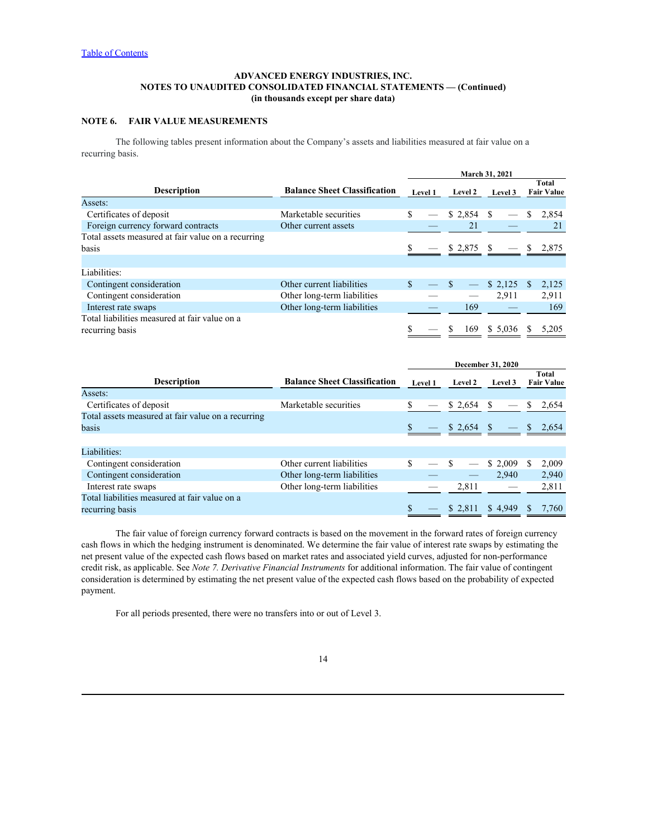# **NOTE 6. FAIR VALUE MEASUREMENTS**

The following tables present information about the Company's assets and liabilities measured at fair value on a recurring basis.

|                                                    |                                     |                          |                 | March 31, 2021           |                            |
|----------------------------------------------------|-------------------------------------|--------------------------|-----------------|--------------------------|----------------------------|
| <b>Description</b>                                 | <b>Balance Sheet Classification</b> | <b>Level 1</b>           | <b>Level 2</b>  | <b>Level 3</b>           | Total<br><b>Fair Value</b> |
| Assets:                                            |                                     |                          |                 |                          |                            |
| Certificates of deposit                            | Marketable securities               | $\overline{\phantom{m}}$ | $$2,854$ \, $$$ |                          | 2,854                      |
| Foreign currency forward contracts                 | Other current assets                |                          |                 |                          |                            |
| Total assets measured at fair value on a recurring |                                     |                          |                 |                          |                            |
| basis                                              |                                     |                          | $$2,875$ \, $$$ | $\overline{\phantom{m}}$ | \$2,875                    |
|                                                    |                                     |                          |                 |                          |                            |
| Liabilities:                                       |                                     |                          |                 |                          |                            |
| Contingent consideration                           | Other current liabilities           |                          |                 | \$2,125                  | 2,125<br>Ъ.                |
| Contingent consideration                           | Other long-term liabilities         |                          |                 | 2,911                    | 2,911                      |
| Interest rate swaps                                | Other long-term liabilities         |                          | 169             |                          | 169                        |
| Total liabilities measured at fair value on a      |                                     |                          |                 |                          |                            |
| recurring basis                                    |                                     | $\hspace{0.05cm}$        | 169.            | \$ 5,036                 | 5,205                      |

|                                                    |                                     |                          |                                | <b>December 31, 2020</b> |                            |
|----------------------------------------------------|-------------------------------------|--------------------------|--------------------------------|--------------------------|----------------------------|
| Description                                        | <b>Balance Sheet Classification</b> | <b>Level 1</b>           | <b>Level 2</b>                 | Level 3                  | Total<br><b>Fair Value</b> |
| Assets:                                            |                                     |                          |                                |                          |                            |
| Certificates of deposit                            | Marketable securities               |                          | \$ 2,654                       |                          | 2,654                      |
| Total assets measured at fair value on a recurring |                                     |                          |                                |                          |                            |
| basis                                              |                                     |                          |                                | $\overline{\phantom{m}}$ | \$2,654                    |
|                                                    |                                     |                          |                                |                          |                            |
| Liabilities:                                       |                                     |                          |                                |                          |                            |
| Contingent consideration                           | Other current liabilities           |                          |                                | \$2,009                  | 2,009                      |
| Contingent consideration                           | Other long-term liabilities         |                          | $\overbrace{\hspace{25mm}}^{}$ | 2,940                    | 2,940                      |
| Interest rate swaps                                | Other long-term liabilities         |                          | 2,811                          |                          | 2,811                      |
| Total liabilities measured at fair value on a      |                                     |                          |                                |                          |                            |
| recurring basis                                    |                                     | $\overline{\phantom{0}}$ |                                | $$2,811$ $$4,949$        | 7,760                      |

The fair value of foreign currency forward contracts is based on the movement in the forward rates of foreign currency cash flows in which the hedging instrument is denominated. We determine the fair value of interest rate swaps by estimating the net present value of the expected cash flows based on market rates and associated yield curves, adjusted for non-performance credit risk, as applicable. See *Note 7. Derivative Financial Instruments* for additional information. The fair value of contingent consideration is determined by estimating the net present value of the expected cash flows based on the probability of expected payment.

For all periods presented, there were no transfers into or out of Level3.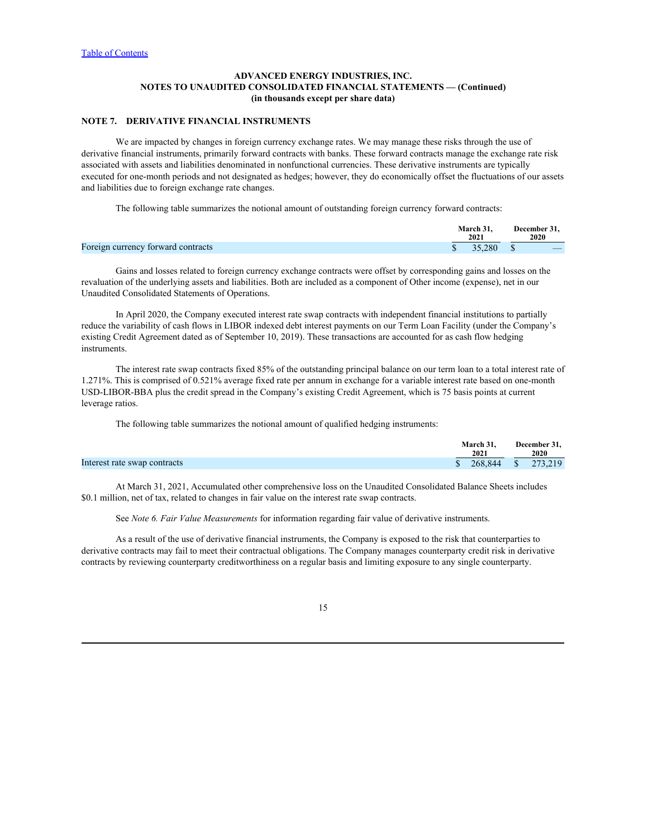# **NOTE 7. DERIVATIVE FINANCIAL INSTRUMENTS**

We are impacted by changes in foreign currency exchange rates. We may manage these risks through the use of derivative financial instruments, primarily forward contracts with banks. These forward contracts manage the exchange rate risk associated with assets and liabilities denominated in nonfunctional currencies. These derivative instruments are typically executed for one-month periods and not designated as hedges; however, they do economically offset the fluctuations of our assets and liabilities due to foreign exchange rate changes.

The following table summarizes the notional amount of outstanding foreign currency forward contracts:

Gains and losses related to foreign currency exchange contracts were offset by corresponding gains and losses on the revaluation of the underlying assets and liabilities. Both are included as a component of Other income (expense), net in our Unaudited Consolidated Statements of Operations.

In April 2020, the Company executed interest rate swap contracts with independent financial institutions to partially reduce the variability of cash flows in LIBOR indexed debt interest payments on our Term Loan Facility (under the Company's existing Credit Agreement dated as of September 10, 2019). These transactions are accounted for as cash flow hedging instruments.

The interest rate swap contracts fixed 85% of the outstanding principal balance on our term loan to a total interest rate of 1.271%. This is comprised of 0.521% average fixed rate per annum in exchange for a variable interest rate based on one-month USD-LIBOR-BBA plus the credit spread in the Company's existing Credit Agreement, which is 75 basis points at current leverage ratios.

The following table summarizes the notional amount of qualified hedging instruments:

|                              | $\sim$ $\sim$<br>.<br><b>March 3</b> | December 31,                                                   |
|------------------------------|--------------------------------------|----------------------------------------------------------------|
|                              | 2021                                 | 2020                                                           |
| Interest rate swap contracts | 268.844<br>. .                       | 219<br>272<br>$\sim$ $\sim$ $\sim$ $\sim$ $\sim$ $\sim$ $\sim$ |

At March 31, 2021, Accumulated other comprehensive loss on the Unaudited Consolidated Balance Sheets includes \$0.1 million, net of tax, related to changes in fair value on the interest rate swap contracts.

See *Note 6. Fair Value Measurements* for information regarding fair value of derivative instruments.

As a result of the use of derivative financial instruments, the Company is exposed to the risk that counterparties to derivative contracts may fail to meet their contractual obligations. The Company manages counterparty credit risk in derivative contracts by reviewing counterparty creditworthiness on a regular basis and limiting exposure to any single counterparty.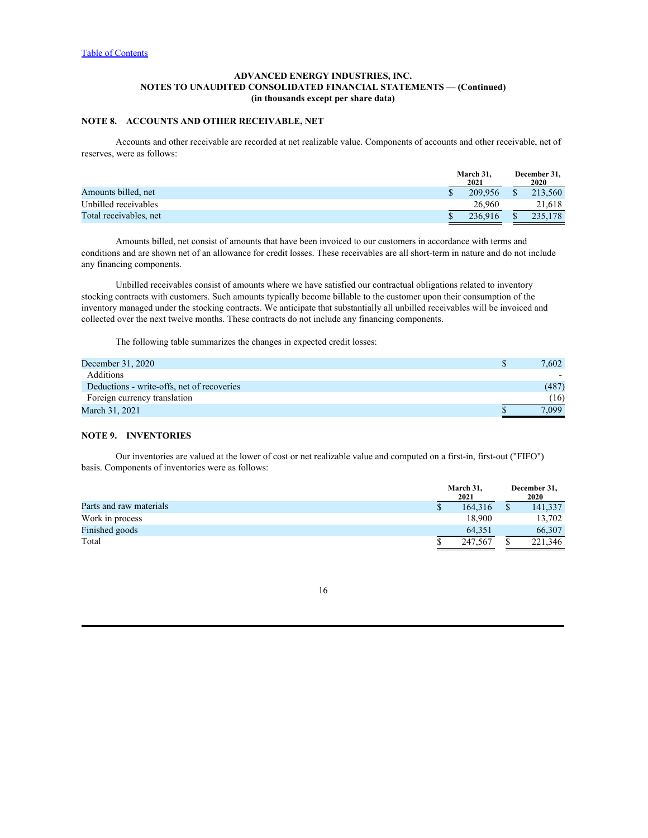# **NOTE 8. ACCOUNTS AND OTHER RECEIVABLE, NET**

Accounts and other receivable are recorded at net realizable value. Components of accounts and other receivable, net of reserves, were as follows:

|                        | March 31, |         | December 31, |             |  |
|------------------------|-----------|---------|--------------|-------------|--|
|                        |           | 2021    |              | <b>2020</b> |  |
| Amounts billed, net    |           | 209,956 |              | 213,560     |  |
| Unbilled receivables   |           | 26.960  |              | 21,618      |  |
| Total receivables, net |           | 236,916 |              | 235,178     |  |

Amounts billed, net consist of amounts that have been invoiced to our customers in accordance with terms and conditions and are shown net of an allowance for credit losses. These receivables are all short-term in nature and do not include any financing components.

Unbilled receivables consist of amounts where we have satisfied our contractual obligations related to inventory stocking contracts with customers. Such amounts typically become billable to the customer upon their consumption of the inventory managed under the stocking contracts. We anticipate that substantially all unbilled receivables will be invoiced and collected over the next twelve months. These contracts do not include any financing components.

The following table summarizes the changes in expected credit losses:

| December 31, 2020                          | 7,602 |
|--------------------------------------------|-------|
| Additions                                  |       |
| Deductions - write-offs, net of recoveries | (487) |
| Foreign currency translation               | (16)  |
| March 31, 2021                             | 7,099 |

# **NOTE 9. INVENTORIES**

Our inventories are valued at the lower of cost or net realizable value and computed on a first-in, first-out ("FIFO") basis. Components of inventories were as follows:

|                              | March 31,<br>2021 |         | December 31,<br>2020 |         |  |
|------------------------------|-------------------|---------|----------------------|---------|--|
| Parts and raw materials<br>Ψ |                   | 164,316 |                      | 141,337 |  |
| Work in process              |                   | 18,900  |                      | 13,702  |  |
| Finished goods               |                   | 64,351  |                      | 66,307  |  |
| Total                        |                   | 247,567 |                      | 221,346 |  |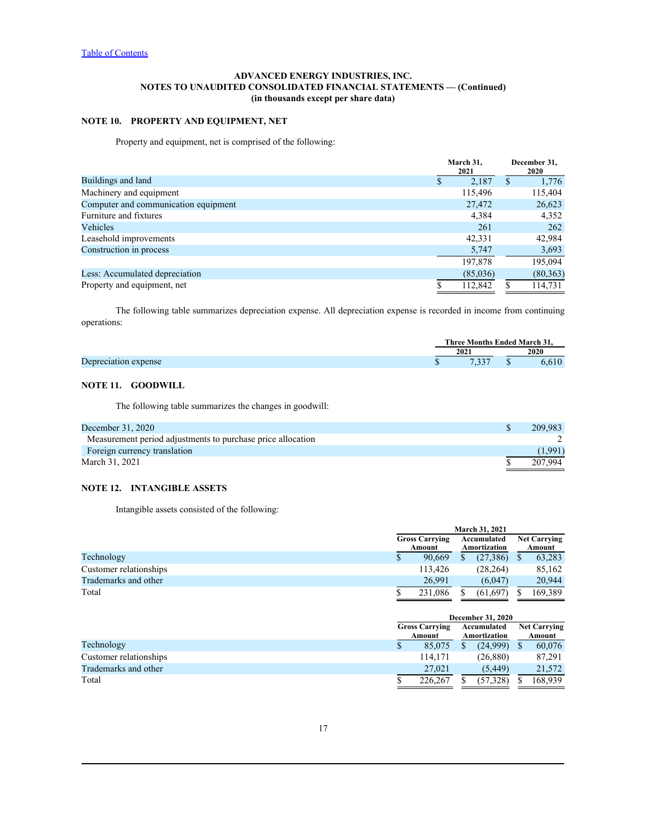# **NOTE 10. PROPERTY AND EQUIPMENT, NET**

Property and equipment, net is comprised of the following:

|                                      | March 31,<br>2021 | December 31,<br><b>2020</b> |
|--------------------------------------|-------------------|-----------------------------|
| Buildings and land                   | 2,187             | 1,776                       |
| Machinery and equipment              | 115,496           | 115,404                     |
| Computer and communication equipment | 27,472            | 26,623                      |
| Furniture and fixtures               | 4,384             | 4,352                       |
| Vehicles                             | 261               | 262                         |
| Leasehold improvements               | 42,331            | 42,984                      |
| Construction in process              | 5,747             | 3,693                       |
|                                      | 197,878           | 195,094                     |
| Less: Accumulated depreciation       | (85,036)          | (80, 363)                   |
| Property and equipment, net          | 112.842           | 114,731                     |

The following table summarizes depreciation expense. All depreciation expense is recorded in income from continuing operations:

|                           |     | l'hree Months            | <b>Tnded March 31.</b> |      |  |
|---------------------------|-----|--------------------------|------------------------|------|--|
|                           | 202 |                          |                        | 2020 |  |
| Depreciation<br>n expense |     | $\overline{a}$<br>$\sim$ |                        | .610 |  |

# **NOTE 11. GOODWILL**

The following table summarizes the changes in goodwill:

| December 31, 2020                                           | 209,983 |
|-------------------------------------------------------------|---------|
| Measurement period adjustments to purchase price allocation |         |
| Foreign currency translation                                | (1,991) |
| March 31, 2021                                              | 207,994 |

# **NOTE 12. INTANGIBLE ASSETS**

Intangible assets consisted of the following:

| <b>Gross Carrying</b> |         |        |           |                                                      |         |  |  |  |  |  |  | <b>Net Carrying</b> |  |
|-----------------------|---------|--------|-----------|------------------------------------------------------|---------|--|--|--|--|--|--|---------------------|--|
|                       |         |        |           |                                                      | Amount  |  |  |  |  |  |  |                     |  |
|                       | 90,669  |        | (27, 386) |                                                      | 63,283  |  |  |  |  |  |  |                     |  |
|                       | 113,426 |        | (28, 264) |                                                      | 85,162  |  |  |  |  |  |  |                     |  |
|                       | 26.991  |        | (6,047)   |                                                      | 20,944  |  |  |  |  |  |  |                     |  |
|                       | 231,086 |        | (61, 697) |                                                      | 169,389 |  |  |  |  |  |  |                     |  |
|                       |         | Amount |           | <b>March 31, 2021</b><br>Accumulated<br>Amortization |         |  |  |  |  |  |  |                     |  |

|                        |                                 |         | December 31, 2020           |                               |         |  |  |  |
|------------------------|---------------------------------|---------|-----------------------------|-------------------------------|---------|--|--|--|
|                        | <b>Gross Carrying</b><br>Amount |         | Accumulated<br>Amortization | <b>Net Carrying</b><br>Amount |         |  |  |  |
| Technology             |                                 | 85,075  | (24,999)                    |                               | 60,076  |  |  |  |
| Customer relationships |                                 | 114,171 | (26, 880)                   |                               | 87,291  |  |  |  |
| Trademarks and other   |                                 | 27,021  | (5, 449)                    |                               | 21,572  |  |  |  |
| Total                  |                                 | 226,267 | (57, 328)                   |                               | 168,939 |  |  |  |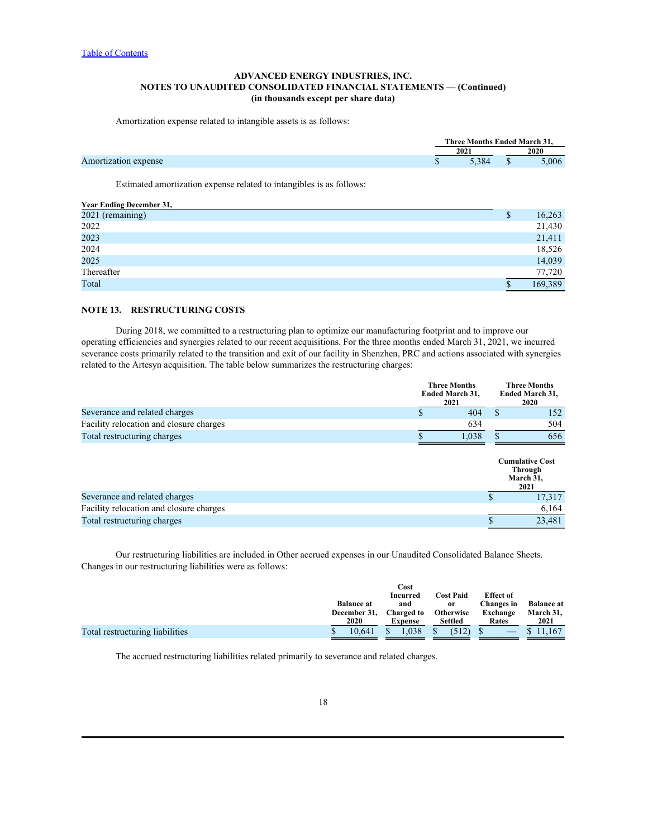Amortization expense related to intangible assets is as follows:

|                      |     | <b>Tnded March 31.</b><br>$\sim$<br>Three Months                |  |       |  |  |
|----------------------|-----|-----------------------------------------------------------------|--|-------|--|--|
|                      | 202 |                                                                 |  | 2020  |  |  |
| Amortization expense |     | $\sim$ 0.0 $\mu$<br>$\sim$ . $\sim$ .<br><b>Service Service</b> |  | 5.006 |  |  |

Estimated amortization expense related to intangibles is as follows:

| Year Ending December 31, |         |
|--------------------------|---------|
| 2021 (remaining)         | 16,263  |
| 2022                     | 21,430  |
| 2023                     | 21,411  |
| 2024                     | 18,526  |
| 2025                     | 14,039  |
| Thereafter               | 77,720  |
| Total                    | 169,389 |
|                          |         |

# **NOTE 13. RESTRUCTURING COSTS**

During 2018, we committed to a restructuring plan to optimize our manufacturing footprint and to improve our operating efficiencies and synergies related to our recent acquisitions. For the three months ended March 31, 2021, we incurred severance costs primarily related to the transition and exit of our facility in Shenzhen, PRC and actions associated with synergies related to the Artesyn acquisition. The table below summarizes the restructuring charges:

|                                         | 2021 | <b>Three Months</b><br><b>Ended March 31,</b> |  | <b>Three Months</b><br><b>Ended March 31,</b><br><b>2020</b> |  |  |
|-----------------------------------------|------|-----------------------------------------------|--|--------------------------------------------------------------|--|--|
| Severance and related charges           |      | 404                                           |  | 152                                                          |  |  |
| Facility relocation and closure charges |      | 634                                           |  | 504                                                          |  |  |
| Total restructuring charges             |      | 1,038                                         |  | 656                                                          |  |  |
|                                         |      |                                               |  | <b>Cumulative Cost</b><br>Through<br>March 31,<br>2021       |  |  |
| Severance and related charges           |      |                                               |  | 17,317                                                       |  |  |
| Facility relocation and closure charges |      |                                               |  | 6,164                                                        |  |  |
| Total restructuring charges             |      |                                               |  | 23,481                                                       |  |  |

Our restructuring liabilities are included in Other accrued expenses in our Unaudited Consolidated Balance Sheets. Changes in our restructuring liabilities were as follows:

|                                 |                   | Cost            |                  |                  |                   |
|---------------------------------|-------------------|-----------------|------------------|------------------|-------------------|
|                                 |                   | <b>Incurred</b> | <b>Cost Paid</b> | <b>Effect</b> of |                   |
|                                 | <b>Balance at</b> | and             | or               | Changes in       | <b>Balance</b> at |
|                                 | December 31,      | Charged to      | <b>Otherwise</b> | Exchange         | March 31,         |
|                                 | 2020              | Expense         | Settled          | Rates            | 2021              |
| Total restructuring liabilities | 0.641             | 1,038           | (512)            | $-$              | 11,167            |
|                                 |                   |                 |                  |                  |                   |

The accrued restructuring liabilities related primarily to severance and related charges.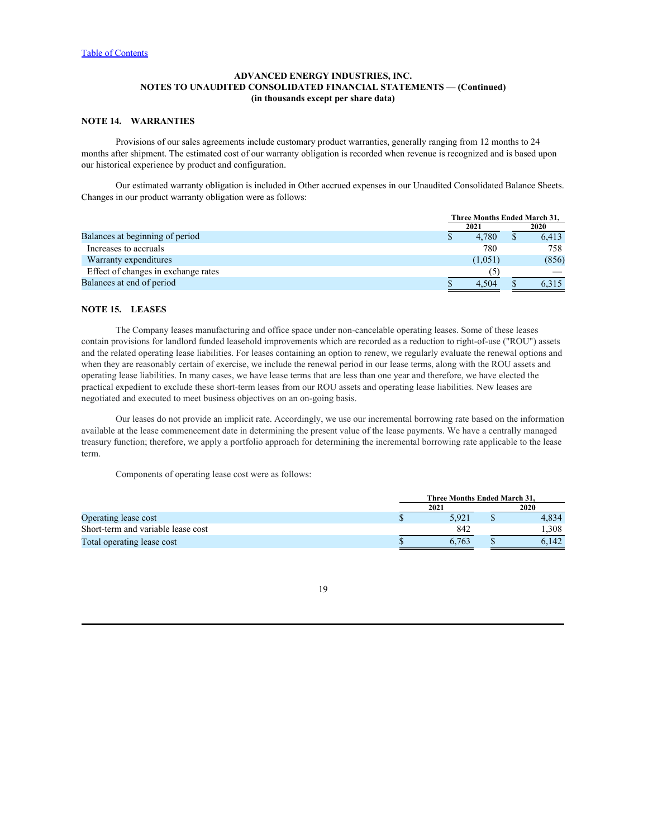# **NOTE 14. WARRANTIES**

Provisions of our sales agreements include customary product warranties, generally ranging from 12 months to 24 months after shipment. The estimated cost of our warranty obligation is recorded when revenue is recognized and is based upon our historical experience by product and configuration.

Our estimated warranty obligation is included in Other accrued expenses in our Unaudited Consolidated Balance Sheets. Changes in our product warranty obligation were as follows:

|  | 2021  |         |                              |  |  |  |
|--|-------|---------|------------------------------|--|--|--|
|  |       |         | <b>2020</b>                  |  |  |  |
|  | 4,780 |         | 6,413                        |  |  |  |
|  | 780   |         | 758                          |  |  |  |
|  |       |         | (856)                        |  |  |  |
|  |       |         |                              |  |  |  |
|  | 4,504 |         | 6,315                        |  |  |  |
|  |       | (1,051) | Three Months Ended March 31, |  |  |  |

# **NOTE 15. LEASES**

The Company leases manufacturing and office space under non-cancelable operating leases. Some of these leases contain provisions for landlord funded leasehold improvements which are recorded as a reduction to right-of-use ("ROU") assets and the related operating lease liabilities. For leases containing an option to renew, we regularly evaluate the renewal options and when they are reasonably certain of exercise, we include the renewal period in our lease terms, along with the ROU assets and operating lease liabilities. In many cases, we have lease terms that are less than one year and therefore, we have elected the practical expedient to exclude these short-term leases from our ROU assets and operating lease liabilities. New leases are negotiated and executed to meet business objectives on an on-going basis.

Our leases do not provide an implicit rate. Accordingly, we use our incremental borrowing rate based on the information available at the lease commencement date in determining the present value of the lease payments. We have a centrally managed treasury function; therefore, we apply a portfolio approach for determining the incremental borrowing rate applicable to the lease term.

Components of operating lease cost were as follows:

| Three Months Ended March 31. |       |      |       |  |  |  |  |  |
|------------------------------|-------|------|-------|--|--|--|--|--|
|                              |       |      | 2020  |  |  |  |  |  |
|                              | 5,921 |      | 4,834 |  |  |  |  |  |
|                              | 842   |      | 1,308 |  |  |  |  |  |
|                              | 6,763 |      | 6,142 |  |  |  |  |  |
|                              |       | 2021 |       |  |  |  |  |  |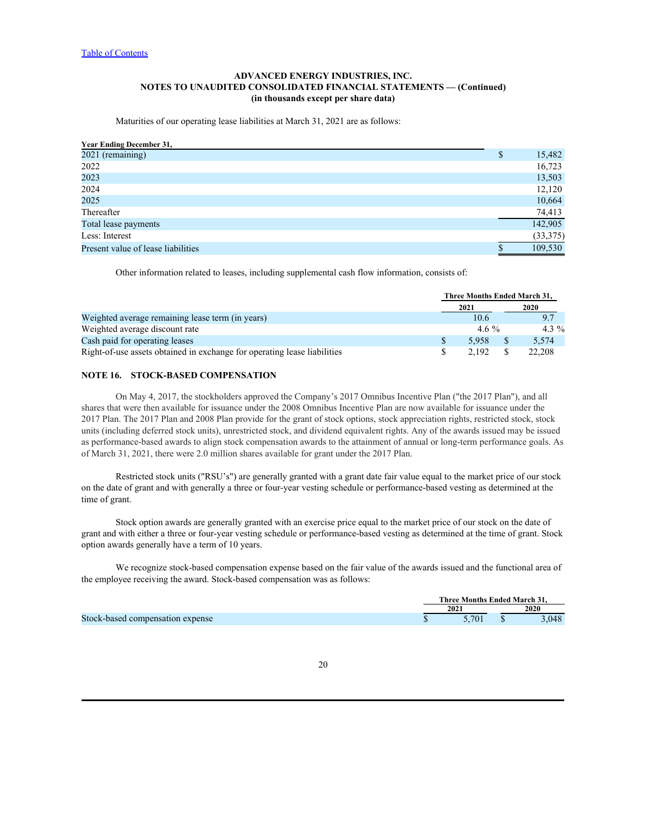Maturities of our operating lease liabilities at March 31, 2021 are as follows:

| <b>Year Ending December 31,</b>    |           |
|------------------------------------|-----------|
| 2021 (remaining)                   | 15,482    |
| 2022                               | 16,723    |
| 2023                               | 13,503    |
| 2024                               | 12,120    |
| 2025                               | 10,664    |
| Thereafter                         | 74,413    |
| Total lease payments               | 142,905   |
| Less: Interest                     | (33, 375) |
| Present value of lease liabilities | 109,530   |

Other information related to leases, including supplemental cash flow information, consists of:

|                                                                          |  |         |  | Three Months Ended March 31, |  |  |  |  |
|--------------------------------------------------------------------------|--|---------|--|------------------------------|--|--|--|--|
|                                                                          |  | 2021    |  | 2020                         |  |  |  |  |
| Weighted average remaining lease term (in years)                         |  | 10.6    |  |                              |  |  |  |  |
| Weighted average discount rate                                           |  | 4.6 $%$ |  | 4.3 $%$                      |  |  |  |  |
| Cash paid for operating leases                                           |  | 5,958   |  | 5,574                        |  |  |  |  |
| Right-of-use assets obtained in exchange for operating lease liabilities |  | 2.192   |  | 22.208                       |  |  |  |  |

### **NOTE 16. STOCK-BASED COMPENSATION**

On May 4, 2017, the stockholders approved the Company's 2017 Omnibus Incentive Plan ("the 2017 Plan"), and all shares that were then available for issuance under the 2008 Omnibus Incentive Plan are now available for issuance under the 2017 Plan. The 2017 Plan and 2008 Plan provide for the grant of stock options, stock appreciation rights, restricted stock, stock units (including deferred stock units), unrestricted stock, and dividend equivalent rights. Any of the awards issued may be issued as performance-based awards to align stock compensation awards to the attainment of annual or long-term performance goals. As of March 31, 2021, there were 2.0 million shares available for grant under the 2017 Plan.

Restricted stock units ("RSU's") are generally granted with a grant date fair value equal to the market price of our stock on the date of grant and with generally a three or four-year vesting schedule or performance-based vesting as determined at the time of grant.

Stock option awards are generally granted with an exercise price equal to the market price of our stock on the date of grant and with either a three or four-year vesting schedule or performance-based vesting as determined at the time of grant. Stock option awards generally have a term of 10 years.

We recognize stock-based compensation expense based on the fair value of the awards issued and the functional area of the employee receiving the award. Stock-based compensation was as follows:

|                                  | Months Ended March 31.<br>- Three |           |
|----------------------------------|-----------------------------------|-----------|
|                                  | 2021                              | 2020      |
| Stock-based compensation expense | 5.701                             | 0.40<br>. |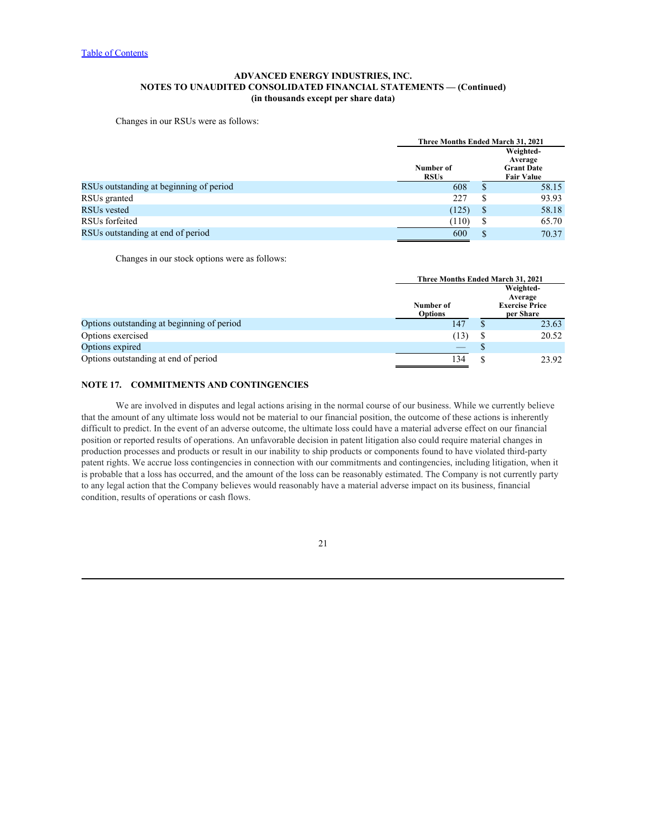Changes in our RSUs were as follows:

|                                         | Three Months Ended March 31, 2021 |   |                                                                |
|-----------------------------------------|-----------------------------------|---|----------------------------------------------------------------|
|                                         | Number of<br><b>RSUs</b>          |   | Weighted-<br>Average<br><b>Grant Date</b><br><b>Fair Value</b> |
| RSUs outstanding at beginning of period | 608                               |   | 58.15                                                          |
| RSUs granted                            | 227                               |   | 93.93                                                          |
| RSUs vested                             | (125)                             | D | 58.18                                                          |
| RSUs forfeited                          | (110)                             | D | 65.70                                                          |
| RSUs outstanding at end of period       | 600                               |   | 70.37                                                          |

Changes in our stock options were as follows:

|                                            |                                 | Three Months Ended March 31, 2021 |                                    |  |  |  |
|--------------------------------------------|---------------------------------|-----------------------------------|------------------------------------|--|--|--|
|                                            |                                 |                                   | Weighted-                          |  |  |  |
|                                            |                                 |                                   | Average                            |  |  |  |
|                                            | Number of<br><b>Options</b>     |                                   | <b>Exercise Price</b><br>per Share |  |  |  |
|                                            |                                 |                                   |                                    |  |  |  |
| Options outstanding at beginning of period | 147                             |                                   | 23.63                              |  |  |  |
| Options exercised                          | (13)                            |                                   | 20.52                              |  |  |  |
| Options expired                            | $\hspace{0.1mm}-\hspace{0.1mm}$ |                                   |                                    |  |  |  |
| Options outstanding at end of period       | 134                             |                                   | 23.92                              |  |  |  |
|                                            |                                 |                                   |                                    |  |  |  |

# **NOTE 17. COMMITMENTS AND CONTINGENCIES**

We are involved in disputes and legal actions arising in the normal course of our business. While we currently believe that the amount of any ultimate loss would not be material to our financial position, the outcome of these actions is inherently difficult to predict. In the event of an adverse outcome, the ultimate loss could have a material adverse effect on our financial position or reported results of operations. An unfavorable decision in patent litigation also could require material changes in production processes and products or result in our inability to ship products or components found to have violated third-party patent rights. We accrue loss contingencies in connection with our commitments and contingencies, including litigation, when it is probable that a loss has occurred, and the amount of the loss can be reasonably estimated. The Company is not currently party to any legal action that the Company believes would reasonably have a material adverse impact on its business, financial condition, results of operations or cash flows.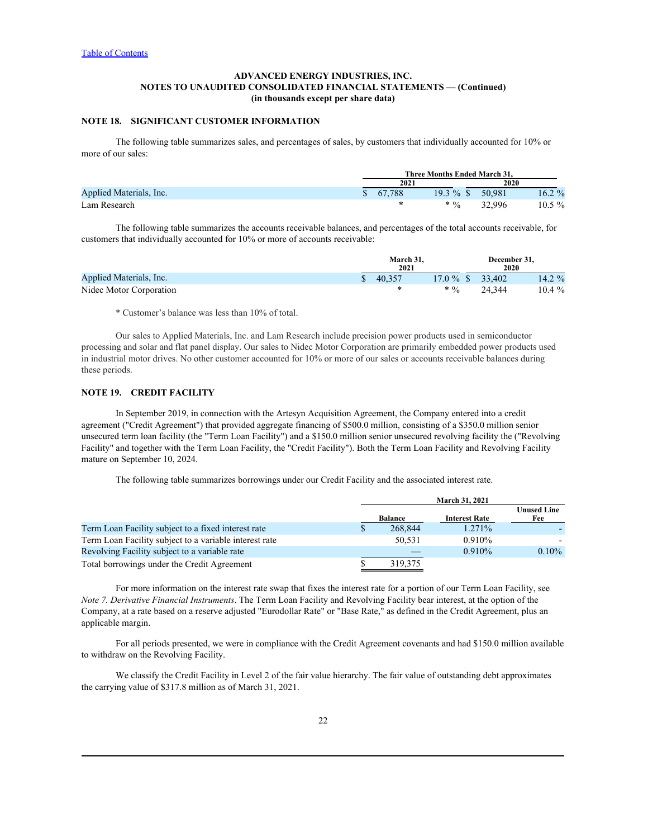# **NOTE 18. SIGNIFICANT CUSTOMER INFORMATION**

The following table summarizes sales, and percentages of sales, by customers that individually accounted for 10% or more of our sales:

|                         | Three Months Ended March 31, |        |           |                |           |
|-------------------------|------------------------------|--------|-----------|----------------|-----------|
|                         |                              | 2021   |           | 2020           |           |
| Applied Materials, Inc. |                              | 67.788 | 19.3 %    | 50,981         | $16.2 \%$ |
| Lam Research            |                              |        | $\cdot$ % | 32.996<br>ریدر | 10.5 %    |

The following table summarizes the accounts receivable balances, and percentages of the total accounts receivable, for customers that individually accounted for 10% or more of accounts receivable:

|                         | March 31, |                                    | December 31, |                       |
|-------------------------|-----------|------------------------------------|--------------|-----------------------|
|                         | 2021      |                                    | 2020         |                       |
| Applied Materials, Inc. | 40,357    | $17.0 \%$ \$                       | 33,402       | 1/1.20L<br>$14.2\,70$ |
| Nidec Motor Corporation |           | $* 0/$<br>$\overline{\phantom{a}}$ | 24,344       | 10.4 %                |

\* Customer's balance was less than 10% of total.

Our sales to Applied Materials, Inc. and Lam Research include precision power products used in semiconductor processing and solar and flat panel display. Our sales to Nidec Motor Corporation are primarily embedded power products used in industrial motor drives. No other customer accounted for 10% or more of our sales or accounts receivable balances during these periods.

## **NOTE 19. CREDIT FACILITY**

In September 2019, in connection with the Artesyn Acquisition Agreement, the Company entered into a credit agreement ("Credit Agreement") that provided aggregate financing of \$500.0 million, consisting of a \$350.0 million senior unsecured term loan facility (the "Term Loan Facility") and a \$150.0 million senior unsecured revolving facility the ("Revolving Facility" and together with the Term Loan Facility, the "Credit Facility"). Both the Term Loan Facility and Revolving Facility mature on September 10, 2024.

The following table summarizes borrowings under our Credit Facility and the associated interest rate.

|                                                        |         | <b>March 31, 2021</b> |                           |  |  |
|--------------------------------------------------------|---------|-----------------------|---------------------------|--|--|
|                                                        | Balance | <b>Interest Rate</b>  | <b>Unused Line</b><br>Fee |  |  |
| Term Loan Facility subject to a fixed interest rate    | 268,844 | 1.271%                |                           |  |  |
| Term Loan Facility subject to a variable interest rate | 50,531  | 0.910%                |                           |  |  |
| Revolving Facility subject to a variable rate          |         | 0.910%                | 0.10%                     |  |  |
| Total borrowings under the Credit Agreement            | 319,375 |                       |                           |  |  |

For more information on the interest rate swap that fixes the interest rate for a portion of our Term Loan Facility, see *Note 7. Derivative Financial Instruments*. The Term Loan Facility and Revolving Facility bear interest, at the option of the Company, at a rate based on a reserve adjusted "Eurodollar Rate" or "Base Rate," as defined in the Credit Agreement, plus an applicable margin.

For all periods presented, we were in compliance with the Credit Agreement covenants and had \$150.0 million available to withdraw on the Revolving Facility.

We classify the Credit Facility in Level 2 of the fair value hierarchy. The fair value of outstanding debt approximates the carrying value of \$317.8 million as of March 31, 2021.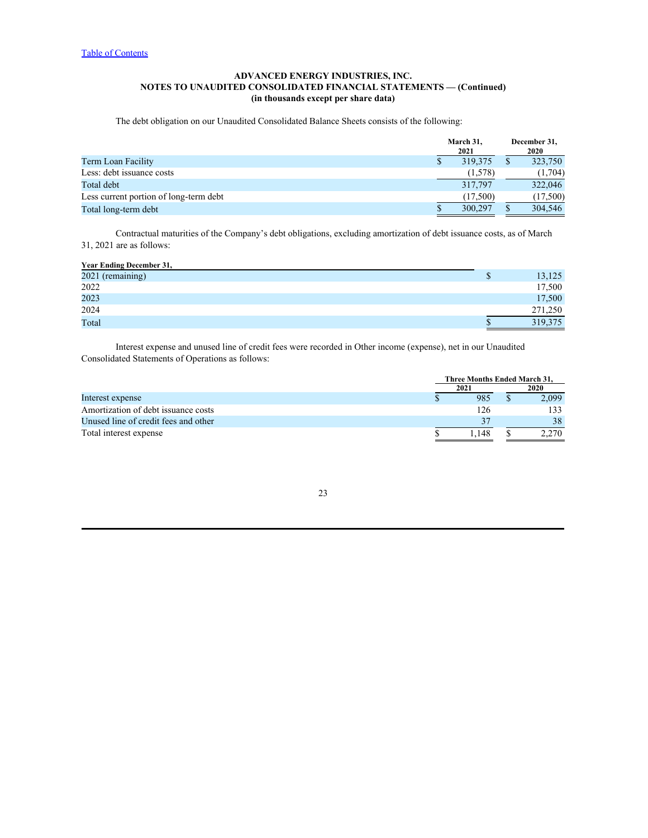The debt obligation on our Unaudited Consolidated Balance Sheets consists of the following:

|          |      | 2020     |
|----------|------|----------|
| 319,375  |      | 323,750  |
| (1,578)  |      | (1,704)  |
| 317,797  |      | 322,046  |
| (17,500) |      | (17,500) |
| 300,297  |      | 304,546  |
|          | 2021 |          |

Contractual maturities of the Company's debt obligations, excluding amortization of debt issuance costs, as of March 31, 2021 are as follows:

| <b>Year Ending December 31,</b> |         |
|---------------------------------|---------|
| 2021 (remaining)                | 13,125  |
| 2022                            | 17,500  |
| 2023                            | 17,500  |
| 2024                            | 271,250 |
| Total                           | 319,375 |

Interest expense and unused line of credit fees were recorded in Other income (expense), net in our Unaudited Consolidated Statements of Operations as follows:

|                                      |      | Three Months Ended March 31, |       |
|--------------------------------------|------|------------------------------|-------|
|                                      | 2021 |                              | 2020  |
| Interest expense                     |      | 985                          | 2,099 |
| Amortization of debt issuance costs  |      | 126                          | د د   |
| Unused line of credit fees and other |      |                              | 38.   |
| Total interest expense               |      | .148                         | 2,270 |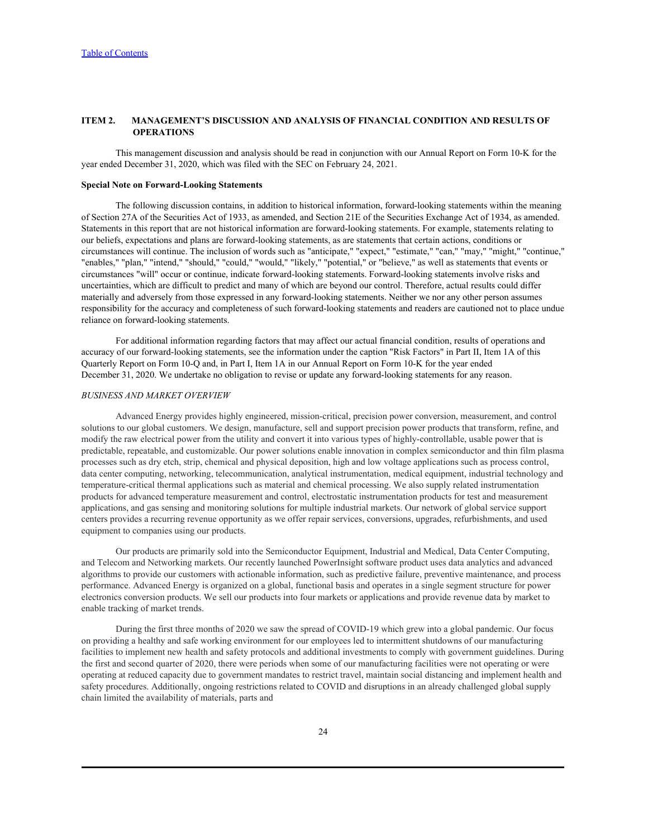### <span id="page-23-0"></span>**ITEM 2. MANAGEMENT'S DISCUSSION AND ANALYSIS OF FINANCIAL CONDITION AND RESULTS OF OPERATIONS**

This management discussion and analysis should be read in conjunction with our Annual Report on Form 10-K for the year ended December 31, 2020, which was filed with the SEC on February 24, 2021.

### **Special Note on Forward-Looking Statements**

The following discussion contains, in addition to historical information, forward-looking statements within the meaning of Section 27A of the Securities Act of 1933, as amended, and Section 21E of the Securities Exchange Act of 1934, as amended. Statements in this report that are not historical information are forward-looking statements. For example, statements relating to our beliefs, expectations and plans are forward-looking statements, as are statements that certain actions, conditions or circumstances will continue. The inclusion of words such as "anticipate," "expect," "estimate," "can," "may," "might," "continue," "enables," "plan," "intend," "should," "could," "would," "likely," "potential," or "believe," as well as statements that events or circumstances "will" occur or continue, indicate forward-looking statements. Forward-looking statements involve risks and uncertainties, which are difficult to predict and many of which are beyond our control. Therefore, actual results could differ materially and adversely from those expressed in any forward-looking statements. Neither we nor any other person assumes responsibility for the accuracy and completeness of such forward-looking statements and readers are cautioned not to place undue reliance on forward-looking statements.

For additional information regarding factors that may affect our actual financial condition, results of operations and accuracy of our forward-looking statements, see the information under the caption "Risk Factors" in Part II, Item 1A of this Quarterly Report on Form 10-Q and, in Part I, Item 1A in our Annual Report on Form 10-K for the year ended December 31, 2020. We undertake no obligation to revise or update any forward-looking statements for any reason.

### *BUSINESS AND MARKET OVERVIEW*

Advanced Energy provides highly engineered, mission-critical, precision power conversion, measurement, and control solutions to our global customers. We design, manufacture, sell and support precision power products that transform, refine, and modify the raw electrical power from the utility and convert it into various types of highly-controllable, usable power that is predictable, repeatable, and customizable. Our power solutions enable innovation in complex semiconductor and thin film plasma processes such as dry etch, strip, chemical and physical deposition, high and low voltage applications such as process control, data center computing, networking, telecommunication, analytical instrumentation, medical equipment, industrial technology and temperature-critical thermal applications such as material and chemical processing. We also supply related instrumentation products for advanced temperature measurement and control, electrostatic instrumentation products for test and measurement applications, and gas sensing and monitoring solutions for multiple industrial markets. Our network of global service support centers provides a recurring revenue opportunity as we offer repair services, conversions, upgrades, refurbishments, and used equipment to companies using our products.

Our products are primarily sold into the Semiconductor Equipment, Industrial and Medical, Data Center Computing, and Telecom and Networking markets. Our recently launched PowerInsight software product uses data analytics and advanced algorithms to provide our customers with actionable information, such as predictive failure, preventive maintenance, and process performance. Advanced Energy is organized on a global, functional basis and operates in a single segment structure for power electronics conversion products. We sell our products into four markets or applications and provide revenue data by market to enable tracking of market trends.

During the first three months of 2020 we saw the spread of COVID-19 which grew into a global pandemic. Our focus on providing a healthy and safe working environment for our employees led to intermittent shutdowns of our manufacturing facilities to implement new health and safety protocols and additional investments to comply with government guidelines. During the first and second quarter of 2020, there were periods when some of our manufacturing facilities were not operating or were operating at reduced capacity due to government mandates to restrict travel, maintain social distancing and implement health and safety procedures. Additionally, ongoing restrictions related to COVID and disruptions in an already challenged global supply chain limited the availability of materials, parts and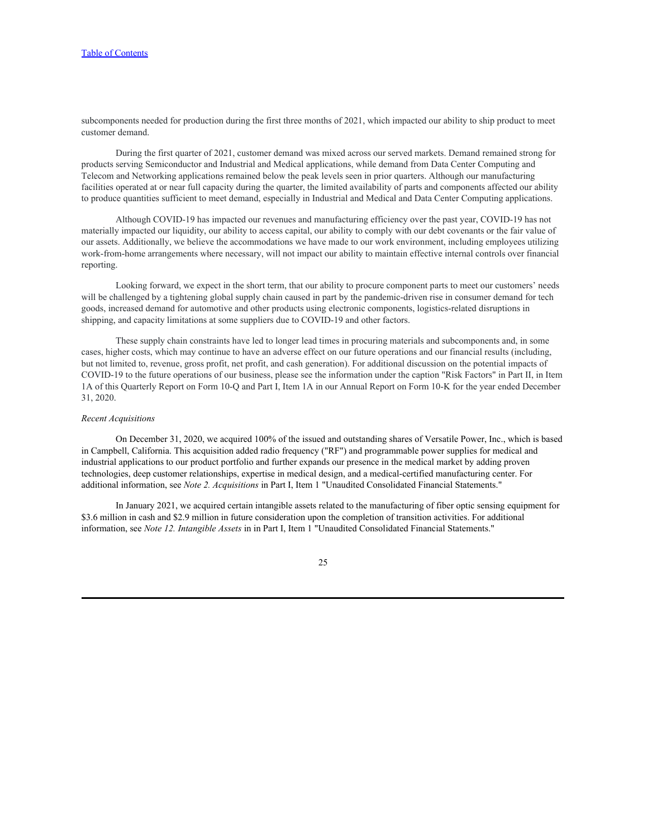subcomponents needed for production during the first three months of 2021, which impacted our ability to ship product to meet customer demand.

During the first quarter of 2021, customer demand was mixed across our served markets. Demand remained strong for products serving Semiconductor and Industrial and Medical applications, while demand from Data Center Computing and Telecom and Networking applications remained below the peak levels seen in prior quarters. Although our manufacturing facilities operated at or near full capacity during the quarter, the limited availability of parts and components affected our ability to produce quantities sufficient to meet demand, especially in Industrial and Medical and Data Center Computing applications.

Although COVID-19 has impacted our revenues and manufacturing efficiency over the past year, COVID-19 has not materially impacted our liquidity, our ability to access capital, our ability to comply with our debt covenants or the fair value of our assets. Additionally, we believe the accommodations we have made to our work environment, including employees utilizing work-from-home arrangements where necessary, will not impact our ability to maintain effective internal controls over financial reporting.

Looking forward, we expect in the short term, that our ability to procure component parts to meet our customers' needs will be challenged by a tightening global supply chain caused in part by the pandemic-driven rise in consumer demand for tech goods, increased demand for automotive and other products using electronic components, logistics-related disruptions in shipping, and capacity limitations at some suppliers due to COVID-19 and other factors.

These supply chain constraints have led to longer lead times in procuring materials and subcomponents and, in some cases, higher costs, which may continue to have an adverse effect on our future operations and our financial results (including, but not limited to, revenue, gross profit, net profit, and cash generation). For additional discussion on the potential impacts of COVID-19 to the future operations of our business, please see the information under the caption "Risk Factors" in Part II, in Item 1A of this Quarterly Report on Form 10-Q and Part I, Item 1A in our Annual Report on Form 10-K for the year ended December 31, 2020.

#### *Recent Acquisitions*

On December 31, 2020, we acquired 100% of the issued and outstanding shares of Versatile Power, Inc., which is based in Campbell, California. This acquisition added radio frequency ("RF") and programmable power supplies for medical and industrial applications to our product portfolio and further expands our presence in the medical market by adding proven technologies, deep customer relationships, expertise in medical design, and a medical-certified manufacturing center. For additional information, see *Note 2. Acquisitions* in Part I, Item 1 "Unaudited Consolidated Financial Statements."

In January 2021, we acquired certain intangible assets related to the manufacturing of fiber optic sensing equipment for \$3.6 million in cash and \$2.9 million in future consideration upon the completion of transition activities. For additional information, see *Note 12. Intangible Assets* in in Part I, Item 1 "Unaudited Consolidated Financial Statements."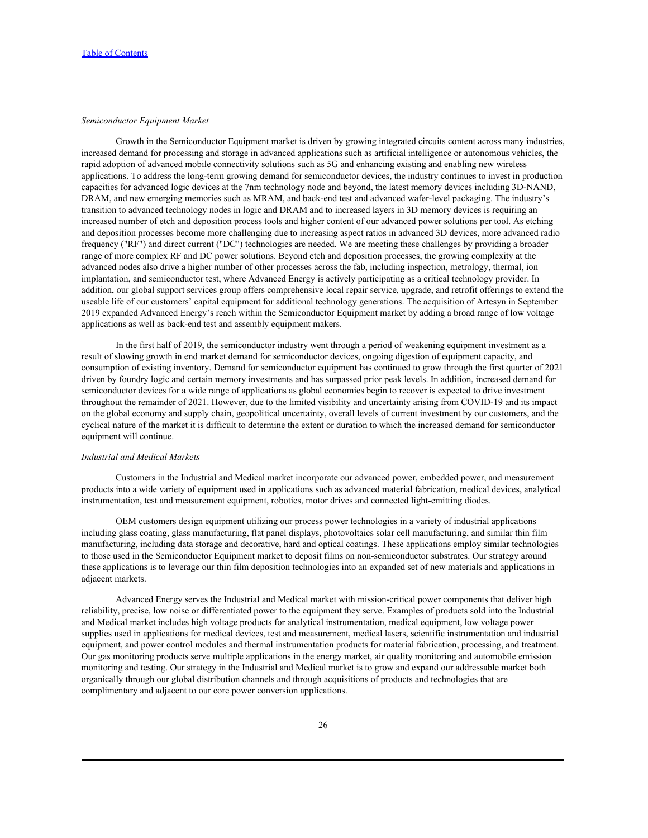### *Semiconductor Equipment Market*

Growth in the Semiconductor Equipment market is driven by growing integrated circuits content across many industries, increased demand for processing and storage in advanced applications such as artificial intelligence or autonomous vehicles, the rapid adoption of advanced mobile connectivity solutions such as 5G and enhancing existing and enabling new wireless applications. To address the long-term growing demand for semiconductor devices, the industry continues to invest in production capacities for advanced logic devices at the 7nm technology node and beyond, the latest memory devices including 3D-NAND, DRAM, and new emerging memories such as MRAM, and back-end test and advanced wafer-level packaging. The industry's transition to advanced technology nodes in logic and DRAM and to increased layers in 3D memory devices is requiring an increased number of etch and deposition process tools and higher content of our advanced power solutions per tool. As etching and deposition processes become more challenging due to increasing aspect ratios in advanced 3D devices, more advanced radio frequency ("RF") and direct current ("DC") technologies are needed. We are meeting these challenges by providing a broader range of more complex RF and DC power solutions. Beyond etch and deposition processes, the growing complexity at the advanced nodes also drive a higher number of other processes across the fab, including inspection, metrology, thermal, ion implantation, and semiconductor test, where Advanced Energy is actively participating as a critical technology provider. In addition, our global support services group offers comprehensive local repair service, upgrade, and retrofit offerings to extend the useable life of our customers' capital equipment for additional technology generations. The acquisition of Artesyn in September 2019 expanded Advanced Energy's reach within the Semiconductor Equipment market by adding a broad range of low voltage applications as well as back-end test and assembly equipment makers.

In the first half of 2019, the semiconductor industry went through a period of weakening equipment investment as a result of slowing growth in end market demand for semiconductor devices, ongoing digestion of equipment capacity, and consumption of existing inventory. Demand for semiconductor equipment has continued to grow through the first quarter of 2021 driven by foundry logic and certain memory investments and has surpassed prior peak levels. In addition, increased demand for semiconductor devices for a wide range of applications as global economies begin to recover is expected to drive investment throughout the remainder of 2021. However, due to the limited visibility and uncertainty arising from COVID-19 and its impact on the global economy and supply chain, geopolitical uncertainty, overall levels of current investment by our customers, and the cyclical nature of the market it is difficult to determine the extent or duration to which the increased demand for semiconductor equipment will continue.

### *Industrial and Medical Markets*

Customers in the Industrial and Medical market incorporate our advanced power, embedded power, and measurement products into a wide variety of equipment used in applications such as advanced material fabrication, medical devices, analytical instrumentation, test and measurement equipment, robotics, motor drives and connected light-emitting diodes.

OEM customers design equipment utilizing our process power technologies in a variety of industrial applications including glass coating, glass manufacturing, flat panel displays, photovoltaics solar cell manufacturing, and similar thin film manufacturing, including data storage and decorative, hard and optical coatings. These applications employ similar technologies to those used in the Semiconductor Equipment market to deposit films on non-semiconductor substrates. Our strategy around these applications is to leverage our thin film deposition technologies into an expanded set of new materials and applications in adjacent markets.

Advanced Energy serves the Industrial and Medical market with mission-critical power components that deliver high reliability, precise, low noise or differentiated power to the equipment they serve. Examples of products sold into the Industrial and Medical market includes high voltage products for analytical instrumentation, medical equipment, low voltage power supplies used in applications for medical devices, test and measurement, medical lasers, scientific instrumentation and industrial equipment, and power control modules and thermal instrumentation products for material fabrication, processing, and treatment. Our gas monitoring products serve multiple applications in the energy market, air quality monitoring and automobile emission monitoring and testing. Our strategy in the Industrial and Medical market is to grow and expand our addressable market both organically through our global distribution channels and through acquisitions of products and technologies that are complimentary and adjacent to our core power conversion applications.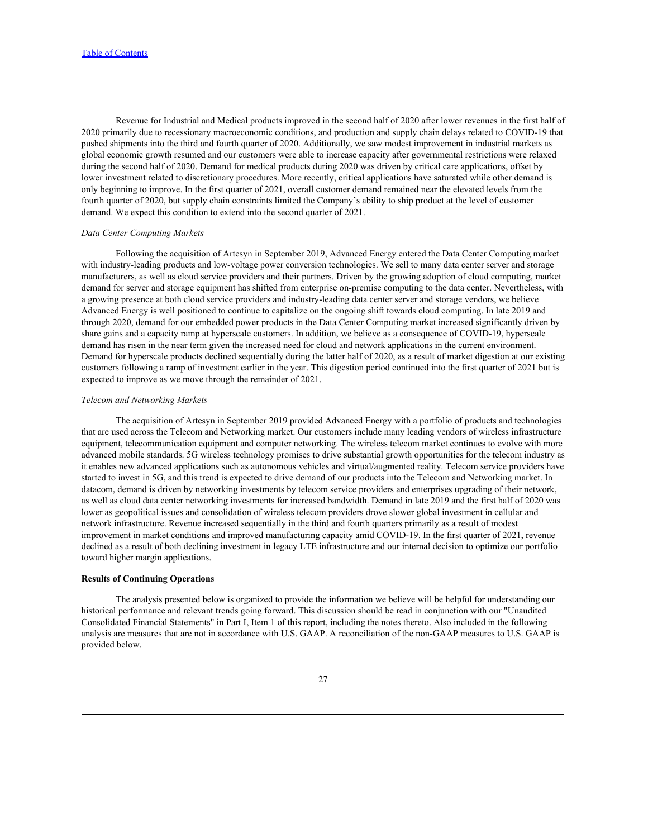Revenue for Industrial and Medical products improved in the second half of 2020 after lower revenues in the first half of 2020 primarily due to recessionary macroeconomic conditions, and production and supply chain delays related to COVID-19 that pushed shipments into the third and fourth quarter of 2020. Additionally, we saw modest improvement in industrial markets as global economic growth resumed and our customers were able to increase capacity after governmental restrictions were relaxed during the second half of 2020. Demand for medical products during 2020 was driven by critical care applications, offset by lower investment related to discretionary procedures. More recently, critical applications have saturated while other demand is only beginning to improve. In the first quarter of 2021, overall customer demand remained near the elevated levels from the fourth quarter of 2020, but supply chain constraints limited the Company's ability to ship product at the level of customer demand. We expect this condition to extend into the second quarter of 2021.

### *Data Center Computing Markets*

Following the acquisition of Artesyn in September 2019, Advanced Energy entered the Data Center Computing market with industry-leading products and low-voltage power conversion technologies. We sell to many data center server and storage manufacturers, as well as cloud service providers and their partners. Driven by the growing adoption of cloud computing, market demand for server and storage equipment has shifted from enterprise on-premise computing to the data center. Nevertheless, with a growing presence at both cloud service providers and industry-leading data center server and storage vendors, we believe Advanced Energy is well positioned to continue to capitalize on the ongoing shift towards cloud computing. In late 2019 and through 2020, demand for our embedded power products in the Data Center Computing market increased significantly driven by share gains and a capacity ramp at hyperscale customers. In addition, we believe as a consequence of COVID-19, hyperscale demand has risen in the near term given the increased need for cloud and network applications in the current environment. Demand for hyperscale products declined sequentially during the latter half of 2020, as a result of market digestion at our existing customers following a ramp of investment earlier in the year. This digestion period continued into the first quarter of 2021 but is expected to improve as we move through the remainder of 2021.

### *Telecom and Networking Markets*

The acquisition of Artesyn in September 2019 provided Advanced Energy with a portfolio of products and technologies that are used across the Telecom and Networking market. Our customers include many leading vendors of wireless infrastructure equipment, telecommunication equipment and computer networking. The wireless telecom market continues to evolve with more advanced mobile standards. 5G wireless technology promises to drive substantial growth opportunities for the telecom industry as it enables new advanced applications such as autonomous vehicles and virtual/augmented reality. Telecom service providers have started to invest in 5G, and this trend is expected to drive demand of our products into the Telecom and Networking market. In datacom, demand is driven by networking investments by telecom service providers and enterprises upgrading of their network, as well as cloud data center networking investments for increased bandwidth. Demand in late 2019 and the first half of 2020 was lower as geopolitical issues and consolidation of wireless telecom providers drove slower global investment in cellular and network infrastructure. Revenue increased sequentially in the third and fourth quarters primarily as a result of modest improvement in market conditions and improved manufacturing capacity amid COVID-19. In the first quarter of 2021, revenue declined as a result of both declining investment in legacy LTE infrastructure and our internal decision to optimize our portfolio toward higher margin applications.

#### **Results of Continuing Operations**

The analysis presented below is organized to provide the information we believe will be helpful for understanding our historical performance and relevant trends going forward. This discussion should be read in conjunction with our "Unaudited Consolidated Financial Statements" in Part I, Item 1 of this report, including the notes thereto. Also included in the following analysis are measures that are not in accordance with U.S. GAAP. A reconciliation of the non-GAAP measures to U.S. GAAP is provided below.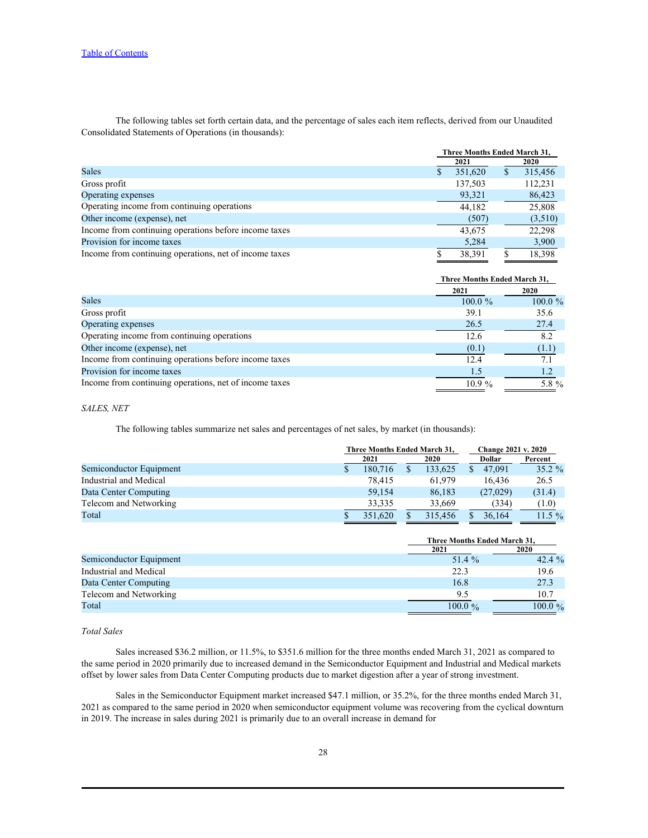The following tables set forth certain data, and the percentage of sales each item reflects, derived from our Unaudited Consolidated Statements of Operations (in thousands):

|                                                        | Three Months Ended March 31, |         |
|--------------------------------------------------------|------------------------------|---------|
|                                                        | 2021                         | 2020    |
| <b>Sales</b>                                           | 351,620                      | 315,456 |
| Gross profit                                           | 137,503                      | 112,231 |
| Operating expenses                                     | 93,321                       | 86,423  |
| Operating income from continuing operations            | 44,182                       | 25,808  |
| Other income (expense), net                            | (507)                        | (3,510) |
| Income from continuing operations before income taxes  | 43.675                       | 22.298  |
| Provision for income taxes                             | 5,284                        | 3,900   |
| Income from continuing operations, net of income taxes | 38,391                       | 18,398  |

|                                                        | <b>Three Months Ended March 31,</b> |            |
|--------------------------------------------------------|-------------------------------------|------------|
|                                                        | 2021                                | 2020       |
| <b>Sales</b>                                           | $100.0 \%$                          | $100.0 \%$ |
| Gross profit                                           | 39.1                                | 35.6       |
| Operating expenses                                     | 26.5                                | 27.4       |
| Operating income from continuing operations            | 12.6                                |            |
| Other income (expense), net                            | (0.1)                               | (1.1)      |
| Income from continuing operations before income taxes  | 12.4                                |            |
| Provision for income taxes                             |                                     |            |
| Income from continuing operations, net of income taxes | $10.9\%$                            | 5.8 $\%$   |
|                                                        |                                     |            |

# *SALES, NET*

The following tables summarize net sales and percentages of net sales, by market (in thousands):

|                         | Three Months Ended March 31, |  |         | <b>Change 2021 v. 2020</b> |           |           |  |
|-------------------------|------------------------------|--|---------|----------------------------|-----------|-----------|--|
|                         | 2021                         |  | 2020    |                            | Dollar    | Percent   |  |
| Semiconductor Equipment | 180,716                      |  | 133,625 |                            | 47,091    | $35.2 \%$ |  |
| Industrial and Medical  | 78,415                       |  | 61,979  |                            | 16,436    | 26.5      |  |
| Data Center Computing   | 59,154                       |  | 86,183  |                            | (27, 029) | (31.4)    |  |
| Telecom and Networking  | 33,335                       |  | 33,669  |                            | (334)     | (1.0)     |  |
| Total                   | 351,620                      |  | 315.456 |                            | 36,164    | $11.5\%$  |  |

|                         | Three Months Ended March 31, |             |
|-------------------------|------------------------------|-------------|
|                         | 2021                         | <b>2020</b> |
| Semiconductor Equipment | 51.4 %                       | 42.4 $%$    |
| Industrial and Medical  | 22.3                         | 19.6        |
| Data Center Computing   | 16.8                         | 27.3        |
| Telecom and Networking  |                              | 10.7        |
| Total                   | $100.0 \%$                   | $100.0 \%$  |

### *Total Sales*

Sales increased \$36.2 million, or 11.5%, to \$351.6 million for the three months ended March 31, 2021 as compared to the same period in 2020 primarily due to increased demand in the Semiconductor Equipment and Industrial and Medical markets offset by lower sales from Data Center Computing products due to market digestion after a year of strong investment.

Sales in the Semiconductor Equipment market increased \$47.1 million, or 35.2%, for the three months ended March 31, 2021 as compared to the same period in 2020 when semiconductor equipment volume was recovering from the cyclical downturn in 2019. The increase in sales during 2021 is primarily due to an overall increase in demand for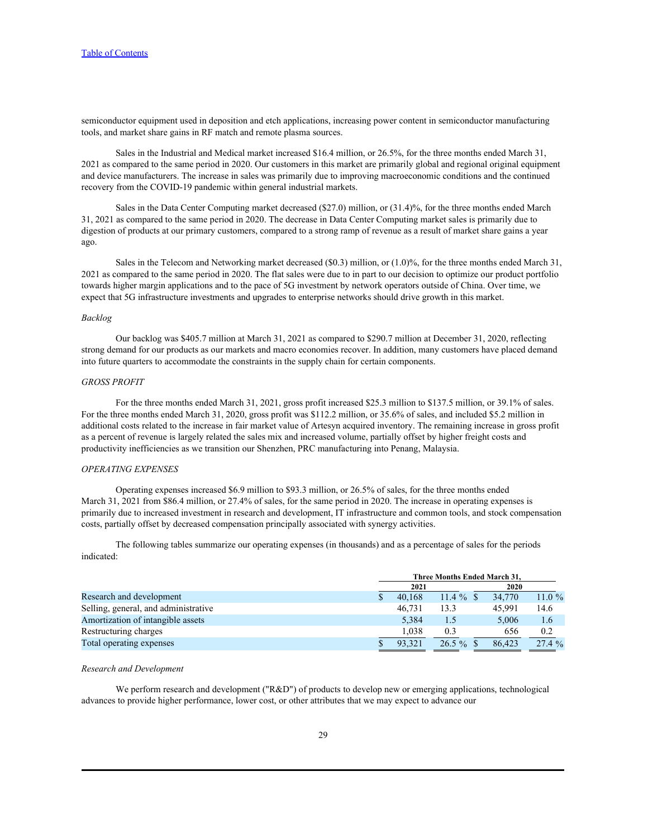semiconductor equipment used in deposition and etch applications, increasing power content in semiconductor manufacturing tools, and market share gains in RF match and remote plasma sources.

Sales in the Industrial and Medical market increased \$16.4 million, or 26.5%, for the three months ended March 31, 2021 as compared to the same period in 2020. Our customers in this market are primarily global and regional original equipment and device manufacturers. The increase in sales was primarily due to improving macroeconomic conditions and the continued recovery from the COVID-19 pandemic within general industrial markets.

Sales in the Data Center Computing market decreased (\$27.0) million, or (31.4)%, for the three months ended March 31, 2021 as compared to the same period in 2020. The decrease in Data Center Computing market sales is primarily due to digestion of products at our primary customers, compared to a strong ramp of revenue as a result of market share gains a year ago.

Sales in the Telecom and Networking market decreased (\$0.3) million, or (1.0)%, for the three months ended March 31, 2021 as compared to the same period in 2020. The flat sales were due to in part to our decision to optimize our product portfolio towards higher margin applications and to the pace of 5G investment by network operators outside of China. Over time, we expect that 5G infrastructure investments and upgrades to enterprise networks should drive growth in this market.

#### *Backlog*

Our backlog was \$405.7 million at March 31, 2021 as compared to \$290.7 million at December 31, 2020, reflecting strong demand for our products as our markets and macro economies recover. In addition, many customers have placed demand into future quarters to accommodate the constraints in the supply chain for certain components.

#### *GROSS PROFIT*

For the three months ended March 31, 2021, gross profit increased \$25.3 million to \$137.5 million, or 39.1% of sales. For the three months ended March 31, 2020, gross profit was \$112.2 million, or 35.6% of sales, and included \$5.2 million in additional costs related to the increase in fair market value of Artesyn acquired inventory. The remaining increase in gross profit as a percent of revenue is largely related the sales mix and increased volume, partially offset by higher freight costs and productivity inefficiencies as we transition our Shenzhen, PRC manufacturing into Penang, Malaysia.

#### *OPERATING EXPENSES*

Operating expenses increased \$6.9 million to \$93.3 million, or 26.5% of sales, for the three months ended March 31, 2021 from \$86.4 million, or 27.4% of sales, for the same period in 2020. The increase in operating expenses is primarily due to increased investment in research and development, IT infrastructure and common tools, and stock compensation costs, partially offset by decreased compensation principally associated with synergy activities.

The following tables summarize our operating expenses (in thousands) and as a percentage of sales for the periods indicated:

| 2021 |                                              | 2020   |                              |  |
|------|----------------------------------------------|--------|------------------------------|--|
|      | $11.4\%$                                     | 34,770 | $11.0 \%$                    |  |
|      | 13.3                                         | 45,991 | 14.6                         |  |
|      | L.)                                          | 5,006  | 1.6                          |  |
|      | 0.3                                          | 656    | 0.2                          |  |
|      | $26.5\%$                                     | 86,423 | 27.4%                        |  |
|      | 40,168<br>46,731<br>5,384<br>1.038<br>93,321 |        | Three Months Ended March 31, |  |

### *Research and Development*

We perform research and development ("R&D") of products to develop new or emerging applications, technological advances to provide higher performance, lower cost, or other attributes that we may expect to advance our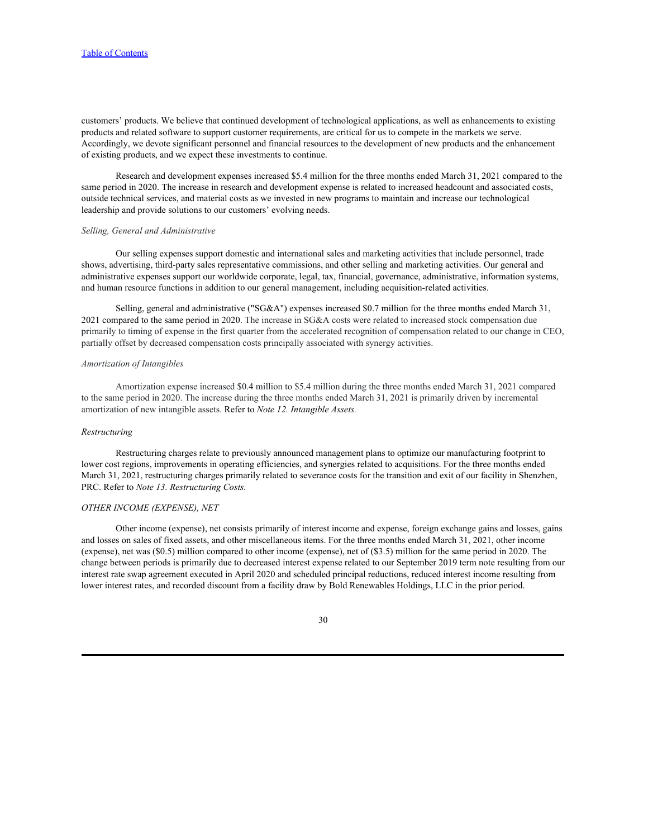customers' products. We believe that continued development of technological applications, as well as enhancements to existing products and related software to support customer requirements, are critical for us to compete in the markets we serve. Accordingly, we devote significant personnel and financial resources to the development of new products and the enhancement of existing products, and we expect these investments to continue.

Research and development expenses increased \$5.4 million for the three months ended March 31, 2021 compared to the same period in 2020. The increase in research and development expense is related to increased headcount and associated costs, outside technical services, and material costs as we invested in new programs to maintain and increase our technological leadership and provide solutions to our customers' evolving needs.

#### *Selling, General and Administrative*

Our selling expenses support domestic and international sales and marketing activities that include personnel, trade shows, advertising, third-party sales representative commissions, and other selling and marketing activities. Our general and administrative expenses support our worldwide corporate, legal, tax, financial, governance, administrative, information systems, and human resource functions in addition to our general management, including acquisition-related activities.

Selling, general and administrative ("SG&A") expenses increased \$0.7 million for the three months ended March 31, 2021 compared to the same period in 2020. The increase in SG&A costs were related to increased stock compensation due primarily to timing of expense in the first quarter from the accelerated recognition of compensation related to our change in CEO, partially offset by decreased compensation costs principally associated with synergy activities.

#### *Amortization of Intangibles*

Amortization expense increased \$0.4 million to \$5.4 million during the three months ended March 31, 2021 compared to the same period in 2020. The increase during the three months ended March 31, 2021 is primarily driven by incremental amortization of new intangible assets. Refer to *Note 12. Intangible Assets.*

#### *Restructuring*

Restructuring charges relate to previously announced management plans to optimize our manufacturing footprint to lower cost regions, improvements in operating efficiencies, and synergies related to acquisitions. For the three months ended March 31, 2021, restructuring charges primarily related to severance costs for the transition and exit of our facility in Shenzhen, PRC. Refer to *Note 13. Restructuring Costs.*

#### *OTHER INCOME (EXPENSE), NET*

Other income (expense), net consists primarily of interest income and expense, foreign exchange gains and losses, gains and losses on sales of fixed assets, and other miscellaneous items. For the three months ended March 31, 2021, other income (expense), net was (\$0.5) million compared to other income (expense), net of (\$3.5) million for the same period in 2020. The change between periods is primarily due to decreased interest expense related to our September 2019 term note resulting from our interest rate swap agreement executed in April 2020 and scheduled principal reductions, reduced interest income resulting from lower interest rates, and recorded discount from a facility draw by Bold Renewables Holdings, LLC in the prior period.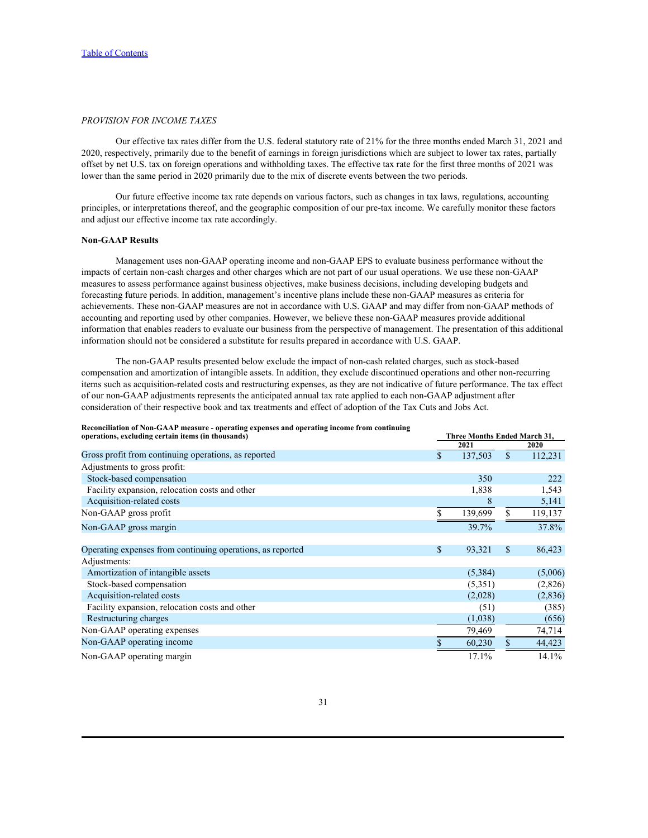### *PROVISION FOR INCOME TAXES*

Our effective tax rates differ from the U.S. federal statutory rate of 21% for the three months ended March 31, 2021 and 2020, respectively, primarily due to the benefit of earnings in foreign jurisdictions which are subject to lower tax rates, partially offset by net U.S. tax on foreign operations and withholding taxes. The effective tax rate for the first three months of 2021 was lower than the same period in 2020 primarily due to the mix of discrete events between the two periods.

Our future effective income tax rate depends on various factors, such as changes in tax laws, regulations, accounting principles, or interpretations thereof, and the geographic composition of our pre-tax income. We carefully monitor these factors and adjust our effective income tax rate accordingly.

# **Non-GAAP Results**

Management uses non-GAAP operating income and non-GAAP EPS to evaluate business performance without the impacts of certain non-cash charges and other charges which are not part of our usual operations. We use these non-GAAP measures to assess performance against business objectives, make business decisions, including developing budgets and forecasting future periods. In addition, management's incentive plans include these non-GAAP measures as criteria for achievements. These non-GAAP measures are not in accordance with U.S. GAAP and may differ from non-GAAP methods of accounting and reporting used by other companies. However, we believe these non-GAAP measures provide additional information that enables readers to evaluate our business from the perspective of management. The presentation of this additional information should not be considered a substitute for results prepared in accordance with U.S. GAAP.

The non-GAAP results presented below exclude the impact of non-cash related charges, such as stock-based compensation and amortization of intangible assets. In addition, they exclude discontinued operations and other non-recurring items such as acquisition-related costs and restructuring expenses, as they are not indicative of future performance. The tax effect of our non-GAAP adjustments represents the anticipated annual tax rate applied to each non-GAAP adjustment after consideration of their respective book and tax treatments and effect of adoption of the Tax Cuts and Jobs Act.

|                                                                                                                                                                                                                                    |  |  | Reconciliation of Non-GAAP measure - operating expenses and operating income from continuing |  |
|------------------------------------------------------------------------------------------------------------------------------------------------------------------------------------------------------------------------------------|--|--|----------------------------------------------------------------------------------------------|--|
| $\mathcal{L}$ . The contract of the state of the contract of the state of the state of the state of the state of the state of the state of the state of the state of the state of the state of the state of the state of the state |  |  |                                                                                              |  |

| Reconciliation of Non-GAAP measure - operating expenses and operating income from continuing |                              |     |          |
|----------------------------------------------------------------------------------------------|------------------------------|-----|----------|
| operations, excluding certain items (in thousands)                                           | Three Months Ended March 31, |     |          |
| Gross profit from continuing operations, as reported                                         | 2021                         |     | 2020     |
|                                                                                              | 137,503                      |     | 112,231  |
| Adjustments to gross profit:                                                                 |                              |     |          |
| Stock-based compensation                                                                     | 350                          |     | 222      |
| Facility expansion, relocation costs and other                                               | 1,838                        |     | 1,543    |
| Acquisition-related costs                                                                    |                              |     | 5,141    |
| Non-GAAP gross profit                                                                        | 139,699                      |     | 119,137  |
| Non-GAAP gross margin                                                                        | 39.7%                        |     | 37.8%    |
|                                                                                              |                              |     |          |
| Operating expenses from continuing operations, as reported                                   | 93,321                       | -SS | 86,423   |
| Adjustments:                                                                                 |                              |     |          |
| Amortization of intangible assets                                                            | (5,384)                      |     | (5,006)  |
| Stock-based compensation                                                                     | (5,351)                      |     | (2,826)  |
| Acquisition-related costs                                                                    | (2,028)                      |     | (2, 836) |
| Facility expansion, relocation costs and other                                               | (51)                         |     | (385)    |
| Restructuring charges                                                                        | (1,038)                      |     | (656)    |
| Non-GAAP operating expenses                                                                  | 79,469                       |     | 74,714   |
| Non-GAAP operating income                                                                    | 60,230                       |     | 44,423   |
| Non-GAAP operating margin                                                                    | 17.1%                        |     | 14.1%    |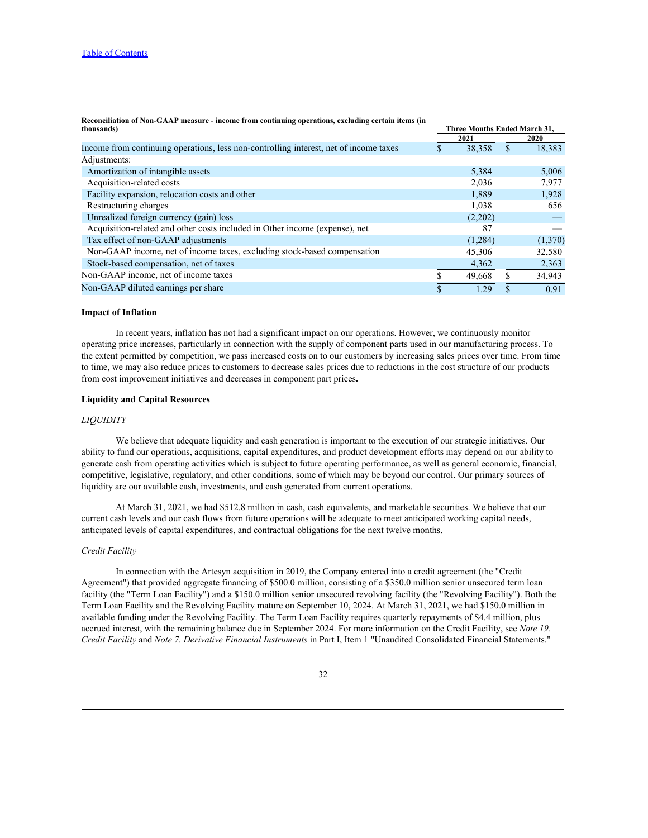| thousands)                                                                            | Three Months Ended March 31, |         |             |
|---------------------------------------------------------------------------------------|------------------------------|---------|-------------|
|                                                                                       |                              | 2021    | <b>2020</b> |
| Income from continuing operations, less non-controlling interest, net of income taxes |                              | 38,358  | 18,383      |
| Adjustments:                                                                          |                              |         |             |
| Amortization of intangible assets                                                     |                              | 5,384   | 5,006       |
| Acquisition-related costs                                                             |                              | 2,036   | 7,977       |
| Facility expansion, relocation costs and other                                        |                              | 1,889   | 1,928       |
| Restructuring charges                                                                 |                              | 1,038   | 656         |
| Unrealized foreign currency (gain) loss                                               |                              | (2,202) |             |
| Acquisition-related and other costs included in Other income (expense), net           |                              | 87      |             |
| Tax effect of non-GAAP adjustments                                                    |                              | (1,284) | (1,370)     |
| Non-GAAP income, net of income taxes, excluding stock-based compensation              |                              | 45,306  | 32,580      |
| Stock-based compensation, net of taxes                                                |                              | 4,362   | 2,363       |
| Non-GAAP income, net of income taxes                                                  |                              | 49,668  | 34,943      |
| Non-GAAP diluted earnings per share                                                   |                              | 1.29    | 0.91        |

**Reconciliation of Non-GAAP measure - income from continuing operations, excluding certain items (in**

#### **Impact of Inflation**

In recent years, inflation has not had a significant impact on our operations. However, we continuously monitor operating price increases, particularly in connection with the supply of component parts used in our manufacturing process. To the extent permitted by competition, we pass increased costs on to our customers by increasing sales prices over time. From time to time, we may also reduce prices to customers to decrease sales prices due to reductions in the cost structure of our products from cost improvement initiatives and decreases in component part prices**.**

#### **Liquidity and Capital Resources**

### *LIQUIDITY*

We believe that adequate liquidity and cash generation is important to the execution of our strategic initiatives. Our ability to fund our operations, acquisitions, capital expenditures, and product development efforts may depend on our ability to generate cash from operating activities which is subject to future operating performance, as well as general economic, financial, competitive, legislative, regulatory, and other conditions, some of which may be beyond our control. Our primary sources of liquidity are our available cash, investments, and cash generated from current operations.

At March 31, 2021, we had \$512.8 million in cash, cash equivalents, and marketable securities. We believe that our current cash levels and our cash flows from future operations will be adequate to meet anticipated working capital needs, anticipated levels of capital expenditures, and contractual obligations for the next twelve months.

#### *Credit Facility*

In connection with the Artesyn acquisition in 2019, the Company entered into a credit agreement (the "Credit Agreement") that provided aggregate financing of \$500.0 million, consisting of a \$350.0 million senior unsecured term loan facility (the "Term Loan Facility") and a \$150.0 million senior unsecured revolving facility (the "Revolving Facility"). Both the Term Loan Facility and the Revolving Facility mature on September 10, 2024. At March 31, 2021, we had \$150.0 million in available funding under the Revolving Facility. The Term Loan Facility requires quarterly repayments of \$4.4 million, plus accrued interest, with the remaining balance due in September 2024. For more information on the Credit Facility, see *Note 19. Credit Facility* and *Note 7. Derivative Financial Instruments* in Part I, Item 1 "Unaudited Consolidated Financial Statements."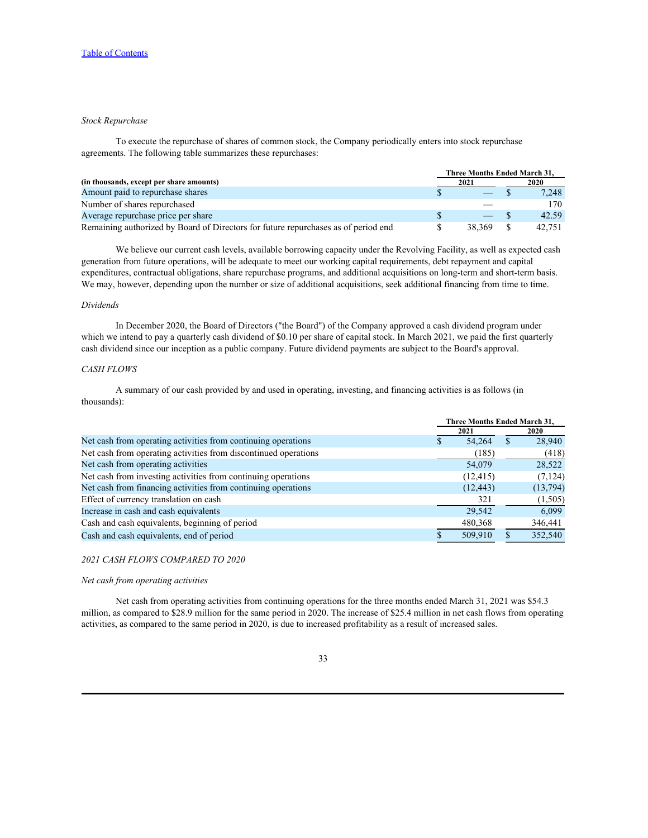### *Stock Repurchase*

To execute the repurchase of shares of common stock, the Company periodically enters into stock repurchase agreements. The following table summarizes these repurchases:

|                                                                                    |      |                                | Three Months Ended March 31. |        |  |
|------------------------------------------------------------------------------------|------|--------------------------------|------------------------------|--------|--|
| (in thousands, except per share amounts)                                           | 2021 |                                | 2020                         |        |  |
| Amount paid to repurchase shares                                                   |      |                                |                              | 7,248  |  |
| Number of shares repurchased                                                       |      | __                             |                              | 170    |  |
| Average repurchase price per share                                                 |      | $\overbrace{\hspace{25mm}}^{}$ |                              | 42.59  |  |
| Remaining authorized by Board of Directors for future repurchases as of period end |      | 38.369                         |                              | 42,751 |  |

We believe our current cash levels, available borrowing capacity under the Revolving Facility, as well as expected cash generation from future operations, will be adequate to meet our working capital requirements, debt repayment and capital expenditures, contractual obligations, share repurchase programs, and additional acquisitions on long-term and short-term basis. We may, however, depending upon the number or size of additional acquisitions, seek additional financing from time to time.

### *Dividends*

In December 2020, the Board of Directors ("the Board") of the Company approved a cash dividend program under which we intend to pay a quarterly cash dividend of \$0.10 per share of capital stock. In March 2021, we paid the first quarterly cash dividend since our inception as a public company. Future dividend payments are subject to the Board's approval.

### *CASH FLOWS*

A summary of our cash provided by and used in operating, investing, and financing activities is as follows (in thousands):

|                                                                 | Three Months Ended March 31. |             |
|-----------------------------------------------------------------|------------------------------|-------------|
|                                                                 | 2021                         | <b>2020</b> |
| Net cash from operating activities from continuing operations   | 54.264                       | 28,940      |
| Net cash from operating activities from discontinued operations | (185)                        | (418)       |
| Net cash from operating activities                              | 54,079                       | 28,522      |
| Net cash from investing activities from continuing operations   | (12, 415)                    | (7, 124)    |
| Net cash from financing activities from continuing operations   | (12, 443)                    | (13, 794)   |
| Effect of currency translation on cash                          | 321                          | (1,505)     |
| Increase in cash and cash equivalents                           | 29.542                       | 6,099       |
| Cash and cash equivalents, beginning of period                  | 480,368                      | 346,441     |
| Cash and cash equivalents, end of period                        | 509,910                      | 352,540     |
|                                                                 |                              |             |

### *2021 CASH FLOWS COMPARED TO 2020*

## *Net cash from operating activities*

Net cash from operating activities from continuing operations for the three months ended March 31, 2021 was \$54.3 million, as compared to \$28.9 million for the same period in 2020. The increase of \$25.4 million in net cash flows from operating activities, as compared to the same period in 2020, is due to increased profitability as a result of increased sales.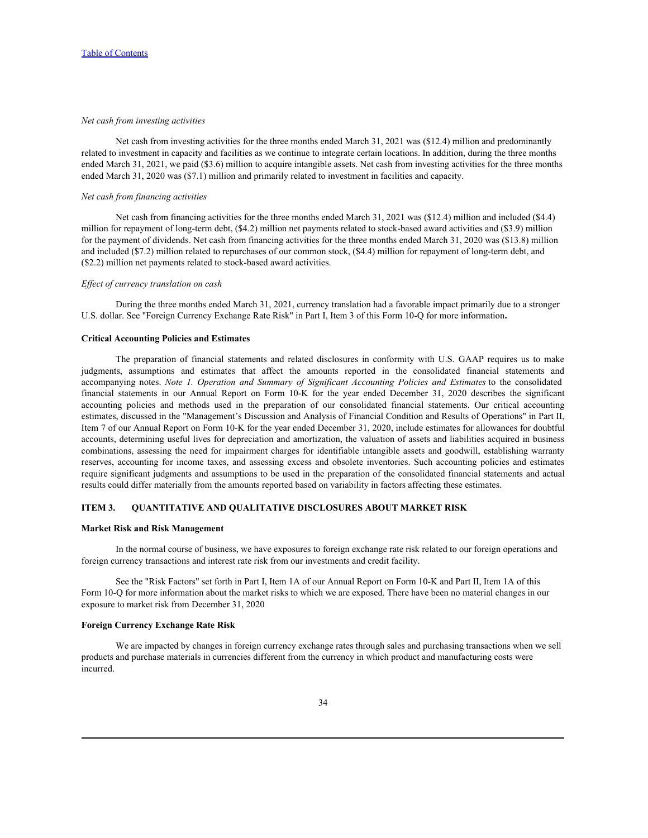### *Net cash from investing activities*

Net cash from investing activities for the three months ended March 31, 2021 was (\$12.4) million and predominantly related to investment in capacity and facilities as we continue to integrate certain locations. In addition, during the three months ended March 31, 2021, we paid (\$3.6) million to acquire intangible assets. Net cash from investing activities for the three months ended March 31, 2020 was (\$7.1) million and primarily related to investment in facilities and capacity.

#### *Net cash from financing activities*

Net cash from financing activities for the three months ended March 31, 2021 was (\$12.4) million and included (\$4.4) million for repayment of long-term debt, (\$4.2) million net payments related to stock-based award activities and (\$3.9) million for the payment of dividends. Net cash from financing activities for the three months ended March 31, 2020 was (\$13.8) million and included (\$7.2) million related to repurchases of our common stock, (\$4.4) million for repayment of long-term debt, and (\$2.2) million net payments related to stock-based award activities.

#### *Effect of currency translation on cash*

During the three months ended March 31, 2021, currency translation had a favorable impact primarily due to a stronger U.S. dollar. See "Foreign Currency Exchange Rate Risk" in Part I, Item 3 of this Form 10-Q for more information**.**

### **Critical Accounting Policies and Estimates**

From investing activities<br>
from investing activities for the three months ended March 31, 2021 was (\$12.4) million and predominantly<br>
Net can from investing exity the financial statements in equalities in the metallities Theseof Contents<br>
Net cash from investing activities for the three months ended March 11, 2021 was (\$1.24) millen and pedicminatly<br>
related to investment in equacity and fasilities as we consisten esting<br>
related to inve Table of Contents.<br>Net cash from investing activities for the three months endo March 31.2021 was (31.4) million and preforminantly<br>related to investment in capacity and finding is one contented bettered there in solition, Net can be four average periodic state methods in our Annual Report on the significal state methods in the state methods in the state methods in the state methods in the state methods in the state and four annual Report o Net cank from investing accireiate<br>
Net cank from investing accireaties for the three months ended March 11, 2021 was (\$12.4) rullion and predicminantly<br>
related bia case form investing accireiaties as we continue to inte estimates, discussed in the "Management's Discussion and Analysis of Financial Condition and Results of Operations" in Part II, Item 7 of our Annual Report on Form 10-K for the year ended December 31, 2020, include estimates for allowances for doubtful accounts, determining useful lives for depreciation and amortization, the valuation of assets and liabilities acquired in business combinations, assessing the need for impairment charges for identifiable intangible assets and goodwill, establishing warranty Net cost from preserves activistic since the three months ended March 31, 202) was (\$12.4) million and preservative<br>related to reventorm in capacity and facilities to see continue to integrate curtains. In addition, durin require significant judgments and assumptions to be used in the preparation of the consolidated financial statements and actual results could differ materially from the amounts reported based on variability in factors affecting these estimates.

### <span id="page-33-0"></span>**ITEM 3. QUANTITATIVE AND QUALITATIVE DISCLOSURES ABOUT MARKET RISK**

## **Market Risk and Risk Management**

In the normal course of business, we have exposures to foreign exchange rate risk related to our foreign operations and foreign currency transactions and interest rate risk from our investments and credit facility.

See the "Risk Factors" set forth in Part I, Item 1A of our Annual Report on Form 10-K and Part II, Item 1A of this Form 10-Q for more information about the market risks to which we are exposed. There have been no material changes in our exposure to market risk from December 31, 2020

#### **Foreign Currency Exchange Rate Risk**

We are impacted by changes in foreign currency exchange rates through sales and purchasing transactions when we sell products and purchase materials in currencies different from the currency in which product and manufacturing costs were incurred.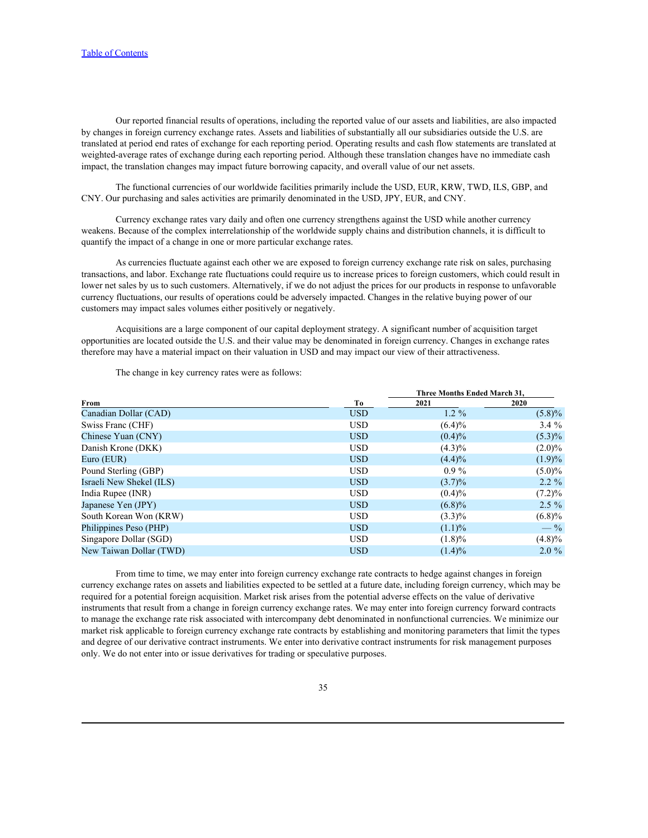Our reported financial results of operations, including the reported value of our assets and liabilities, are also impacted by changes in foreign currency exchange rates. Assets and liabilities of substantially all our subsidiaries outside the U.S. are translated at period end rates of exchange for each reporting period. Operating results and cash flow statements are translated at weighted-average rates of exchange during each reporting period. Although these translation changes have no immediate cash impact, the translation changes may impact future borrowing capacity, and overall value of our net assets.

The functional currencies of our worldwide facilities primarily include the USD, EUR, KRW, TWD, ILS, GBP, and CNY. Our purchasing and sales activities are primarily denominated in the USD, JPY, EUR, and CNY.

Currency exchange rates vary daily and often one currency strengthens against the USD while another currency weakens. Because of the complex interrelationship of the worldwide supply chains and distribution channels, it is difficult to quantify the impact of a change in one or more particular exchange rates.

As currencies fluctuate against each other we are exposed to foreign currency exchange rate risk on sales, purchasing transactions, and labor. Exchange rate fluctuations could require us to increase prices to foreign customers, which could result in lower net sales by us to such customers. Alternatively, if we do not adjust the prices for our products in response to unfavorable currency fluctuations, our results of operations could be adversely impacted. Changes in the relative buying power of our customers may impact sales volumes either positively or negatively.

Acquisitions are a large component of our capital deployment strategy. A significant number of acquisition target opportunities are located outside the U.S. and their value may be denominated in foreign currency. Changes in exchange rates therefore may have a material impact on their valuation in USD and may impact our view of their attractiveness.

The change in key currency rates were as follows:

|                          |            | Three Months Ended March 31. |           |
|--------------------------|------------|------------------------------|-----------|
| From                     | Ŧо         | 2021                         | 2020      |
| Canadian Dollar (CAD)    | <b>USD</b> | $1.2 \%$                     | $(5.8)\%$ |
| Swiss Franc (CHF)        | <b>USD</b> | $(6.4)\%$                    | $3.4\%$   |
| Chinese Yuan (CNY)       | <b>USD</b> | $(0.4)\%$                    | $(5.3)\%$ |
| Danish Krone (DKK)       | <b>USD</b> | $(4.3)\%$                    | $(2.0)\%$ |
| Euro (EUR)               | <b>USD</b> | $(4.4)\%$                    | (1.9)%    |
| Pound Sterling (GBP)     | <b>USD</b> | $0.9\%$                      | $(5.0)\%$ |
| Israeli New Shekel (ILS) | <b>USD</b> | $(3.7)\%$                    | $2.2 \%$  |
| India Rupee (INR)        | <b>USD</b> | $(0.4)\%$                    | $(7.2)\%$ |
| Japanese Yen (JPY)       | <b>USD</b> | $(6.8)\%$                    | $2.5 \%$  |
| South Korean Won (KRW)   | <b>USD</b> | $(3.3)\%$                    | $(6.8)\%$ |
| Philippines Peso (PHP)   | <b>USD</b> | $(1.1)\%$                    | $-$ %     |
| Singapore Dollar (SGD)   | <b>USD</b> | $(1.8)\%$                    | $(4.8)\%$ |
| New Taiwan Dollar (TWD)  | <b>USD</b> | $(1.4)\%$                    | $2.0 \%$  |

From time to time, we may enter into foreign currency exchange rate contracts to hedge against changes in foreign currency exchange rates on assets and liabilities expected to be settled at a future date, including foreign currency, which may be required for a potential foreign acquisition. Market risk arises from the potential adverse effects on the value of derivative instruments that result from a change in foreign currency exchange rates. We may enter into foreign currency forward contracts to manage the exchange rate risk associated with intercompany debt denominated in nonfunctional currencies. We minimize our market risk applicable to foreign currency exchange rate contracts by establishing and monitoring parameters that limit the types and degree of our derivative contract instruments. We enter into derivative contract instruments for risk management purposes only. We do not enter into or issue derivatives for trading or speculative purposes.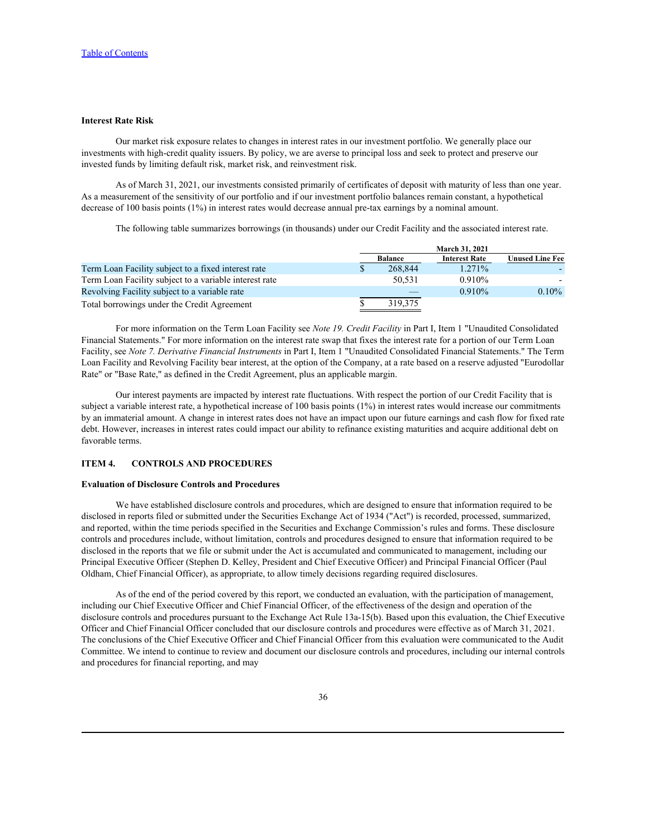### **Interest Rate Risk**

Our market risk exposure relates to changes in interest rates in our investment portfolio. We generally place our investments with high-credit quality issuers. By policy, we are averse to principal loss and seek to protect and preserve our invested funds by limiting default risk, market risk, and reinvestment risk.

As of March 31, 2021, our investments consisted primarily of certificates of deposit with maturity of less than one year. As a measurement of the sensitivity of our portfolio and if our investment portfolio balances remain constant, a hypothetical decrease of 100 basis points (1%) in interest rates would decrease annual pre-tax earnings by a nominal amount.

The following table summarizes borrowings (in thousands) under our Credit Facility and the associated interest rate.

|                                                        |                | <b>March 31, 2021</b> |                         |  |  |
|--------------------------------------------------------|----------------|-----------------------|-------------------------|--|--|
|                                                        | <b>Balance</b> | <b>Interest Rate</b>  | U <b>nused Line Fee</b> |  |  |
| Term Loan Facility subject to a fixed interest rate    | 268.844        | 1.271%                |                         |  |  |
| Term Loan Facility subject to a variable interest rate | 50,531         | 0.910%                |                         |  |  |
| Revolving Facility subject to a variable rate          |                | 0.910%                | $0.10\%$                |  |  |
| Total borrowings under the Credit Agreement            | 319,375        |                       |                         |  |  |

For more information on the Term Loan Facility see *Note 19. Credit Facility* in Part I, Item 1 "Unaudited Consolidated Financial Statements." For more information on the interest rate swap that fixes the interest rate for a portion of our Term Loan Facility, see *Note 7. Derivative Financial Instruments* in Part I, Item 1 "Unaudited Consolidated Financial Statements." The Term Loan Facility and Revolving Facility bear interest, at the option of the Company, at a rate based on a reserve adjusted "Eurodollar Rate" or "Base Rate," as defined in the Credit Agreement, plus an applicable margin.

Our interest payments are impacted by interest rate fluctuations. With respect the portion of our Credit Facility that is subject a variable interest rate, a hypothetical increase of 100 basis points (1%) in interest rates would increase our commitments by an immaterial amount. A change in interest rates does not have an impact upon our future earnings and cash flow for fixed rate debt. However, increases in interest rates could impact our ability to refinance existing maturities and acquire additional debt on favorable terms.

#### <span id="page-35-0"></span>**ITEM 4. CONTROLS AND PROCEDURES**

### **Evaluation of Disclosure Controls and Procedures**

We have established disclosure controls and procedures, which are designed to ensure that information required to be disclosed in reports filed or submitted under the Securities Exchange Act of 1934 ("Act") is recorded, processed, summarized, and reported, within the time periods specified in the Securities and Exchange Commission's rules and forms. These disclosure controls and procedures include, without limitation, controls and procedures designed to ensure that information required to be disclosed in the reports that we file or submit under the Act is accumulated and communicated to management, including our Principal Executive Officer (Stephen D. Kelley, President and Chief Executive Officer) and Principal Financial Officer (Paul Oldham, Chief Financial Officer), as appropriate, to allow timely decisions regarding required disclosures.

As of the end of the period covered by this report, we conducted an evaluation, with the participation of management, including our Chief Executive Officer and Chief Financial Officer, of the effectiveness of the design and operation of the disclosure controls and procedures pursuant to the Exchange Act Rule 13a-15(b). Based upon this evaluation, the Chief Executive Officer and Chief Financial Officer concluded that our disclosure controls and procedures were effective as of March 31, 2021. The conclusions of the Chief Executive Officer and Chief Financial Officer from this evaluation were communicated to the Audit Committee. We intend to continue to review and document our disclosure controls and procedures, including our internal controls and procedures for financial reporting, and may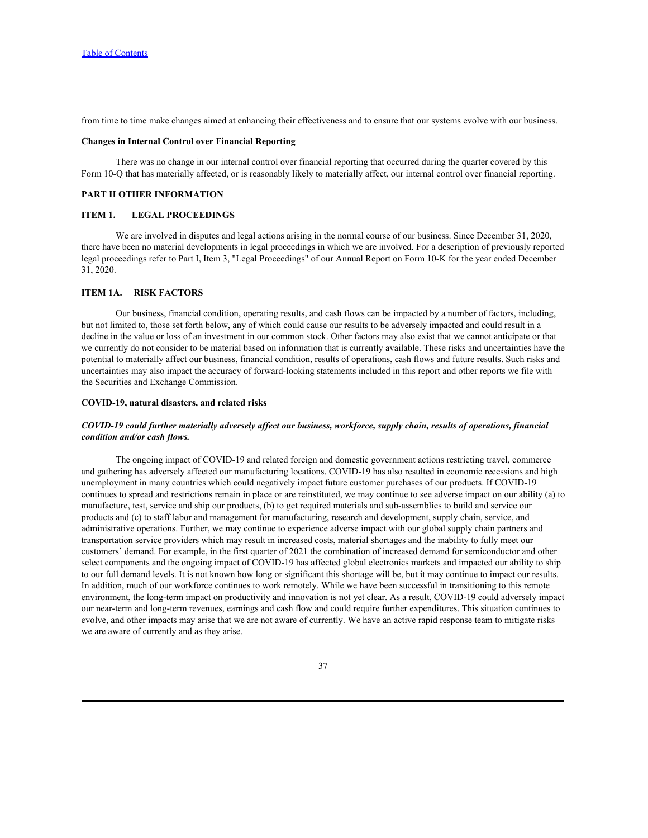from time to time make changes aimed at enhancing their effectiveness and to ensure that our systems evolve with our business.

#### **Changes in Internal Control over Financial Reporting**

There was no change in our internal control over financial reporting that occurred during the quarter covered by this Form 10-Q that has materially affected, or is reasonably likely to materially affect, our internal control over financial reporting.

### <span id="page-36-0"></span>**PART II OTHER INFORMATION**

### <span id="page-36-1"></span>**ITEM 1. LEGAL PROCEEDINGS**

We are involved in disputes and legal actions arising in the normal course of our business. Since December 31, 2020, there have been no material developments in legal proceedings in which we are involved. For a description of previously reported legal proceedings refer to Part I, Item 3, "Legal Proceedings" of our Annual Report on Form 10-K for the year ended December 31, 2020.

#### <span id="page-36-2"></span>**ITEM 1A. RISK FACTORS**

Our business, financial condition, operating results, and cash flows can be impacted by a number of factors, including, but not limited to, those set forth below, any of which could cause our results to be adversely impacted and could result in a decline in the value or loss of an investment in our common stock. Other factors may also exist that we cannot anticipate or that we currently do not consider to be material based on information that is currently available. These risks and uncertainties have the potential to materially affect our business, financial condition, results of operations, cash flows and future results. Such risks and uncertainties may also impact the accuracy of forward-looking statements included in this report and other reports we file with the Securities and Exchange Commission.

#### **COVID-19, natural disasters, and related risks**

# *COVID-19 could further materially adversely affect our business, workforce, supply chain, results of operations, financial condition and/or cash flows.*

The ongoing impact of COVID-19 and related foreign and domestic government actions restricting travel, commerce and gathering has adversely affected our manufacturing locations. COVID-19 has also resulted in economic recessions and high unemployment in many countries which could negatively impact future customer purchases of our products. If COVID-19 continues to spread and restrictions remain in place or are reinstituted, we may continue to see adverse impact on our ability (a) to manufacture, test, service and ship our products, (b) to get required materials and sub-assemblies to build and service our products and (c) to staff labor and management for manufacturing, research and development, supply chain, service, and administrative operations. Further, we may continue to experience adverse impact with our global supply chain partners and transportation service providers which may result in increased costs, material shortages and the inability to fully meet our customers' demand. For example, in the first quarter of 2021 the combination of increased demand for semiconductor and other select components and the ongoing impact of COVID-19 has affected global electronics markets and impacted our ability to ship to our full demand levels. It is not known how long or significant this shortage will be, but it may continue to impact our results. In addition, much of our workforce continues to work remotely. While we have been successful in transitioning to this remote environment, the long-term impact on productivity and innovation is not yet clear. As a result, COVID-19 could adversely impact our near-term and long-term revenues, earnings and cash flow and could require further expenditures. This situation continues to evolve, and other impacts may arise that we are not aware of currently. We have an active rapid response team to mitigate risks we are aware of currently and as they arise.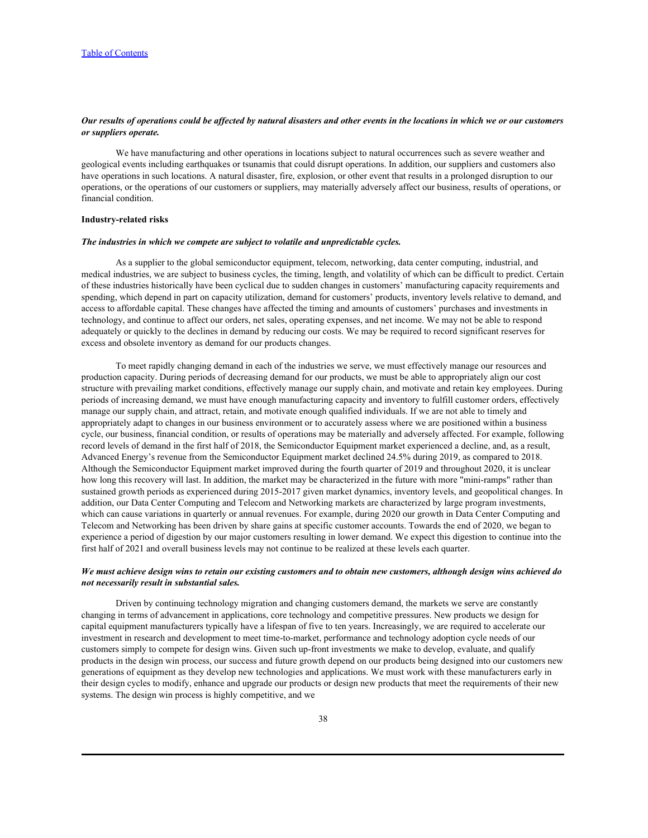## *Our results of operations could be affected by natural disasters and other events in the locations in which we or our customers or suppliers operate.*

We have manufacturing and other operations in locations subject to natural occurrences such as severe weather and geological events including earthquakes or tsunamis that could disrupt operations. In addition, our suppliers and customers also have operations in such locations. A natural disaster, fire, explosion, or other event that results in a prolonged disruption to our operations, or the operations of our customers or suppliers, may materially adversely affect our business, results of operations, or financial condition.

#### **Industry-related risks**

#### *The industries in which we compete are subject to volatile and unpredictable cycles.*

As a supplier to the global semiconductor equipment, telecom, networking, data center computing, industrial, and medical industries, we are subject to business cycles, the timing, length, and volatility of which can be difficult to predict. Certain of these industries historically have been cyclical due to sudden changes in customers' manufacturing capacity requirements and spending, which depend in part on capacity utilization, demand for customers' products, inventory levels relative to demand, and access to affordable capital. These changes have affected the timing and amounts of customers' purchases and investments in technology, and continue to affect our orders, net sales, operating expenses, and net income. We may not be able to respond adequately or quickly to the declines in demand by reducing our costs. We may be required to record significant reserves for excess and obsolete inventory as demand for our products changes.

To meet rapidly changing demand in each of the industries we serve, we must effectively manage our resources and production capacity. During periods of decreasing demand for our products, we must be able to appropriately align our cost structure with prevailing market conditions, effectively manage our supply chain, and motivate and retain key employees. During periods of increasing demand, we must have enough manufacturing capacity and inventory to fulfill customer orders, effectively manage our supply chain, and attract, retain, and motivate enough qualified individuals. If we are not able to timely and appropriately adapt to changes in our business environment or to accurately assess where we are positioned within a business cycle, our business, financial condition, or results of operations may be materially and adversely affected. For example, following record levels of demand in the first half of 2018, the Semiconductor Equipment market experienced a decline, and, as a result, Advanced Energy's revenue from the Semiconductor Equipment market declined 24.5% during 2019, as compared to 2018. Although the Semiconductor Equipment market improved during the fourth quarter of 2019 and throughout 2020, it is unclear how long this recovery will last. In addition, the market may be characterized in the future with more "mini-ramps" rather than sustained growth periods as experienced during 2015-2017 given market dynamics, inventory levels, and geopolitical changes. In addition, our Data Center Computing and Telecom and Networking markets are characterized by large program investments, which can cause variations in quarterly or annual revenues. For example, during 2020 our growth in Data Center Computing and Telecom and Networking has been driven by share gains at specific customer accounts. Towards the end of 2020, we began to experience a period of digestion by our major customers resulting in lower demand. We expect this digestion to continue into the first half of 2021 and overall business levels may not continue to be realized at these levels each quarter.

### *We must achieve design wins to retain our existing customers and to obtain new customers, although design wins achieved do not necessarily result in substantial sales.*

Driven by continuing technology migration and changing customers demand, the markets we serve are constantly changing in terms of advancement in applications, core technology and competitive pressures. New products we design for capital equipment manufacturers typically have a lifespan of five to ten years. Increasingly, we are required to accelerate our investment in research and development to meet time-to-market, performance and technology adoption cycle needs of our customers simply to compete for design wins. Given such up-front investments we make to develop, evaluate, and qualify products in the design win process, our success and future growth depend on our products being designed into our customers new generations of equipment as they develop new technologies and applications. We must work with these manufacturers early in their design cycles to modify, enhance and upgrade our products or design new products that meet the requirements of their new systems. The design win process is highly competitive, and we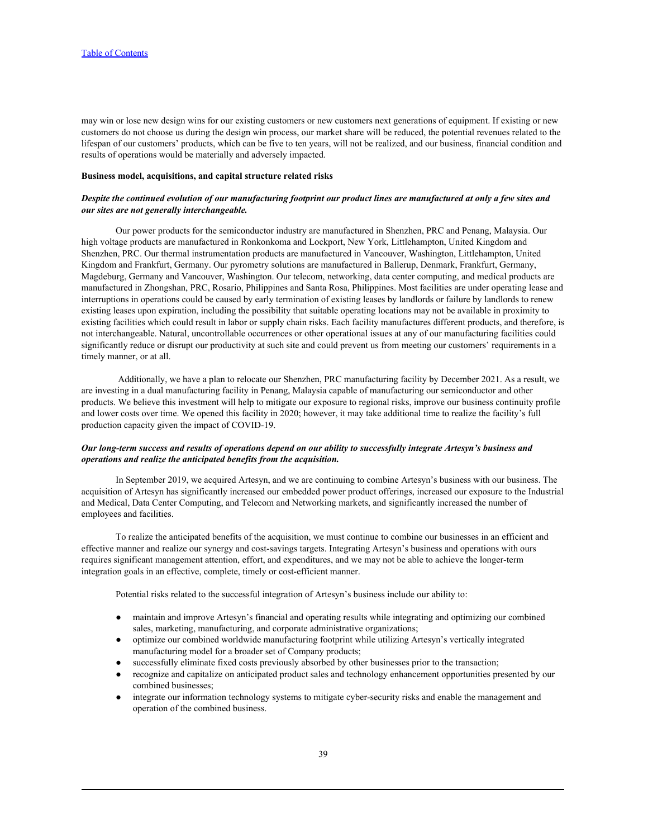may win or lose new design wins for our existing customers or new customers next generations of equipment. If existing or new customers do not choose us during the design win process, our market share will be reduced, the potential revenues related to the lifespan of our customers' products, which can be five to ten years, will not be realized, and our business, financial condition and results of operations would be materially and adversely impacted.

#### **Business model, acquisitions, and capital structure related risks**

# *Despite the continued evolution of our manufacturing footprint our product lines are manufactured at only a few sites and our sites are not generally interchangeable.*

Our power products for the semiconductor industry are manufactured in Shenzhen, PRC and Penang, Malaysia. Our high voltage products are manufactured in Ronkonkoma and Lockport, New York, Littlehampton, United Kingdom and Shenzhen, PRC. Our thermal instrumentation products are manufactured in Vancouver, Washington, Littlehampton, United Kingdom and Frankfurt, Germany. Our pyrometry solutions are manufactured in Ballerup, Denmark, Frankfurt, Germany, Magdeburg, Germany and Vancouver, Washington. Our telecom, networking, data center computing, and medical products are manufactured in Zhongshan, PRC, Rosario, Philippines and Santa Rosa, Philippines. Most facilities are under operating lease and interruptions in operations could be caused by early termination of existing leases by landlords or failure by landlords to renew existing leases upon expiration, including the possibility that suitable operating locations may not be available in proximity to existing facilities which could result in labor or supply chain risks. Each facility manufactures different products, and therefore, is not interchangeable. Natural, uncontrollable occurrences or other operational issues at any of our manufacturing facilities could significantly reduce or disrupt our productivity at such site and could prevent us from meeting our customers' requirements in a timely manner, or at all.

 Additionally, we have a plan to relocate our Shenzhen, PRC manufacturing facility by December 2021. As a result, we are investing in a dual manufacturing facility in Penang, Malaysia capable of manufacturing our semiconductor and other products. We believe this investment will help to mitigate our exposure to regional risks, improve our business continuity profile and lower costs over time. We opened this facility in 2020; however, it may take additional time to realize the facility's full production capacity given the impact of COVID-19.

# *Our long-term success and results of operations depend on our ability to successfully integrate Artesyn's business and operations and realize the anticipated benefits from the acquisition.*

In September 2019, we acquired Artesyn, and we are continuing to combine Artesyn's business with our business. The acquisition of Artesyn has significantly increased our embedded power product offerings, increased our exposure to the Industrial and Medical, Data Center Computing, and Telecom and Networking markets, and significantly increased the number of employees and facilities.

To realize the anticipated benefits of the acquisition, we must continue to combine our businesses in an efficient and effective manner and realize our synergy and cost-savings targets. Integrating Artesyn's business and operations with ours requires significant management attention, effort, and expenditures, and we may not be able to achieve the longer-term integration goals in an effective, complete, timely or cost-efficient manner.

Potential risks related to the successful integration of Artesyn's business include our ability to:

- maintain and improve Artesyn's financial and operating results while integrating and optimizing our combined sales, marketing, manufacturing, and corporate administrative organizations;
- optimize our combined worldwide manufacturing footprint while utilizing Artesyn's vertically integrated manufacturing model for a broader set of Company products;
- successfully eliminate fixed costs previously absorbed by other businesses prior to the transaction;
- recognize and capitalize on anticipated product sales and technology enhancement opportunities presented by our combined businesses;
- integrate our information technology systems to mitigate cyber-security risks and enable the management and operation of the combined business.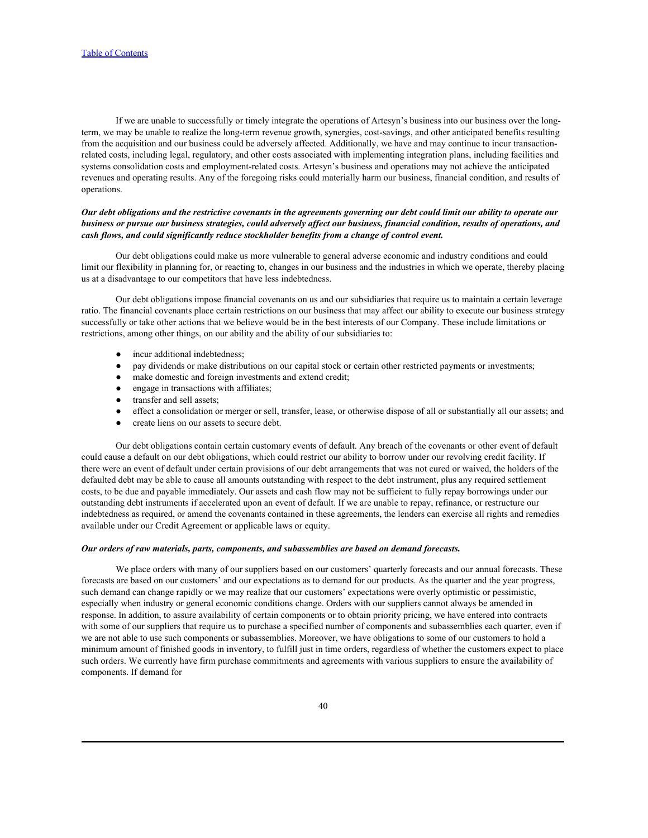If we are unable to successfully or timely integrate the operations of Artesyn's business into our business over the longterm, we may be unable to realize the long-term revenue growth, synergies, cost-savings, and other anticipated benefits resulting from the acquisition and our business could be adversely affected. Additionally, we have and may continue to incur transactionrelated costs, including legal, regulatory, and other costs associated with implementing integration plans, including facilities and systems consolidation costs and employment-related costs. Artesyn's business and operations may not achieve the anticipated revenues and operating results. Any of the foregoing risks could materially harm our business, financial condition, and results of operations.

## *Our debt obligations and the restrictive covenants in the agreements governing our debt could limit our ability to operate our business or pursue our business strategies, could adversely affect our business, financial condition, results of operations, and cash flows, and could significantly reduce stockholder benefits from a change of control event.*

Our debt obligations could make us more vulnerable to general adverse economic and industry conditions and could limit our flexibility in planning for, or reacting to, changes in our business and the industries in which we operate, thereby placing us at a disadvantage to our competitors that have less indebtedness.

Our debt obligations impose financial covenants on us and our subsidiaries that require us to maintain a certain leverage ratio. The financial covenants place certain restrictions on our business that may affect our ability to execute our business strategy successfully or take other actions that we believe would be in the best interests of our Company. These include limitations or restrictions, among other things, on our ability and the ability of our subsidiaries to:

- 
- incur additional indebtedness;<br>pay dividends or make distributions on our capital stock or certain other restricted payments or investments;
- make domestic and foreign investments and extend credit;
- engage in transactions with affiliates;
- transfer and sell assets;
- effect a consolidation or merger or sell, transfer, lease, or otherwise dispose of all or substantially all our assets; and
- create liens on our assets to secure debt.

Our debt obligations contain certain customary events of default. Any breach of the covenants or other event of default could cause a default on our debt obligations, which could restrict our ability to borrow under our revolving credit facility. If there were an event of default under certain provisions of our debt arrangements that was not cured or waived, the holders of the defaulted debt may be able to cause all amounts outstanding with respect to the debt instrument, plus any required settlement costs, to be due and payable immediately. Our assets and cash flow may not be sufficient to fully repay borrowings under our outstanding debt instruments if accelerated upon an event of default. If we are unable to repay, refinance, or restructure our indebtedness as required, or amend the covenants contained in these agreements, the lenders can exercise all rights and remedies available under our Credit Agreement or applicable laws or equity.

#### *Our orders of raw materials, parts, components, and subassemblies are based on demand forecasts.*

We place orders with many of our suppliers based on our customers' quarterly forecasts and our annual forecasts. These forecasts are based on our customers' and our expectations as to demand for our products. As the quarter and the year progress, such demand can change rapidly or we may realize that our customers' expectations were overly optimistic or pessimistic, especially when industry or general economic conditions change. Orders with our suppliers cannot always be amended in response. In addition, to assure availability of certain components or to obtain priority pricing, we have entered into contracts with some of our suppliers that require us to purchase a specified number of components and subassemblies each quarter, even if we are not able to use such components or subassemblies. Moreover, we have obligations to some of our customers to hold a minimum amount of finished goods in inventory, to fulfill just in time orders, regardless of whether the customers expect to place such orders. We currently have firm purchase commitments and agreements with various suppliers to ensure the availability of components. If demand for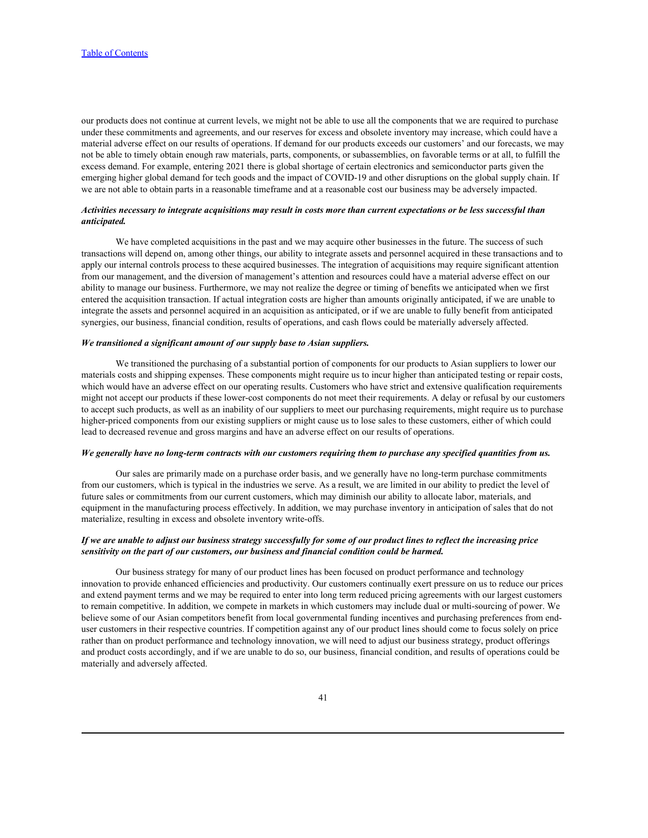our products does not continue at current levels, we might not be able to use all the components that we are required to purchase under these commitments and agreements, and our reserves for excess and obsolete inventory may increase, which could have a material adverse effect on our results of operations. If demand for our products exceeds our customers' and our forecasts, we may not be able to timely obtain enough raw materials, parts, components, or subassemblies, on favorable terms or at all, to fulfill the excess demand. For example, entering 2021 there is global shortage of certain electronics and semiconductor parts given the emerging higher global demand for tech goods and the impact of COVID-19 and other disruptions on the global supply chain. If we are not able to obtain parts in a reasonable timeframe and at a reasonable cost our business may be adversely impacted.

### *Activities necessary to integrate acquisitions may result in costs more than current expectations or be less successful than anticipated.*

We have completed acquisitions in the past and we may acquire other businesses in the future. The success of such transactions will depend on, among other things, our ability to integrate assets and personnel acquired in these transactions and to apply our internal controls process to these acquired businesses. The integration of acquisitions may require significant attention from our management, and the diversion of management's attention and resources could have a material adverse effect on our ability to manage our business. Furthermore, we may not realize the degree or timing of benefits we anticipated when we first entered the acquisition transaction. If actual integration costs are higher than amounts originally anticipated, if we are unable to integrate the assets and personnel acquired in an acquisition as anticipated, or if we are unable to fully benefit from anticipated synergies, our business, financial condition, results of operations, and cash flows could be materially adversely affected.

#### *We transitioned a significant amount of our supply base to Asian suppliers.*

We transitioned the purchasing of a substantial portion of components for our products to Asian suppliers to lower our materials costs and shipping expenses. These components might require us to incur higher than anticipated testing or repair costs, which would have an adverse effect on our operating results. Customers who have strict and extensive qualification requirements might not accept our products if these lower-cost components do not meet their requirements. A delay or refusal by our customers to accept such products, as well as an inability of our suppliers to meet our purchasing requirements, might require us to purchase higher-priced components from our existing suppliers or might cause us to lose sales to these customers, either of which could lead to decreased revenue and gross margins and have an adverse effect on our results of operations.

### *We generally have no long-term contracts with our customers requiring them to purchase any specified quantities from us.*

Our sales are primarily made on a purchase order basis, and we generally have no long-term purchase commitments from our customers, which is typical in the industries we serve. As a result, we are limited in our ability to predict the level of future sales or commitments from our current customers, which may diminish our ability to allocate labor, materials, and equipment in the manufacturing process effectively. In addition, we may purchase inventory in anticipation of sales that do not materialize, resulting in excess and obsolete inventory write-offs.

# *If we are unable to adjust our business strategy successfully for some of our product lines to reflect the increasing price sensitivity on the part of our customers, our business and financial condition could be harmed.*

Our business strategy for many of our product lines has been focused on product performance and technology innovation to provide enhanced efficiencies and productivity. Our customers continually exert pressure on us to reduce our prices and extend payment terms and we may be required to enter into long term reduced pricing agreements with our largest customers to remain competitive. In addition, we compete in markets in which customers may include dual or multi-sourcing of power. We believe some of our Asian competitors benefit from local governmental funding incentives and purchasing preferences from enduser customers in their respective countries. If competition against any of our product lines should come to focus solely on price rather than on product performance and technology innovation, we will need to adjust our business strategy, product offerings and product costs accordingly, and if we are unable to do so, our business, financial condition, and results of operations could be materially and adversely affected.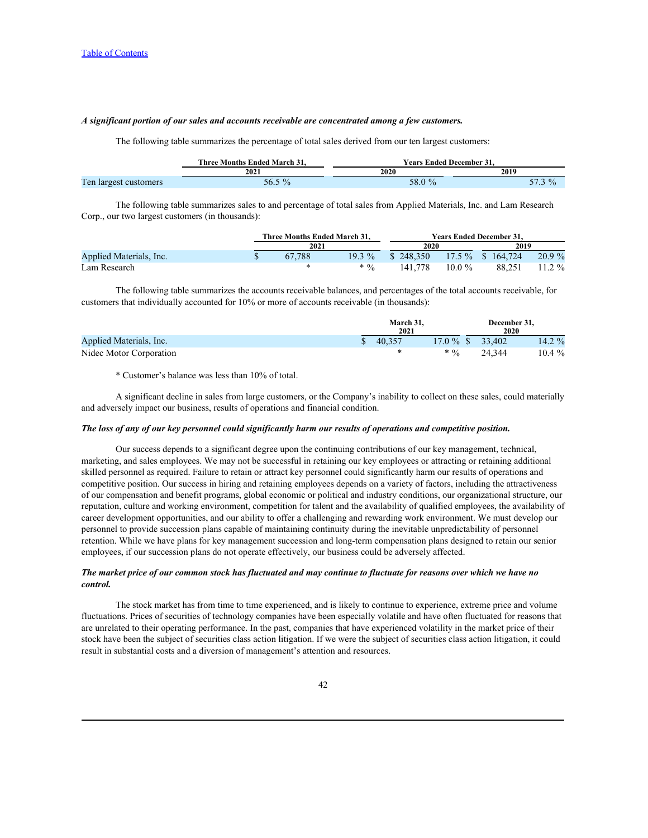### *A significant portion of our sales and accounts receivable are concentrated among a few customers.*

The following table summarizes the percentage of total sales derived from our ten largest customers:

|                                                    | <b>CONTRACTOR</b><br>$\sim$<br>: Months Ended March 31.<br>: hree | ↑ Ended December 31.<br>rears |                      |  |  |  |  |  |  |
|----------------------------------------------------|-------------------------------------------------------------------|-------------------------------|----------------------|--|--|--|--|--|--|
|                                                    | 2021                                                              | 202(                          | 2019                 |  |  |  |  |  |  |
| n.<br>l'en<br>t customers<br>$\blacksquare$ argest | 56.5                                                              | - റ<br>30.0                   | $\sim$<br>$\sqrt{ }$ |  |  |  |  |  |  |

The following table summarizes sales to and percentage of total sales from Applied Materials, Inc. and Lam Research Corp., our two largest customers (in thousands):

|                         |  | Three Months Ended March 31.<br>2021 |         | <b>Years Ended December 31.</b> |           |         |        |  |  |
|-------------------------|--|--------------------------------------|---------|---------------------------------|-----------|---------|--------|--|--|
|                         |  |                                      |         | 2020                            |           | 2019    |        |  |  |
| Applied Materials, Inc. |  | 67,788                               | 19.3 %  | 248.350                         | $7.5 \%$  | 164,724 | 20.9 % |  |  |
| Lam Research            |  |                                      | $* 0/2$ | 141,778                         | $10.0 \%$ | 88.251  | 11.2 % |  |  |

The following table summarizes the accounts receivable balances, and percentages of the total accounts receivable, for customers that individually accounted for 10% or more of accounts receivable (in thousands):

| <b>March 31,<br/>2021</b><br>2020                                         |
|---------------------------------------------------------------------------|
| Applied Materials, Inc.<br>33,402<br>40,357<br>17.0%<br>14.202<br>14.2 70 |
| Nidec Motor Corporation<br>10.4 %<br>24 344<br>$* 0/2$<br><u>ے ر</u>      |

\* Customer's balance was less than 10% of total.

A significant decline in sales from large customers, or the Company's inability to collect on these sales, could materially and adversely impact our business, results of operations and financial condition.

### *The loss of any of our key personnel could significantly harm our results of operations and competitive position.*

Our success depends to a significant degree upon the continuing contributions of our key management, technical, marketing, and sales employees. We may not be successful in retaining our key employees or attracting or retaining additional skilled personnel as required. Failure to retain or attract key personnel could significantly harm our results of operations and competitive position. Our success in hiring and retaining employees depends on a variety of factors, including the attractiveness of our compensation and benefit programs, global economic or political and industry conditions, our organizational structure, our reputation, culture and working environment, competition for talent and the availability of qualified employees, the availability of career development opportunities, and our ability to offer a challenging and rewarding work environment. We must develop our personnel to provide succession plans capable of maintaining continuity during the inevitable unpredictability of personnel retention. While we have plans for key management succession and long-term compensation plans designed to retain our senior employees, if our succession plans do not operate effectively, our business could be adversely affected.

### *The market price of our common stock has fluctuated and may continue to fluctuate for reasons over which we have no control.*

The stock market has from time to time experienced, and is likely to continue to experience, extreme price and volume fluctuations. Prices of securities of technology companies have been especially volatile and have often fluctuated for reasons that are unrelated to their operating performance. In the past, companies that have experienced volatility in the market price of their stock have been the subject of securities class action litigation. If we were the subject of securities class action litigation, it could result in substantial costs and a diversion of management's attention and resources.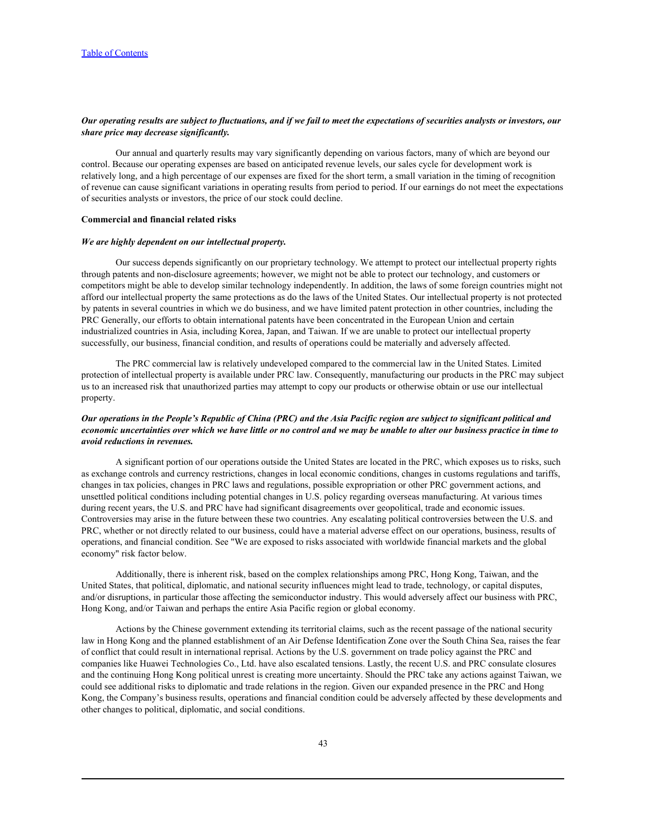### *Our operating results are subject to fluctuations, and if we fail to meet the expectations of securities analysts or investors, our share price may decrease significantly.*

Our annual and quarterly results may vary significantly depending on various factors, many of which are beyond our control. Because our operating expenses are based on anticipated revenue levels, our sales cycle for development work is relatively long, and a high percentage of our expenses are fixed for the short term, a small variation in the timing of recognition of revenue can cause significant variations in operating results from period to period. If our earnings do not meet the expectations of securities analysts or investors, the price of our stock could decline.

#### **Commercial and financial related risks**

#### *We are highly dependent on our intellectual property.*

Our success depends significantly on our proprietary technology. We attempt to protect our intellectual property rights through patents and non-disclosure agreements; however, we might not be able to protect our technology, and customers or competitors might be able to develop similar technology independently. In addition, the laws of some foreign countries might not afford our intellectual property the same protections as do the laws of the United States. Our intellectual property is not protected by patents in several countries in which we do business, and we have limited patent protection in other countries, including the PRC Generally, our efforts to obtain international patents have been concentrated in the European Union and certain industrialized countries in Asia, including Korea, Japan, and Taiwan. If we are unable to protect our intellectual property successfully, our business, financial condition, and results of operations could be materially and adversely affected.

The PRC commercial law is relatively undeveloped compared to the commercial law in the United States. Limited protection of intellectual property is available under PRC law. Consequently, manufacturing our products in the PRC may subject us to an increased risk that unauthorized parties may attempt to copy our products or otherwise obtain or use our intellectual property.

# *Our operations in the People's Republic of China (PRC) and the Asia Pacific region are subject to significant political and economic uncertainties over which we have little or no control and we may be unable to alter our business practice in time to avoid reductions in revenues.*

A significant portion of our operations outside the United States are located in the PRC, which exposes us to risks, such as exchange controls and currency restrictions, changes in local economic conditions, changes in customs regulations and tariffs, changes in tax policies, changes in PRC laws and regulations, possible expropriation or other PRC government actions, and unsettled political conditions including potential changes in U.S. policy regarding overseas manufacturing. At various times during recent years, the U.S. and PRC have had significant disagreements over geopolitical, trade and economic issues. Controversies may arise in the future between these two countries. Any escalating political controversies between the U.S. and PRC, whether or not directly related to our business, could have a material adverse effect on our operations, business, results of operations, and financial condition. See "We are exposed to risks associated with worldwide financial markets and the global economy" risk factor below.

Additionally, there is inherent risk, based on the complex relationships among PRC, Hong Kong, Taiwan, and the United States, that political, diplomatic, and national security influences might lead to trade, technology, or capital disputes, and/or disruptions, in particular those affecting the semiconductor industry. This would adversely affect our business with PRC, Hong Kong, and/or Taiwan and perhaps the entire Asia Pacific region or global economy.

Actions by the Chinese government extending its territorial claims, such as the recent passage of the national security law in Hong Kong and the planned establishment of an Air Defense Identification Zone over the South China Sea, raises the fear of conflict that could result in international reprisal. Actions by the U.S. government on trade policy against the PRC and companies like Huawei Technologies Co., Ltd. have also escalated tensions. Lastly, the recent U.S. and PRC consulate closures and the continuing Hong Kong political unrest is creating more uncertainty. Should the PRC take any actions against Taiwan, we could see additional risks to diplomatic and trade relations in the region. Given our expanded presence in the PRC and Hong Kong, the Company's business results, operations and financial condition could be adversely affected by these developments and other changes to political, diplomatic, and social conditions.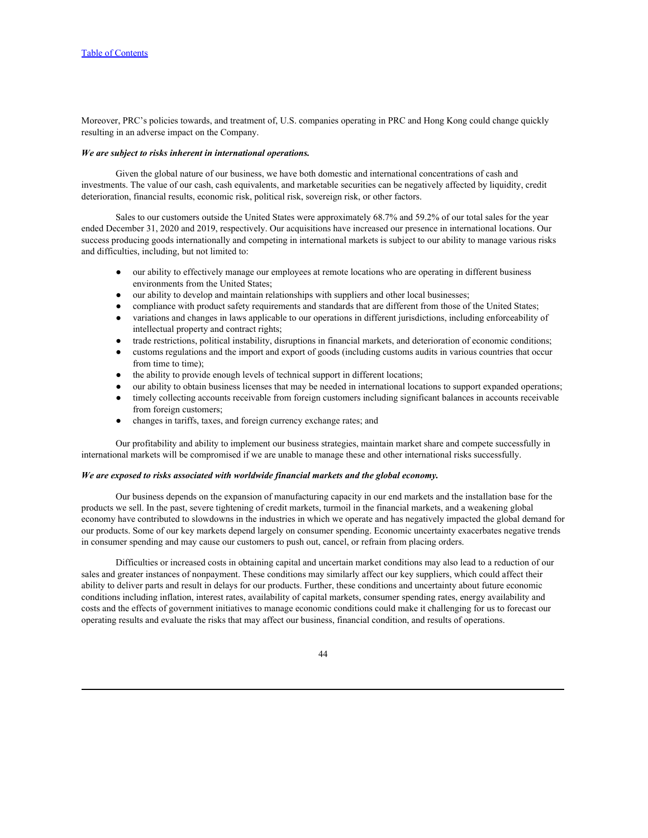Moreover, PRC's policies towards, and treatment of, U.S. companies operating in PRC and Hong Kong could change quickly resulting in an adverse impact on the Company.

#### *We are subject to risks inherent in international operations.*

Given the global nature of our business, we have both domestic and international concentrations of cash and investments. The value of our cash, cash equivalents, and marketable securities can be negatively affected by liquidity, credit deterioration, financial results, economic risk, political risk, sovereign risk, or other factors.

Sales to our customers outside the United States were approximately 68.7% and 59.2% of our total sales for the year ended December 31, 2020 and 2019, respectively. Our acquisitions have increased our presence in international locations. Our success producing goods internationally and competing in international markets is subject to our ability to manage various risks and difficulties, including, but not limited to:

- our ability to effectively manage our employees at remote locations who are operating in different business environments from the United States;
- our ability to develop and maintain relationships with suppliers and other local businesses;
- compliance with product safety requirements and standards that are different from those of the United States;
- variations and changes in laws applicable to our operations in different jurisdictions, including enforceability of intellectual property and contract rights;
- trade restrictions, political instability, disruptions in financial markets, and deterioration of economic conditions;
- customs regulations and the import and export of goods (including customs audits in various countries that occur from time to time);
- the ability to provide enough levels of technical support in different locations;
- our ability to obtain business licenses that may be needed in international locations to support expanded operations;
- timely collecting accounts receivable from foreign customers including significant balances in accounts receivable from foreign customers;
- changes in tariffs, taxes, and foreign currency exchange rates; and

Our profitability and ability to implement our business strategies, maintain market share and compete successfully in international markets will be compromised if we are unable to manage these and other international risks successfully.

#### *We are exposed to risks associated with worldwide financial markets and the global economy.*

Our business depends on the expansion of manufacturing capacity in our end markets and the installation base for the products we sell. In the past, severe tightening of credit markets, turmoil in the financial markets, and a weakening global economy have contributed to slowdowns in the industries in which we operate and has negatively impacted the global demand for our products. Some of our key markets depend largely on consumer spending. Economic uncertainty exacerbates negative trends in consumer spending and may cause our customers to push out, cancel, or refrain from placing orders.

Difficulties or increased costs in obtaining capital and uncertain market conditions may also lead to a reduction of our sales and greater instances of nonpayment. These conditions may similarly affect our key suppliers, which could affect their ability to deliver parts and result in delays for our products. Further, these conditions and uncertainty about future economic conditions including inflation, interest rates, availability of capital markets, consumer spending rates, energy availability and costs and the effects of government initiatives to manage economic conditions could make it challenging for us to forecast our operating results and evaluate the risks that may affect our business, financial condition, and results of operations.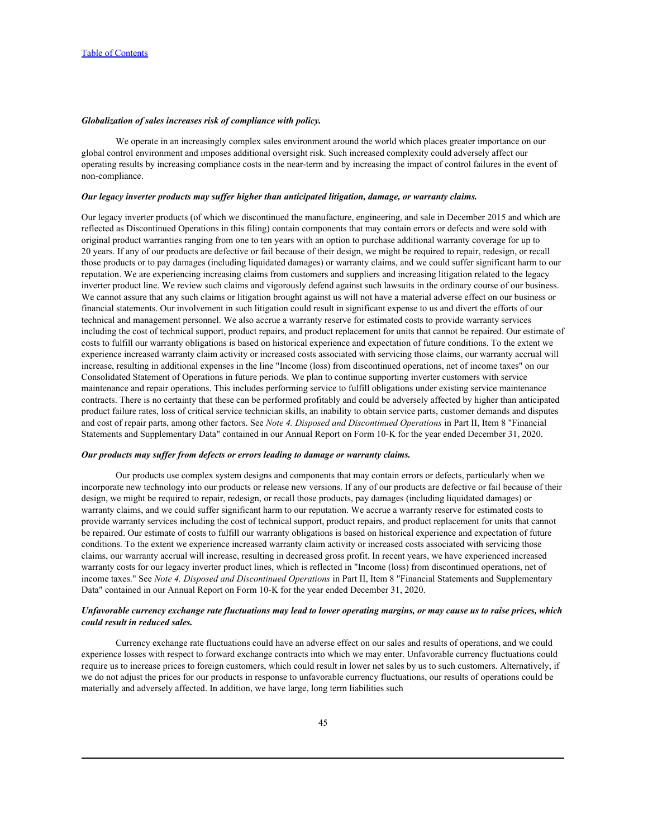### *Globalization of sales increases risk of compliance with policy.*

We operate in an increasingly complex sales environment around the world which places greater importance on our global control environment and imposes additional oversight risk. Such increased complexity could adversely affect our operating results by increasing compliance costs in the near-term and by increasing the impact of control failures in the event of non-compliance.

#### *Our legacy inverter products may suffer higher than anticipated litigation, damage, or warranty claims.*

Our legacy inverter products (of which we discontinued the manufacture, engineering, and sale in December 2015 and which are reflected as Discontinued Operations in this filing) contain components that may contain errors or defects and were sold with original product warranties ranging from one to ten years with an option to purchase additional warranty coverage for up to 20 years. If any of our products are defective or fail because of their design, we might be required to repair, redesign, or recall those products or to pay damages (including liquidated damages) or warranty claims, and we could suffer significant harm to our reputation. We are experiencing increasing claims from customers and suppliers and increasing litigation related to the legacy inverter product line. We review such claims and vigorously defend against such lawsuits in the ordinary course of our business. We cannot assure that any such claims or litigation brought against us will not have a material adverse effect on our business or financial statements. Our involvement in such litigation could result in significant expense to us and divert the efforts of our technical and management personnel. We also accrue a warranty reserve for estimated costs to provide warranty services including the cost of technical support, product repairs, and product replacement for units that cannot be repaired. Our estimate of costs to fulfill our warranty obligations is based on historical experience and expectation of future conditions. To the extent we experience increased warranty claim activity or increased costs associated with servicing those claims, our warranty accrual will increase, resulting in additional expenses in the line "Income (loss) from discontinued operations, net of income taxes" on our Consolidated Statement of Operations in future periods. We plan to continue supporting inverter customers with service maintenance and repair operations. This includes performing service to fulfill obligations under existing service maintenance contracts. There is no certainty that these can be performed profitably and could be adversely affected by higher than anticipated product failure rates, loss of critical service technician skills, an inability to obtain service parts, customer demands and disputes and cost of repair parts, among other factors. See *Note 4. Disposed and Discontinued Operations* in Part II, Item 8 "Financial Statements and Supplementary Data" contained in our Annual Report on Form 10-K for the year ended December 31, 2020.

#### *Our products may suffer from defects or errors leading to damage or warranty claims.*

Our products use complex system designs and components that may contain errors or defects, particularly when we incorporate new technology into our products or release new versions. If any of our products are defective or fail because of their design, we might be required to repair, redesign, or recall those products, pay damages (including liquidated damages) or warranty claims, and we could suffer significant harm to our reputation. We accrue a warranty reserve for estimated costs to provide warranty services including the cost of technical support, product repairs, and product replacement for units that cannot be repaired. Our estimate of costs to fulfill our warranty obligations is based on historical experience and expectation of future conditions. To the extent we experience increased warranty claim activity or increased costs associated with servicing those claims, our warranty accrual will increase, resulting in decreased gross profit. In recent years, we have experienced increased warranty costs for our legacy inverter product lines, which is reflected in "Income (loss) from discontinued operations, net of income taxes." See *Note 4. Disposed and Discontinued Operations* in Part II, Item 8 "Financial Statements and Supplementary Data" contained in our Annual Report on Form 10-K for the year ended December 31, 2020.

### *Unfavorable currency exchange rate fluctuations may lead to lower operating margins, or may cause us to raise prices, which could result in reduced sales.*

Currency exchange rate fluctuations could have an adverse effect on our sales and results of operations, and we could experience losses with respect to forward exchange contracts into which we may enter. Unfavorable currency fluctuations could require us to increase prices to foreign customers, which could result in lower net sales by us to such customers. Alternatively, if we do not adjust the prices for our products in response to unfavorable currency fluctuations, our results of operations could be materially and adversely affected. In addition, we have large, long term liabilities such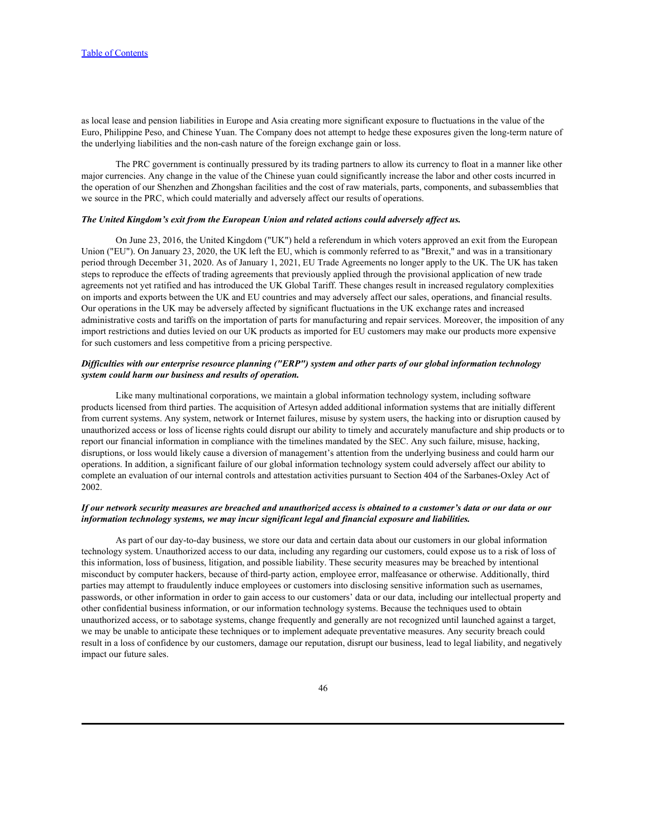as local lease and pension liabilities in Europe and Asia creating more significant exposure to fluctuations in the value of the Euro, Philippine Peso, and Chinese Yuan. The Company does not attempt to hedge these exposures given the long-term nature of the underlying liabilities and the non-cash nature of the foreign exchange gain or loss.

The PRC government is continually pressured by its trading partners to allow its currency to float in a manner like other major currencies. Any change in the value of the Chinese yuan could significantly increase the labor and other costs incurred in the operation of our Shenzhen and Zhongshan facilities and the cost of raw materials, parts, components, and subassemblies that we source in the PRC, which could materially and adversely affect our results of operations.

#### *The United Kingdom's exit from the European Union and related actions could adversely affect us.*

On June 23, 2016, the United Kingdom ("UK") held a referendum in which voters approved an exit from the European Union ("EU"). On January 23, 2020, the UK left the EU, which is commonly referred to as "Brexit," and was in a transitionary period through December 31, 2020. As of January 1, 2021, EU Trade Agreements no longer apply to the UK. The UK has taken steps to reproduce the effects of trading agreements that previously applied through the provisional application of new trade agreements not yet ratified and has introduced the UK Global Tariff. These changes result in increased regulatory complexities on imports and exports between the UK and EU countries and may adversely affect our sales, operations, and financial results. Our operations in the UK may be adversely affected by significant fluctuations in the UK exchange rates and increased administrative costs and tariffs on the importation of parts for manufacturing and repair services. Moreover, the imposition of any import restrictions and duties levied on our UK products as imported for EU customers may make our products more expensive for such customers and less competitive from a pricing perspective.

### *Difficulties with our enterprise resource planning ("ERP") system and other parts of our global information technology system could harm our business and results of operation.*

Like many multinational corporations, we maintain a global information technology system, including software products licensed from third parties. The acquisition of Artesyn added additional information systems that are initially different from current systems. Any system, network or Internet failures, misuse by system users, the hacking into or disruption caused by unauthorized access or loss of license rights could disrupt our ability to timely and accurately manufacture and ship products or to report our financial information in compliance with the timelines mandated by the SEC. Any such failure, misuse, hacking, disruptions, or loss would likely cause a diversion of management's attention from the underlying business and could harm our operations. In addition, a significant failure of our global information technology system could adversely affect our ability to complete an evaluation of our internal controls and attestation activities pursuant to Section 404 of the Sarbanes-Oxley Act of 2002.

### *If our network security measures are breached and unauthorized access is obtained to a customer's data or our data or our information technology systems, we may incur significant legal and financial exposure and liabilities.*

As part of our day-to-day business, we store our data and certain data about our customers in our global information technology system. Unauthorized access to our data, including any regarding our customers, could expose us to a risk of loss of this information, loss of business, litigation, and possible liability. These security measures may be breached by intentional misconduct by computer hackers, because of third-party action, employee error, malfeasance or otherwise. Additionally, third parties may attempt to fraudulently induce employees or customers into disclosing sensitive information such as usernames, passwords, or other information in order to gain access to our customers' data or our data, including our intellectual property and other confidential business information, or our information technology systems. Because the techniques used to obtain unauthorized access, or to sabotage systems, change frequently and generally are not recognized until launched against a target, we may be unable to anticipate these techniques or to implement adequate preventative measures. Any security breach could result in a loss of confidence by our customers, damage our reputation, disrupt our business, lead to legal liability, and negatively impact our future sales.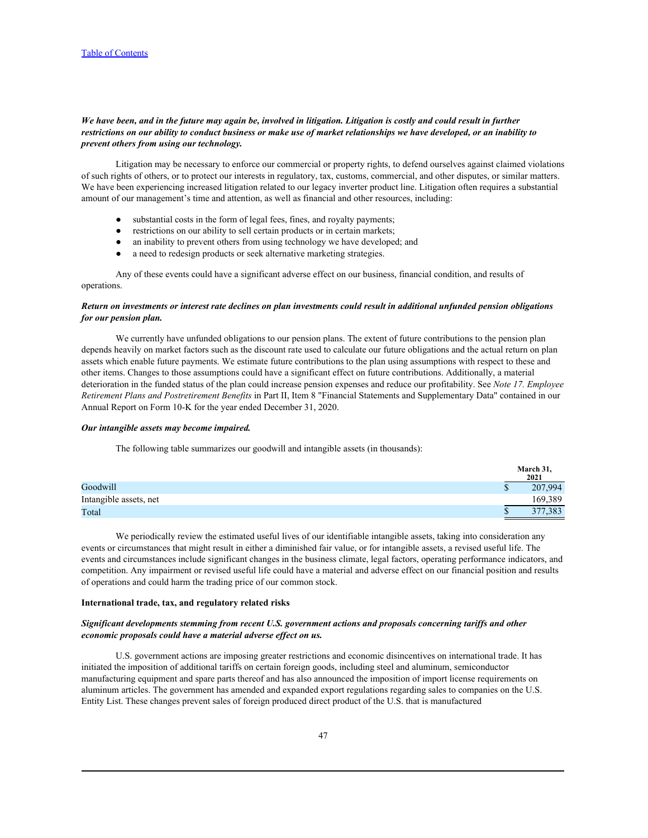## *We have been, and in the future may again be, involved in litigation. Litigation is costly and could result in further restrictions on our ability to conduct business or make use of market relationships we have developed, or an inability to prevent others from using our technology.*

Litigation may be necessary to enforce our commercial or property rights, to defend ourselves against claimed violations of such rights of others, or to protect our interests in regulatory, tax, customs, commercial, and other disputes, or similar matters. We have been experiencing increased litigation related to our legacy inverter product line. Litigation often requires a substantial amount of our management's time and attention, as well as financial and other resources, including:

- substantial costs in the form of legal fees, fines, and royalty payments;
- restrictions on our ability to sell certain products or in certain markets;
- an inability to prevent others from using technology we have developed; and
- a need to redesign products or seek alternative marketing strategies.

Any of these events could have a significant adverse effect on our business, financial condition, and results of operations.

### *Return on investments or interest rate declines on plan investments could result in additional unfunded pension obligations for our pension plan.*

We currently have unfunded obligations to our pension plans. The extent of future contributions to the pension plan depends heavily on market factors such as the discount rate used to calculate our future obligations and the actual return on plan assets which enable future payments. We estimate future contributions to the plan using assumptions with respect to these and other items. Changes to those assumptions could have a significant effect on future contributions. Additionally, a material deterioration in the funded status of the plan could increase pension expenses and reduce our profitability. See *Note 17. Employee Retirement Plans and Postretirement Benefits* in Part II, Item 8 "Financial Statements and Supplementary Data" contained in our Annual Report on Form 10-K for the year ended December 31, 2020.

#### *Our intangible assets may become impaired.*

The following table summarizes our goodwill and intangible assets (in thousands):

|                        | March 31,<br>2021 |
|------------------------|-------------------|
| Goodwill               | 207,994           |
| Intangible assets, net | 169,389           |
| Total                  | 377,383           |

We periodically review the estimated useful lives of our identifiable intangible assets, taking into consideration any events or circumstances that might result in either a diminished fair value, or for intangible assets, a revised useful life. The events and circumstances include significant changes in the business climate, legal factors, operating performance indicators, and competition. Any impairment or revised useful life could have a material and adverse effect on our financial position and results of operations and could harm the trading price of our common stock.

#### **International trade, tax, and regulatory related risks**

### *Significant developments stemming from recent U.S. government actions and proposals concerning tariffs and other economic proposals could have a material adverse effect on us.*

U.S. government actions are imposing greater restrictions and economic disincentives on international trade. It has initiated the imposition of additional tariffs on certain foreign goods, including steel and aluminum, semiconductor manufacturing equipment and spare parts thereof and has also announced the imposition of import license requirements on aluminum articles. The government has amended and expanded export regulations regarding sales to companies on the U.S. Entity List. These changes prevent sales of foreign produced direct product of the U.S. that is manufactured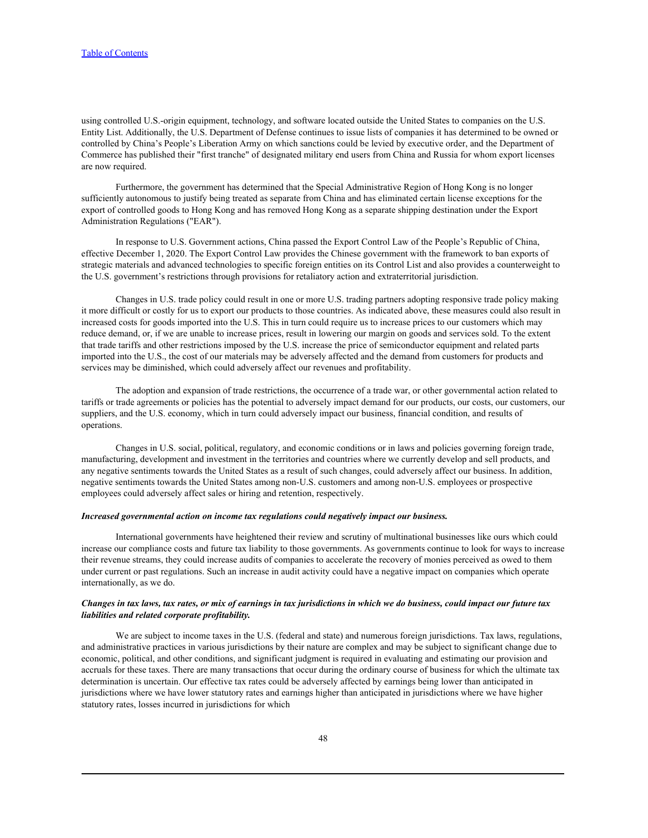using controlled U.S.-origin equipment, technology, and software located outside the United States to companies on the U.S. Entity List. Additionally, the U.S. Department of Defense continues to issue lists of companies it has determined to be owned or controlled by China's People's Liberation Army on which sanctions could be levied by executive order, and the Department of Commerce has published their "first tranche" of designated military end users from China and Russia for whom export licenses are now required.

Furthermore, the government has determined that the Special Administrative Region of Hong Kong is no longer sufficiently autonomous to justify being treated as separate from China and has eliminated certain license exceptions for the export of controlled goods to Hong Kong and has removed Hong Kong as a separate shipping destination under the Export Administration Regulations ("EAR").

In response to U.S. Government actions, China passed the Export Control Law of the People's Republic of China, effective December 1, 2020. The Export Control Law provides the Chinese government with the framework to ban exports of strategic materials and advanced technologies to specific foreign entities on its Control List and also provides a counterweight to the U.S. government's restrictions through provisions for retaliatory action and extraterritorial jurisdiction.

Changes in U.S. trade policy could result in one or more U.S. trading partners adopting responsive trade policy making it more difficult or costly for us to export our products to those countries. As indicated above, these measures could also result in increased costs for goods imported into the U.S. This in turn could require us to increase prices to our customers which may reduce demand, or, if we are unable to increase prices, result in lowering our margin on goods and services sold. To the extent that trade tariffs and other restrictions imposed by the U.S. increase the price of semiconductor equipment and related parts imported into the U.S., the cost of our materials may be adversely affected and the demand from customers for products and services may be diminished, which could adversely affect our revenues and profitability.

The adoption and expansion of trade restrictions, the occurrence of a trade war, or other governmental action related to tariffs or trade agreements or policies has the potential to adversely impact demand for our products, our costs, our customers, our suppliers, and the U.S. economy, which in turn could adversely impact our business, financial condition, and results of operations.

Changes in U.S. social, political, regulatory, and economic conditions or in laws and policies governing foreign trade, manufacturing, development and investment in the territories and countries where we currently develop and sell products, and any negative sentiments towards the United States as a result of such changes, could adversely affect our business. In addition, negative sentiments towards the United States among non-U.S. customers and among non-U.S. employees or prospective employees could adversely affect sales or hiring and retention, respectively.

# *Increased governmental action on income tax regulations could negatively impact our business.*

International governments have heightened their review and scrutiny of multinational businesses like ours which could increase our compliance costs and future tax liability to those governments. As governments continue to look for ways to increase their revenue streams, they could increase audits of companies to accelerate the recovery of monies perceived as owed to them under current or past regulations. Such an increase in audit activity could have a negative impact on companies which operate internationally, as we do.

### *Changes in tax laws, tax rates, or mix of earnings in tax jurisdictions in which we do business, could impact our future tax liabilities and related corporate profitability.*

We are subject to income taxes in the U.S. (federal and state) and numerous foreign jurisdictions. Tax laws, regulations, and administrative practices in various jurisdictions by their nature are complex and may be subject to significant change due to economic, political, and other conditions, and significant judgment is required in evaluating and estimating our provision and accruals for these taxes. There are many transactions that occur during the ordinary course of business for which the ultimate tax determination is uncertain. Our effective tax rates could be adversely affected by earnings being lower than anticipated in jurisdictions where we have lower statutory rates and earnings higher than anticipated in jurisdictions where we have higher statutory rates, losses incurred in jurisdictions for which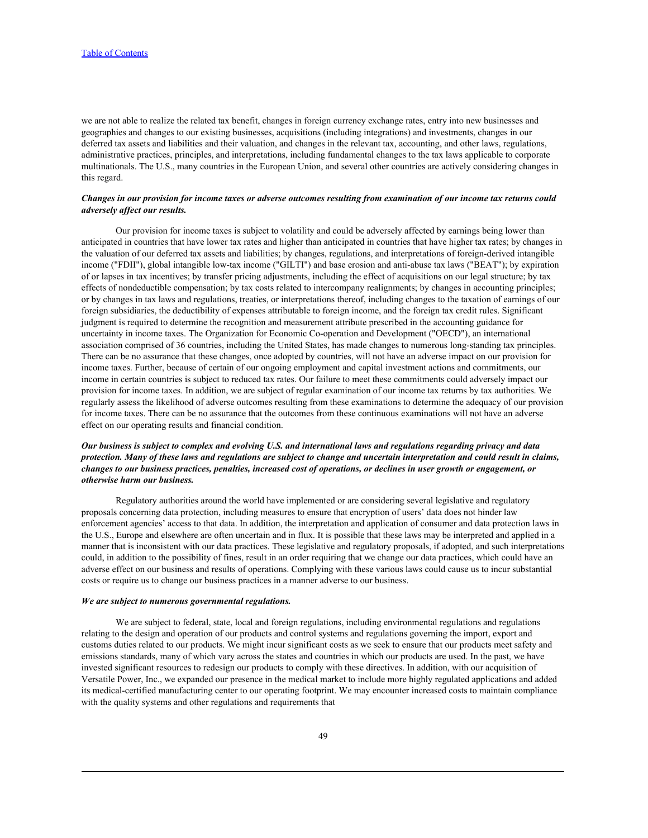we are not able to realize the related tax benefit, changes in foreign currency exchange rates, entry into new businesses and geographies and changes to our existing businesses, acquisitions (including integrations) and investments, changes in our deferred tax assets and liabilities and their valuation, and changes in the relevant tax, accounting, and other laws, regulations, administrative practices, principles, and interpretations, including fundamental changes to the tax laws applicable to corporate multinationals. The U.S., many countries in the European Union, and several other countries are actively considering changes in this regard.

### *Changes in our provision for income taxes or adverse outcomes resulting from examination of our income tax returns could adversely affect our results.*

Our provision for income taxes is subject to volatility and could be adversely affected by earnings being lower than anticipated in countries that have lower tax rates and higher than anticipated in countries that have higher tax rates; by changes in the valuation of our deferred tax assets and liabilities; by changes, regulations, and interpretations of foreign-derived intangible income ("FDII"), global intangible low-tax income ("GILTI") and base erosion and anti-abuse tax laws ("BEAT"); by expiration of or lapses in tax incentives; by transfer pricing adjustments, including the effect of acquisitions on our legal structure; by tax effects of nondeductible compensation; by tax costs related to intercompany realignments; by changes in accounting principles; or by changes in tax laws and regulations, treaties, or interpretations thereof, including changes to the taxation of earnings of our foreign subsidiaries, the deductibility of expenses attributable to foreign income, and the foreign tax credit rules. Significant judgment is required to determine the recognition and measurement attribute prescribed in the accounting guidance for uncertainty in income taxes. The Organization for Economic Co-operation and Development ("OECD"), an international association comprised of 36 countries, including the United States, has made changes to numerous long-standing tax principles. There can be no assurance that these changes, once adopted by countries, will not have an adverse impact on our provision for income taxes. Further, because of certain of our ongoing employment and capital investment actions and commitments, our income in certain countries is subject to reduced tax rates. Our failure to meet these commitments could adversely impact our provision for income taxes. In addition, we are subject of regular examination of our income tax returns by tax authorities. We regularly assess the likelihood of adverse outcomes resulting from these examinations to determine the adequacy of our provision for income taxes. There can be no assurance that the outcomes from these continuous examinations will not have an adverse effect on our operating results and financial condition.

# *Our business is subject to complex and evolving U.S. and international laws and regulations regarding privacy and data protection. Many of these laws and regulations are subject to change and uncertain interpretation and could result in claims, changes to our business practices, penalties, increased cost of operations, or declines in user growth or engagement, or otherwise harm our business.*

Regulatory authorities around the world have implemented or are considering several legislative and regulatory proposals concerning data protection, including measures to ensure that encryption of users' data does not hinder law enforcement agencies' access to that data. In addition, the interpretation and application of consumer and data protection laws in the U.S., Europe and elsewhere are often uncertain and in flux. It is possible that these laws may be interpreted and applied in a manner that is inconsistent with our data practices. These legislative and regulatory proposals, if adopted, and such interpretations could, in addition to the possibility of fines, result in an order requiring that we change our data practices, which could have an adverse effect on our business and results of operations. Complying with these various laws could cause us to incur substantial costs or require us to change our business practices in a manner adverse to our business.

#### *We are subject to numerous governmental regulations.*

We are subject to federal, state, local and foreign regulations, including environmental regulations and regulations relating to the design and operation of our products and control systems and regulations governing the import, export and customs duties related to our products. We might incur significant costs as we seek to ensure that our products meet safety and emissions standards, many of which vary across the states and countries in which our products are used. In the past, we have invested significant resources to redesign our products to comply with these directives. In addition, with our acquisition of Versatile Power, Inc., we expanded our presence in the medical market to include more highly regulated applications and added its medical-certified manufacturing center to our operating footprint. We may encounter increased costs to maintain compliance with the quality systems and other regulations and requirements that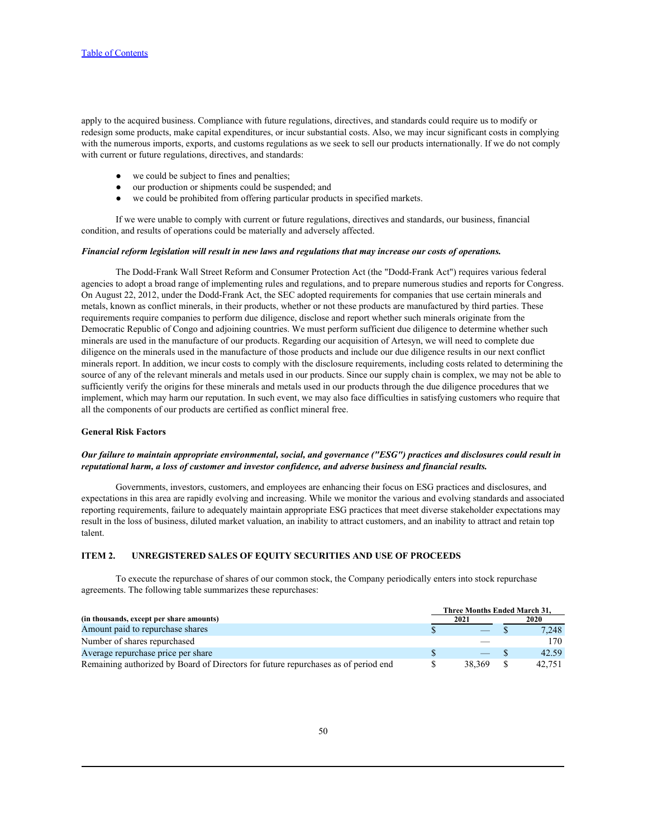apply to the acquired business. Compliance with future regulations, directives, and standards could require us to modify or redesign some products, make capital expenditures, or incur substantial costs. Also, we may incur significant costs in complying with the numerous imports, exports, and customs regulations as we seek to sell our products internationally. If we do not comply with current or future regulations, directives, and standards:

- we could be subject to fines and penalties;
- our production or shipments could be suspended; and
- we could be prohibited from offering particular products in specified markets.

If we were unable to comply with current or future regulations, directives and standards, our business, financial condition, and results of operations could be materially and adversely affected.

### *Financial reform legislation will result in new laws and regulations that may increase our costs of operations.*

The Dodd-Frank Wall Street Reform and Consumer Protection Act (the "Dodd-Frank Act") requires various federal agencies to adopt a broad range of implementing rules and regulations, and to prepare numerous studies and reports for Congress. On August 22, 2012, under the Dodd-Frank Act, the SEC adopted requirements for companies that use certain minerals and metals, known as conflict minerals, in their products, whether or not these products are manufactured by third parties. These requirements require companies to perform due diligence, disclose and report whether such minerals originate from the Democratic Republic of Congo and adjoining countries. We must perform sufficient due diligence to determine whether such minerals are used in the manufacture of our products. Regarding our acquisition of Artesyn, we will need to complete due diligence on the minerals used in the manufacture of those products and include our due diligence results in our next conflict minerals report. In addition, we incur costs to comply with the disclosure requirements, including costs related to determining the source of any of the relevant minerals and metals used in our products. Since our supply chain is complex, we may not be able to sufficiently verify the origins for these minerals and metals used in our products through the due diligence procedures that we implement, which may harm our reputation. In such event, we may also face difficulties in satisfying customers who require that all the components of our products are certified as conflict mineral free.

### **General Risk Factors**

### *Our failure to maintain appropriate environmental, social, and governance ("ESG") practices and disclosures could result in reputational harm, a loss of customer and investor confidence, and adverse business and financial results.*

Governments, investors, customers, and employees are enhancing their focus on ESG practices and disclosures, and expectations in this area are rapidly evolving and increasing. While we monitor the various and evolving standards and associated reporting requirements, failure to adequately maintain appropriate ESG practices that meet diverse stakeholder expectations may result in the loss of business, diluted market valuation, an inability to attract customers, and an inability to attract and retain top talent.

### <span id="page-49-0"></span>**ITEM 2. UNREGISTERED SALES OF EQUITY SECURITIES AND USE OF PROCEEDS**

To execute the repurchase of shares of our common stock, the Company periodically enters into stock repurchase agreements. The following table summarizes these repurchases:

|                                                                                    | Three Months Ended March 31. |                                |      |        |
|------------------------------------------------------------------------------------|------------------------------|--------------------------------|------|--------|
| (in thousands, except per share amounts)                                           | 2021                         |                                | 2020 |        |
| Amount paid to repurchase shares                                                   |                              | $\overbrace{\hspace{25mm}}^{}$ |      | 7,248  |
| Number of shares repurchased                                                       |                              |                                |      | 170    |
| Average repurchase price per share                                                 |                              |                                |      | 42.59  |
| Remaining authorized by Board of Directors for future repurchases as of period end |                              | 38.369                         |      | 42,751 |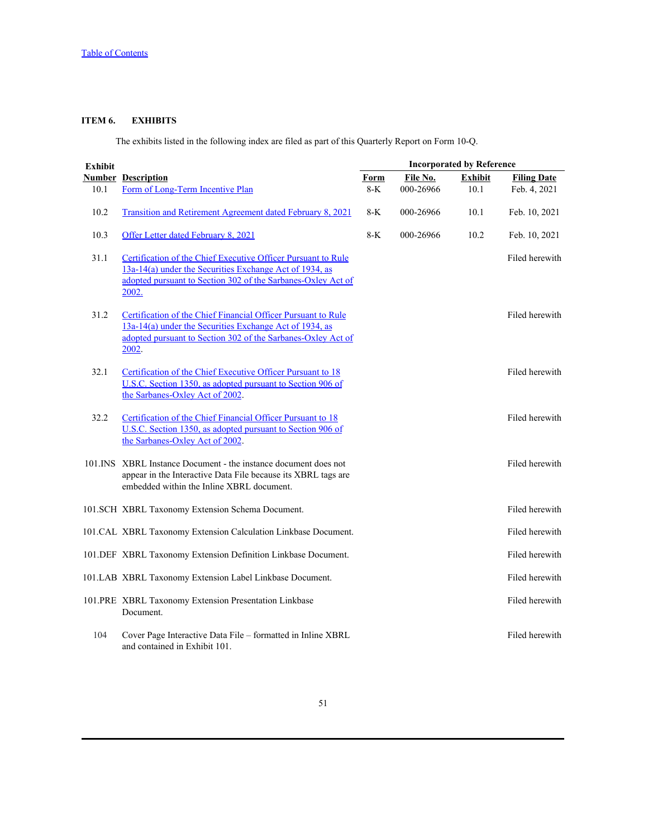# <span id="page-50-0"></span>**ITEM 6. EXHIBITS**

The exhibits listed in the following index are filed as part of this Quarterly Report on Form 10-Q.

| <b>Exhibit</b> |                                                                                                                                                                                                   | <b>Incorporated by Reference</b> |           |                |                    |  |  |
|----------------|---------------------------------------------------------------------------------------------------------------------------------------------------------------------------------------------------|----------------------------------|-----------|----------------|--------------------|--|--|
|                | <b>Number Description</b>                                                                                                                                                                         | Form                             | File No.  | <b>Exhibit</b> | <b>Filing Date</b> |  |  |
| 10.1           | Form of Long-Term Incentive Plan                                                                                                                                                                  | $8-K$                            | 000-26966 | 10.1           | Feb. 4, 2021       |  |  |
| 10.2           | <b>Transition and Retirement Agreement dated February 8, 2021</b>                                                                                                                                 | $8-K$                            | 000-26966 | 10.1           | Feb. 10, 2021      |  |  |
| 10.3           | Offer Letter dated February 8, 2021                                                                                                                                                               | $8-K$                            | 000-26966 | 10.2           | Feb. 10, 2021      |  |  |
| 31.1           | Certification of the Chief Executive Officer Pursuant to Rule<br>13a-14(a) under the Securities Exchange Act of 1934, as<br>adopted pursuant to Section 302 of the Sarbanes-Oxley Act of<br>2002. |                                  |           |                | Filed herewith     |  |  |
| 31.2           | Certification of the Chief Financial Officer Pursuant to Rule<br>13a-14(a) under the Securities Exchange Act of 1934, as<br>adopted pursuant to Section 302 of the Sarbanes-Oxley Act of<br>2002. |                                  |           |                | Filed herewith     |  |  |
| 32.1           | Certification of the Chief Executive Officer Pursuant to 18<br>U.S.C. Section 1350, as adopted pursuant to Section 906 of<br>the Sarbanes-Oxley Act of 2002.                                      |                                  |           |                | Filed herewith     |  |  |
| 32.2           | Certification of the Chief Financial Officer Pursuant to 18<br>U.S.C. Section 1350, as adopted pursuant to Section 906 of<br>the Sarbanes-Oxley Act of 2002.                                      |                                  |           |                | Filed herewith     |  |  |
|                | 101.INS XBRL Instance Document - the instance document does not<br>appear in the Interactive Data File because its XBRL tags are<br>embedded within the Inline XBRL document.                     |                                  |           |                | Filed herewith     |  |  |
|                | 101.SCH XBRL Taxonomy Extension Schema Document.                                                                                                                                                  |                                  |           |                | Filed herewith     |  |  |
|                | 101.CAL XBRL Taxonomy Extension Calculation Linkbase Document.                                                                                                                                    |                                  |           |                | Filed herewith     |  |  |
|                | 101.DEF XBRL Taxonomy Extension Definition Linkbase Document.                                                                                                                                     |                                  |           |                | Filed herewith     |  |  |
|                | 101.LAB XBRL Taxonomy Extension Label Linkbase Document.                                                                                                                                          |                                  |           |                | Filed herewith     |  |  |
|                | 101.PRE XBRL Taxonomy Extension Presentation Linkbase<br>Document.                                                                                                                                |                                  |           |                | Filed herewith     |  |  |
| 104            | Cover Page Interactive Data File - formatted in Inline XBRL<br>and contained in Exhibit 101.                                                                                                      |                                  |           |                | Filed herewith     |  |  |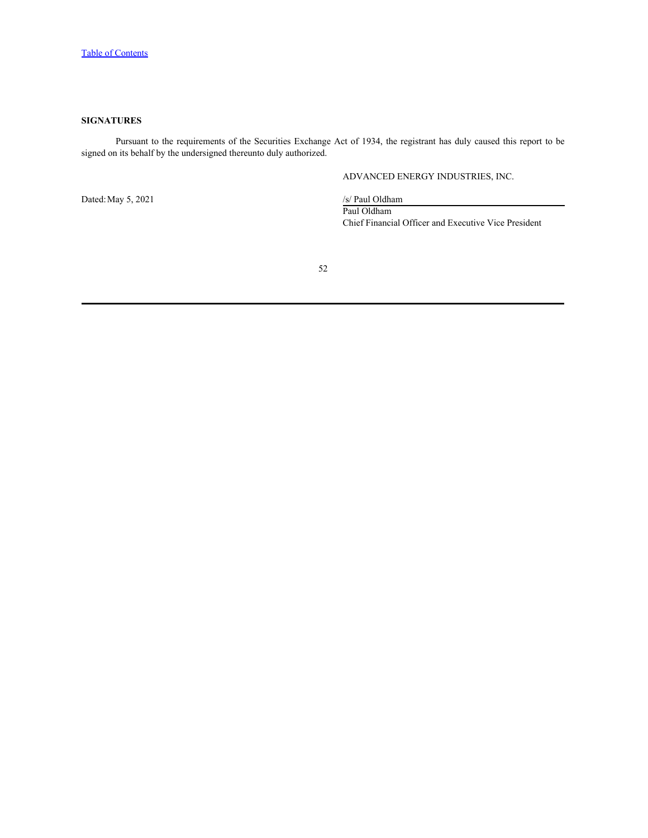# <span id="page-51-0"></span>**SIGNATURES**

Pursuant to the requirements of the Securities Exchange Act of 1934, the registrant has duly caused this report to be signed on its behalf by the undersigned thereunto duly authorized.

# ADVANCED ENERGY INDUSTRIES, INC.

Dated: May 5, 2021 /s/ Paul Oldham

Paul Oldham Chief Financial Officer and Executive Vice President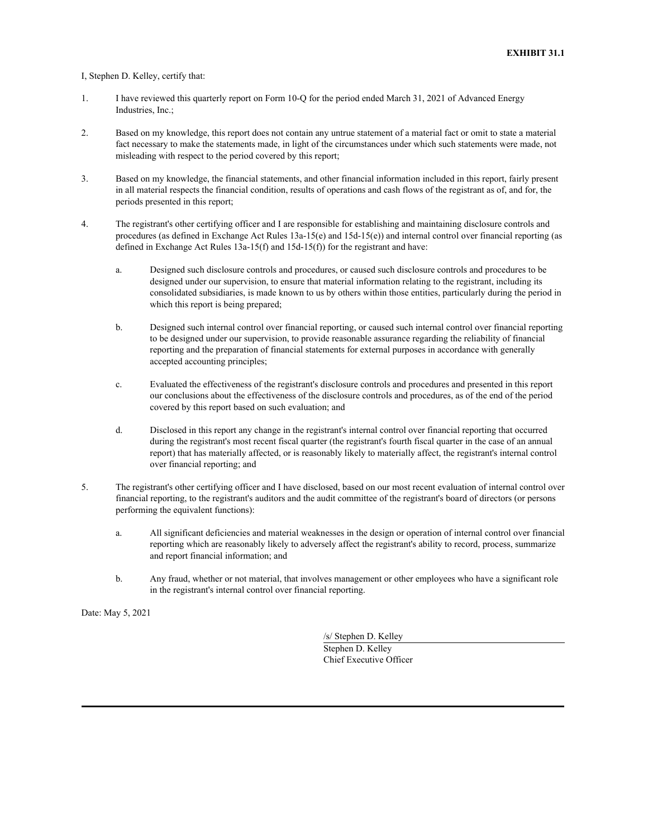<span id="page-52-0"></span>I, Stephen D. Kelley, certify that:

- 1. I have reviewed this quarterly report on Form 10-Q for the period ended March 31, 2021 of Advanced Energy Industries, Inc.;
- 2. Based on my knowledge, this report does not contain any untrue statement of a material fact or omit to state a material fact necessary to make the statements made, in light of the circumstances under which such statements were made, not misleading with respect to the period covered by this report;
- 3. Based on my knowledge, the financial statements, and other financial information included in this report, fairly present in all material respects the financial condition, results of operations and cash flows of the registrant as of, and for, the periods presented in this report;
- 4. The registrant's other certifying officer and I are responsible for establishing and maintaining disclosure controls and procedures (as defined in Exchange Act Rules 13a-15(e) and 15d-15(e)) and internal control over financial reporting (as defined in Exchange Act Rules 13a-15(f) and 15d-15(f)) for the registrant and have:
	- a. Designed such disclosure controls and procedures, or caused such disclosure controls and procedures to be designed under our supervision, to ensure that material information relating to the registrant, including its consolidated subsidiaries, is made known to us by others within those entities, particularly during the period in which this report is being prepared;
	- b. Designed such internal control over financial reporting, or caused such internal control over financial reporting to be designed under our supervision, to provide reasonable assurance regarding the reliability of financial reporting and the preparation of financial statements for external purposes in accordance with generally accepted accounting principles;
	- c. Evaluated the effectiveness of the registrant's disclosure controls and procedures and presented in this report our conclusions about the effectiveness of the disclosure controls and procedures, as of the end of the period covered by this report based on such evaluation; and
	- d. Disclosed in this report any change in the registrant's internal control over financial reporting that occurred during the registrant's most recent fiscal quarter (the registrant's fourth fiscal quarter in the case of an annual report) that has materially affected, or is reasonably likely to materially affect, the registrant's internal control over financial reporting; and
- 5. The registrant's other certifying officer and I have disclosed, based on our most recent evaluation of internal control over financial reporting, to the registrant's auditors and the audit committee of the registrant's board of directors (or persons performing the equivalent functions):
	- a. All significant deficiencies and material weaknesses in the design or operation of internal control over financial reporting which are reasonably likely to adversely affect the registrant's ability to record, process, summarize and report financial information; and
	- b. Any fraud, whether or not material, that involves management or other employees who have a significant role in the registrant's internal control over financial reporting.

Date: May 5, 2021

/s/ Stephen D. Kelley Stephen D. Kelley Chief Executive Officer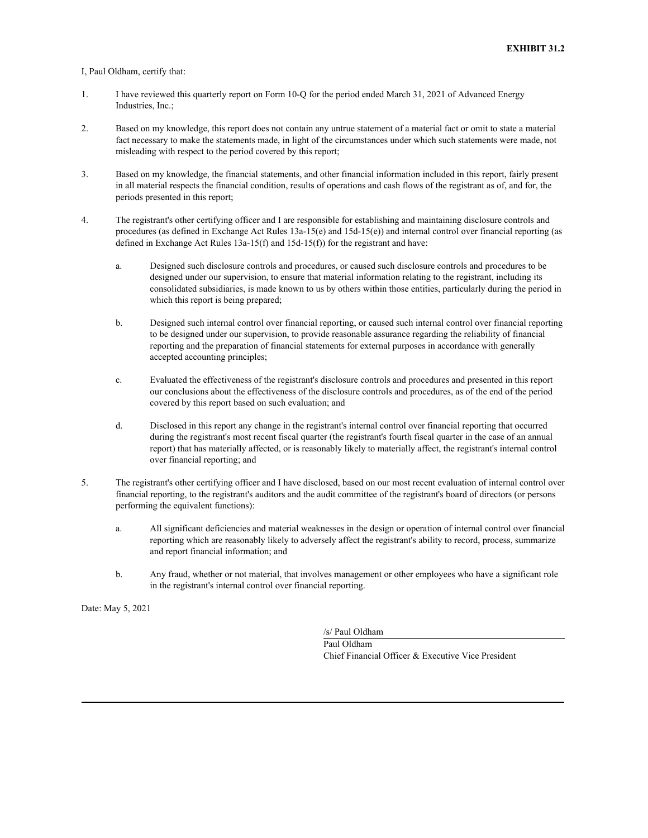### <span id="page-53-0"></span>I, Paul Oldham, certify that:

- 1. I have reviewed this quarterly report on Form 10-Q for the period ended March 31, 2021 of Advanced Energy Industries, Inc.;
- 2. Based on my knowledge, this report does not contain any untrue statement of a material fact or omit to state a material fact necessary to make the statements made, in light of the circumstances under which such statements were made, not misleading with respect to the period covered by this report;
- 3. Based on my knowledge, the financial statements, and other financial information included in this report, fairly present in all material respects the financial condition, results of operations and cash flows of the registrant as of, and for, the periods presented in this report;
- 4. The registrant's other certifying officer and I are responsible for establishing and maintaining disclosure controls and procedures (as defined in Exchange Act Rules 13a-15(e) and 15d-15(e)) and internal control over financial reporting (as defined in Exchange Act Rules 13a-15(f) and 15d-15(f)) for the registrant and have:
	- a. Designed such disclosure controls and procedures, or caused such disclosure controls and procedures to be designed under our supervision, to ensure that material information relating to the registrant, including its consolidated subsidiaries, is made known to us by others within those entities, particularly during the period in which this report is being prepared;
	- b. Designed such internal control over financial reporting, or caused such internal control over financial reporting to be designed under our supervision, to provide reasonable assurance regarding the reliability of financial reporting and the preparation of financial statements for external purposes in accordance with generally accepted accounting principles;
	- c. Evaluated the effectiveness of the registrant's disclosure controls and procedures and presented in this report our conclusions about the effectiveness of the disclosure controls and procedures, as of the end of the period covered by this report based on such evaluation; and
	- d. Disclosed in this report any change in the registrant's internal control over financial reporting that occurred during the registrant's most recent fiscal quarter (the registrant's fourth fiscal quarter in the case of an annual report) that has materially affected, or is reasonably likely to materially affect, the registrant's internal control over financial reporting; and
- 5. The registrant's other certifying officer and I have disclosed, based on our most recent evaluation of internal control over financial reporting, to the registrant's auditors and the audit committee of the registrant's board of directors (or persons performing the equivalent functions):
	- a. All significant deficiencies and material weaknesses in the design or operation of internal control over financial reporting which are reasonably likely to adversely affect the registrant's ability to record, process, summarize and report financial information; and
	- b. Any fraud, whether or not material, that involves management or other employees who have a significant role in the registrant's internal control over financial reporting.

Date: May 5, 2021

/s/ Paul Oldham Paul Oldham Chief Financial Officer & Executive Vice President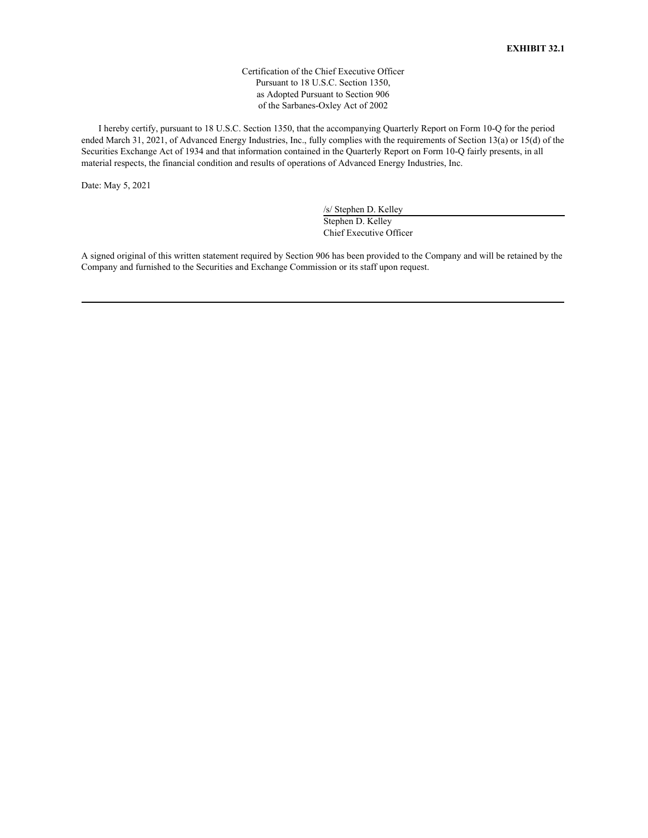Certification of the Chief Executive Officer Pursuant to 18 U.S.C. Section 1350, as Adopted Pursuant to Section 906 of the Sarbanes-Oxley Act of 2002

<span id="page-54-0"></span>I hereby certify, pursuant to 18 U.S.C. Section 1350, that the accompanying Quarterly Report on Form 10-Q for the period ended March 31, 2021, of Advanced Energy Industries, Inc., fully complies with the requirements of Section 13(a) or 15(d) of the Securities Exchange Act of 1934 and that information contained in the Quarterly Report on Form 10-Q fairly presents, in all material respects, the financial condition and results of operations of Advanced Energy Industries, Inc.

Date: May 5, 2021

/s/ Stephen D. Kelley Stephen D. Kelley Chief Executive Officer

A signed original of this written statement required by Section 906 has been provided to the Company and will be retained by the Company and furnished to the Securities and Exchange Commission or its staff upon request.